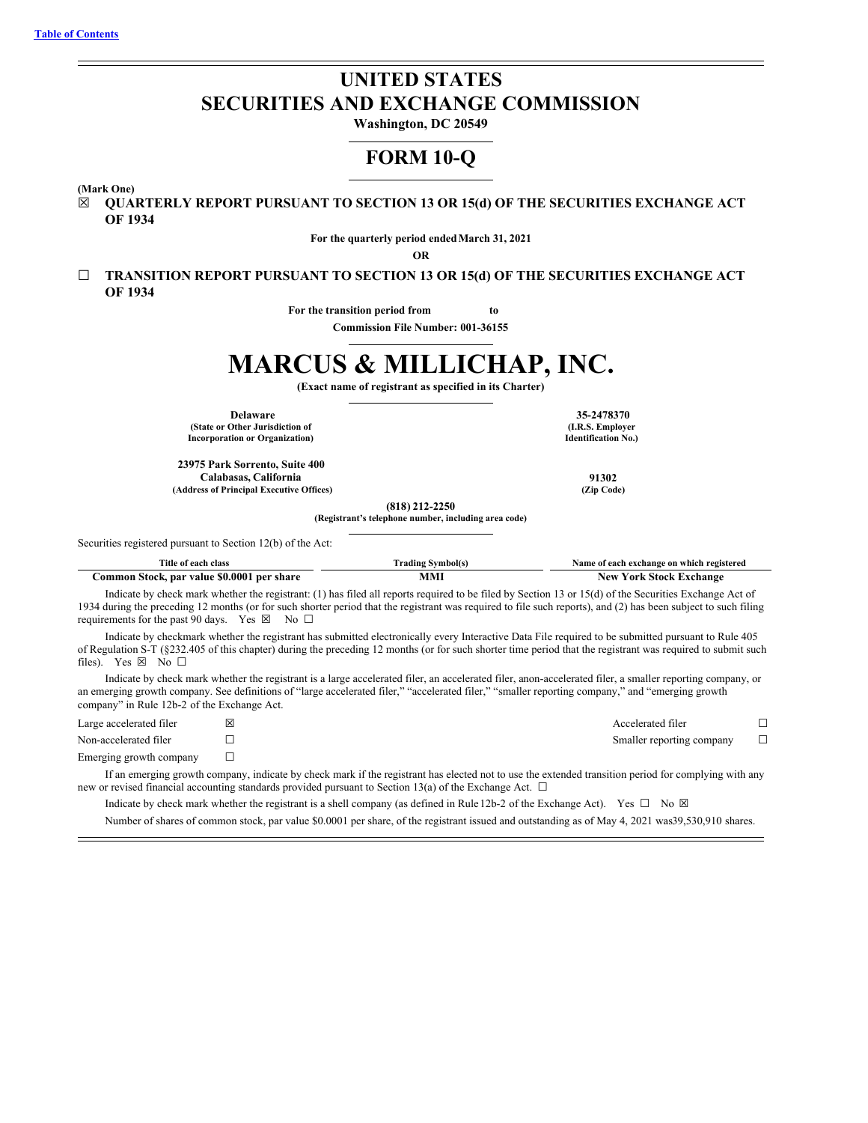# **UNITED STATES SECURITIES AND EXCHANGE COMMISSION**

**Washington, DC 20549**

## **FORM 10-Q**

**(Mark One)**

☒ **QUARTERLY REPORT PURSUANT TO SECTION 13 OR 15(d) OF THE SECURITIES EXCHANGE ACT OF 1934**

**For the quarterly period endedMarch 31, 2021**

**OR**

☐ **TRANSITION REPORT PURSUANT TO SECTION 13 OR 15(d) OF THE SECURITIES EXCHANGE ACT OF 1934**

**For the transition period from to**

**Commission File Number: 001-36155**

# **MARCUS & MILLICHAP, INC.**

**(Exact name of registrant as specified in its Charter)**

**Delaware 35-2478370 (State or Other Jurisdiction of Incorporation or Organization)**

**23975 Park Sorrento, Suite 400 Calabasas, California 91302 (Address of Principal Executive Offices) (Zip Code)**

**(I.R.S. Employer Identification No.)**

Securities registered pursuant to Section 12(b) of the Act:

| Title<br>class<br>each                                              | ⊻mbol(s<br>rading | registered *<br>⊢which<br>exchange on<br>Aame<br>of each |
|---------------------------------------------------------------------|-------------------|----------------------------------------------------------|
| <b>SO.000</b><br>per share<br>`ommon<br><b>Stock</b><br>. par value |                   | <b>xchange</b><br>New<br>10 <sup>F</sup><br>stock        |

**(818) 212-2250 (Registrant's telephone number, including area code)**

Indicate by check mark whether the registrant: (1) has filed all reports required to be filed by Section 13 or 15(d) of the Securities Exchange Act of 1934 during the preceding 12 months (or for such shorter period that the registrant was required to file such reports), and (2) has been subject to such filing requirements for the past 90 days. Yes  $\boxtimes$  No  $\Box$ 

Indicate by checkmark whether the registrant has submitted electronically every Interactive Data File required to be submitted pursuant to Rule 405 of Regulation S-T (§232.405 of this chapter) during the preceding 12 months (or for such shorter time period that the registrant was required to submit such files). Yes ⊠ No □

Indicate by check mark whether the registrant is a large accelerated filer, an accelerated filer, anon-accelerated filer, a smaller reporting company, or an emerging growth company. See definitions of "large accelerated filer," "accelerated filer," "smaller reporting company," and "emerging growth company" in Rule 12b-2 of the Exchange Act.

| Large accelerated filer | 冈 | Accelerated filer         |  |
|-------------------------|---|---------------------------|--|
| Non-accelerated filer   |   | Smaller reporting company |  |
| Emerging growth company |   |                           |  |

If an emerging growth company, indicate by check mark if the registrant has elected not to use the extended transition period for complying with any new or revised financial accounting standards provided pursuant to Section 13(a) of the Exchange Act.  $\Box$ 

Indicate by check mark whether the registrant is a shell company (as defined in Rule 12b-2 of the Exchange Act). Yes  $\Box$  No  $\boxtimes$ Number of shares of common stock, par value \$0.0001 per share, of the registrant issued and outstanding as of May 4, 2021 was39,530,910 shares.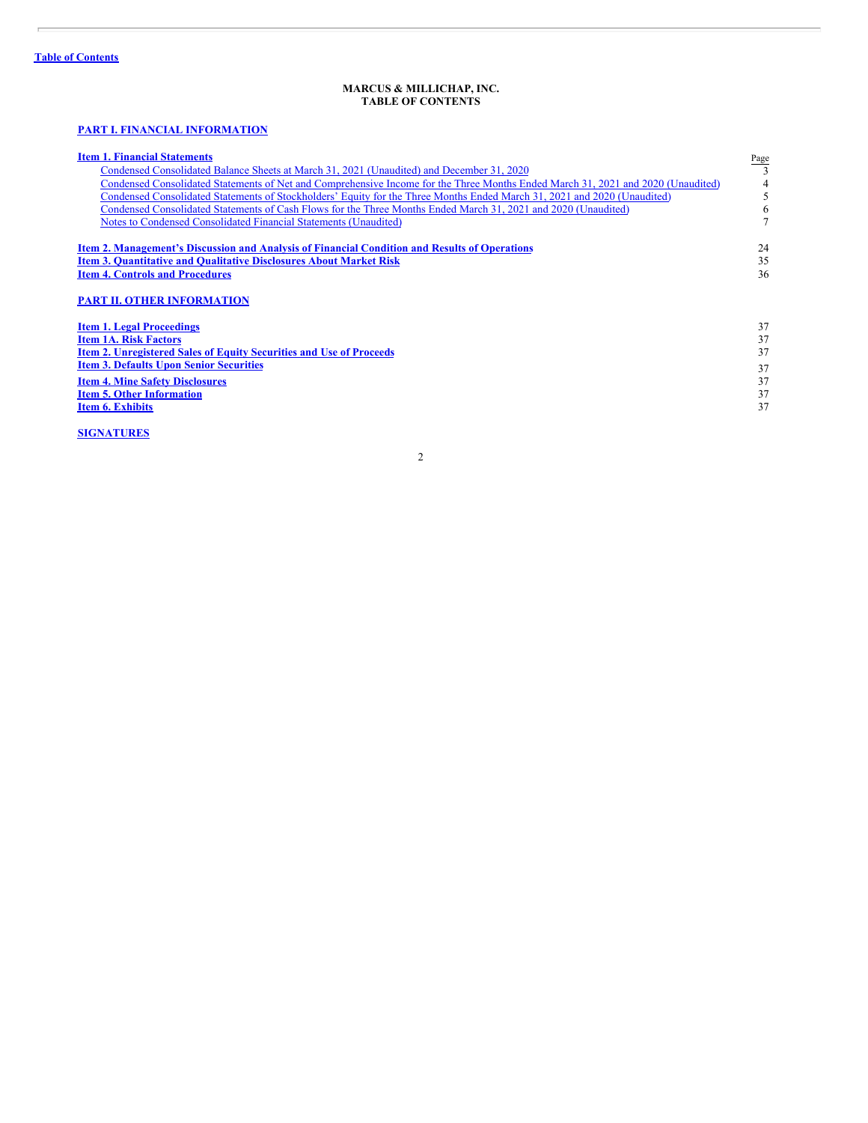ł.

## **MARCUS & MILLICHAP, INC. TABLE OF CONTENTS**

## <span id="page-1-0"></span>**PART I. FINANCIAL [INFORMATION](#page-2-0)**

| <b>Item 1. Financial Statements</b>                                                                                              | Page |
|----------------------------------------------------------------------------------------------------------------------------------|------|
| Condensed Consolidated Balance Sheets at March 31, 2021 (Unaudited) and December 31, 2020                                        |      |
| Condensed Consolidated Statements of Net and Comprehensive Income for the Three Months Ended March 31, 2021 and 2020 (Unaudited) | 4    |
| Condensed Consolidated Statements of Stockholders' Equity for the Three Months Ended March 31, 2021 and 2020 (Unaudited)         | 5    |
| Condensed Consolidated Statements of Cash Flows for the Three Months Ended March 31, 2021 and 2020 (Unaudited)                   | 6    |
| Notes to Condensed Consolidated Financial Statements (Unaudited)                                                                 |      |
| <b>Item 2. Management's Discussion and Analysis of Financial Condition and Results of Operations</b>                             | 24   |
| <b>Item 3. Quantitative and Qualitative Disclosures About Market Risk</b>                                                        | 35   |
| <b>Item 4. Controls and Procedures</b>                                                                                           | 36   |
| <b>PART II. OTHER INFORMATION</b>                                                                                                |      |
| <b>Item 1. Legal Proceedings</b>                                                                                                 | 37   |
| <b>Item 1A. Risk Factors</b>                                                                                                     | 37   |
| <b>Item 2. Unregistered Sales of Equity Securities and Use of Proceeds</b>                                                       | 37   |
| <b>Item 3. Defaults Upon Senior Securities</b>                                                                                   | 37   |
| <b>Item 4. Mine Safety Disclosures</b>                                                                                           | 37   |
| <b>Item 5. Other Information</b>                                                                                                 | 37   |
| <b>Item 6. Exhibits</b>                                                                                                          | 37   |
|                                                                                                                                  |      |

**[SIGNATURES](#page-38-0)**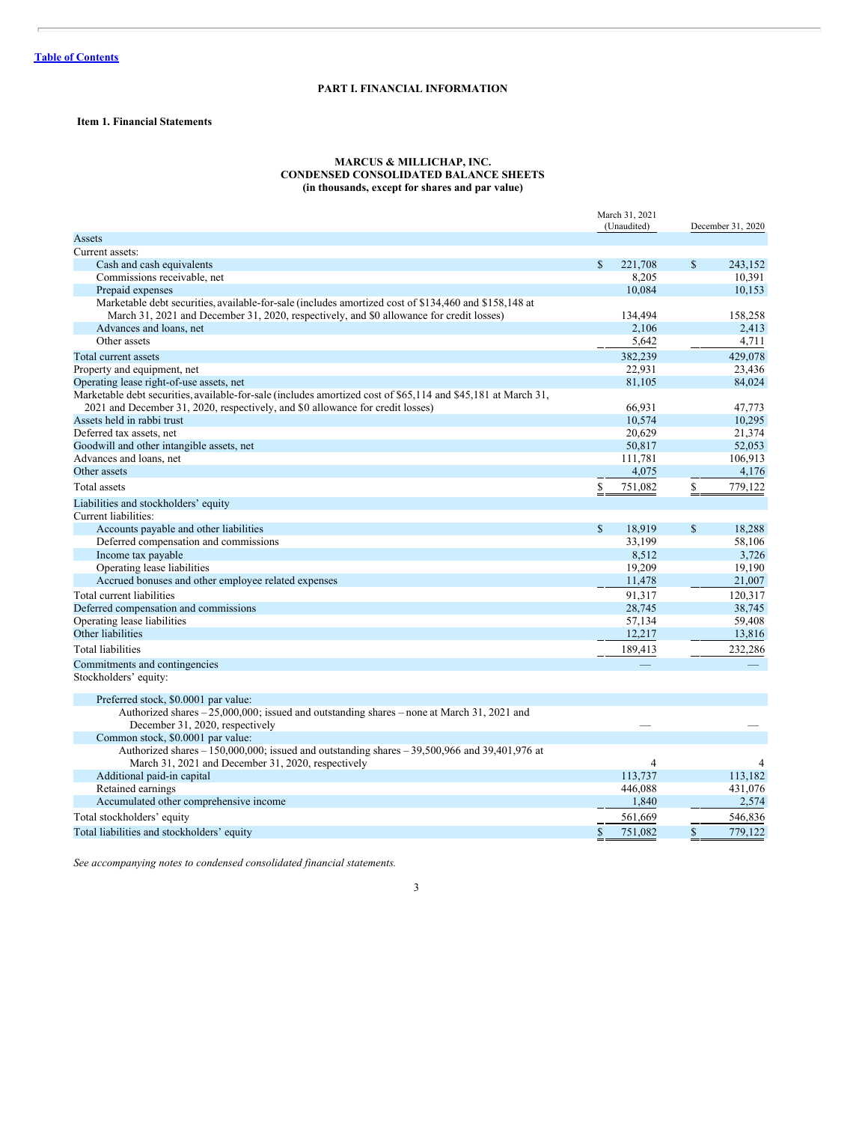## **PART I. FINANCIAL INFORMATION**

## <span id="page-2-1"></span><span id="page-2-0"></span>**Item 1. Financial Statements**

## **MARCUS & MILLICHAP, INC. CONDENSED CONSOLIDATED BALANCE SHEETS (in thousands, except for shares and par value)**

<span id="page-2-2"></span>

|                                                                                                                               | March 31, 2021 |                |              | December 31, 2020 |  |
|-------------------------------------------------------------------------------------------------------------------------------|----------------|----------------|--------------|-------------------|--|
| Assets                                                                                                                        | (Unaudited)    |                |              |                   |  |
| Current assets:                                                                                                               |                |                |              |                   |  |
| Cash and cash equivalents                                                                                                     | <sup>\$</sup>  | 221,708        | $\mathbb{S}$ | 243,152           |  |
| Commissions receivable, net                                                                                                   |                | 8,205          |              | 10,391            |  |
| Prepaid expenses                                                                                                              |                | 10.084         |              | 10,153            |  |
| Marketable debt securities, available-for-sale (includes amortized cost of \$134,460 and \$158,148 at                         |                |                |              |                   |  |
| March 31, 2021 and December 31, 2020, respectively, and \$0 allowance for credit losses)                                      |                | 134,494        |              | 158,258           |  |
| Advances and loans, net                                                                                                       |                | 2,106          |              | 2,413             |  |
| Other assets                                                                                                                  |                | 5,642          |              | 4,711             |  |
| Total current assets                                                                                                          |                | 382,239        |              | 429,078           |  |
| Property and equipment, net                                                                                                   |                | 22,931         |              | 23,436            |  |
| Operating lease right-of-use assets, net                                                                                      |                | 81,105         |              | 84,024            |  |
| Marketable debt securities, available-for-sale (includes amortized cost of \$65,114 and \$45,181 at March 31,                 |                |                |              |                   |  |
| 2021 and December 31, 2020, respectively, and \$0 allowance for credit losses)                                                |                | 66,931         |              | 47,773            |  |
| Assets held in rabbi trust                                                                                                    |                | 10,574         |              | 10,295            |  |
| Deferred tax assets, net                                                                                                      |                | 20,629         |              | 21,374            |  |
| Goodwill and other intangible assets, net                                                                                     |                | 50,817         |              | 52,053            |  |
| Advances and loans, net                                                                                                       |                | 111,781        |              | 106.913           |  |
| Other assets                                                                                                                  |                | 4,075          |              | 4,176             |  |
| Total assets                                                                                                                  | \$             | 751,082        | \$           | 779,122           |  |
| Liabilities and stockholders' equity                                                                                          |                |                |              |                   |  |
| Current liabilities:                                                                                                          |                |                |              |                   |  |
| Accounts payable and other liabilities                                                                                        | $\mathbb{S}$   | 18,919         | $\mathbb{S}$ | 18,288            |  |
| Deferred compensation and commissions                                                                                         |                | 33,199         |              | 58,106            |  |
| Income tax payable                                                                                                            |                | 8,512          |              | 3,726             |  |
| Operating lease liabilities                                                                                                   |                | 19,209         |              | 19,190            |  |
| Accrued bonuses and other employee related expenses                                                                           |                | 11,478         |              | 21,007            |  |
| Total current liabilities                                                                                                     |                | 91.317         |              | 120,317           |  |
| Deferred compensation and commissions                                                                                         |                | 28,745         |              | 38,745            |  |
| Operating lease liabilities                                                                                                   |                | 57,134         |              | 59,408            |  |
| Other liabilities                                                                                                             |                | 12,217         |              | 13,816            |  |
| <b>Total liabilities</b>                                                                                                      |                | 189,413        |              | 232,286           |  |
| Commitments and contingencies                                                                                                 |                |                |              |                   |  |
| Stockholders' equity:                                                                                                         |                |                |              |                   |  |
| Preferred stock, \$0.0001 par value:                                                                                          |                |                |              |                   |  |
| Authorized shares - 25,000,000; issued and outstanding shares - none at March 31, 2021 and<br>December 31, 2020, respectively |                |                |              |                   |  |
| Common stock, \$0.0001 par value:                                                                                             |                |                |              |                   |  |
| Authorized shares $-150,000,000$ ; issued and outstanding shares $-39,500,966$ and $39,401,976$ at                            |                |                |              |                   |  |
| March 31, 2021 and December 31, 2020, respectively                                                                            |                | $\overline{4}$ |              | $\overline{4}$    |  |
| Additional paid-in capital                                                                                                    |                | 113,737        |              | 113,182           |  |
| Retained earnings                                                                                                             |                | 446,088        |              | 431,076           |  |
| Accumulated other comprehensive income                                                                                        |                | 1,840          |              | 2,574             |  |
| Total stockholders' equity                                                                                                    |                | 561,669        |              | 546,836           |  |
| Total liabilities and stockholders' equity                                                                                    | $\mathbb{S}$   | 751,082        | $\mathbb{S}$ | 779,122           |  |

*See accompanying notes to condensed consolidated financial statements.*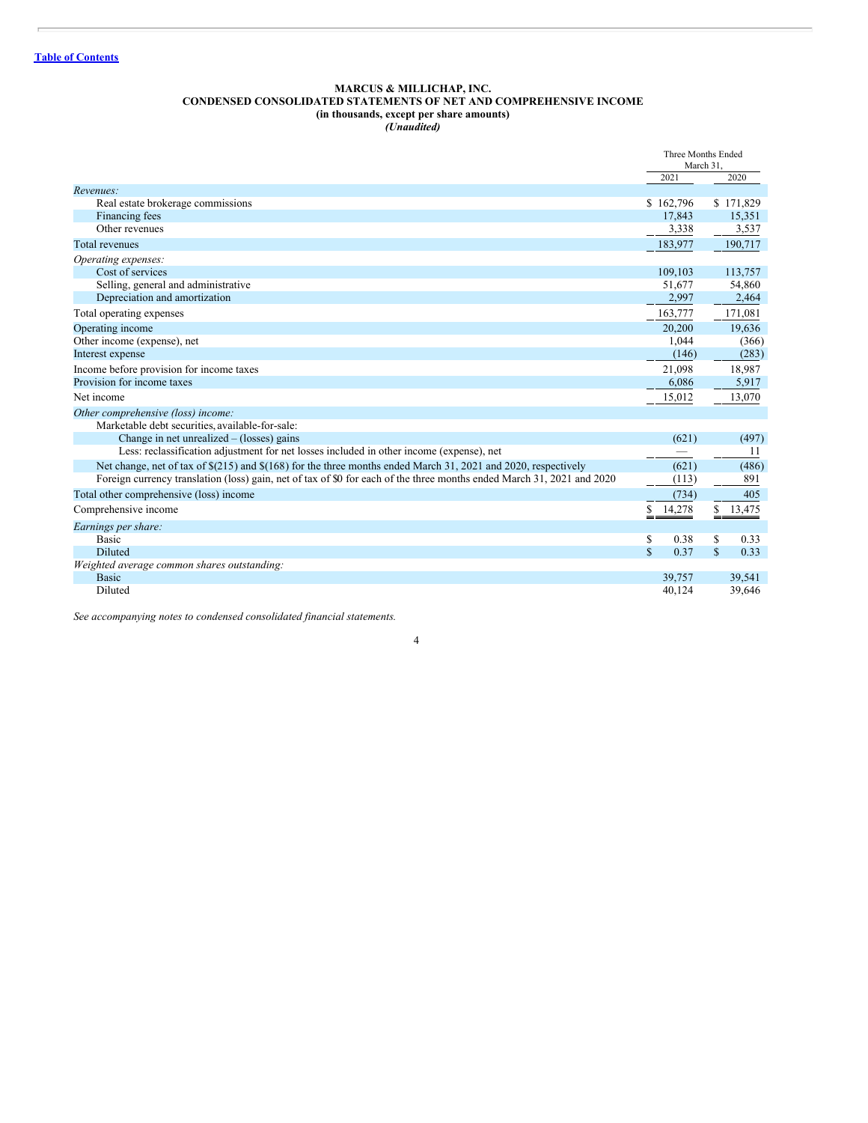#### **MARCUS & MILLICHAP, INC. CONDENSED CONSOLIDATED STATEMENTS OF NET AND COMPREHENSIVE INCOME (in thousands, except per share amounts)** *(Unaudited)*

<span id="page-3-0"></span>

|                                                                                                                        |             | Three Months Ended<br>March 31 |             |           |
|------------------------------------------------------------------------------------------------------------------------|-------------|--------------------------------|-------------|-----------|
|                                                                                                                        |             | 2021                           |             | 2020      |
| Revenues:                                                                                                              |             |                                |             |           |
| Real estate brokerage commissions                                                                                      |             | \$162,796                      |             | \$171,829 |
| Financing fees                                                                                                         |             | 17,843                         |             | 15,351    |
| Other revenues                                                                                                         |             | 3,338                          |             | 3,537     |
| <b>Total revenues</b>                                                                                                  |             | 183,977                        |             | 190,717   |
| Operating expenses:                                                                                                    |             |                                |             |           |
| Cost of services                                                                                                       |             | 109.103                        |             | 113,757   |
| Selling, general and administrative                                                                                    |             | 51,677                         |             | 54,860    |
| Depreciation and amortization                                                                                          |             | 2,997                          |             | 2,464     |
| Total operating expenses                                                                                               |             | 163,777                        |             | 171,081   |
| Operating income                                                                                                       |             | 20,200                         |             | 19,636    |
| Other income (expense), net                                                                                            |             | 1,044                          |             | (366)     |
| Interest expense                                                                                                       |             | (146)                          |             | (283)     |
| Income before provision for income taxes                                                                               |             | 21,098                         |             | 18,987    |
| Provision for income taxes                                                                                             |             | 6,086                          |             | 5,917     |
| Net income                                                                                                             |             | 15,012                         |             | 13,070    |
| Other comprehensive (loss) income:                                                                                     |             |                                |             |           |
| Marketable debt securities, available-for-sale:                                                                        |             |                                |             |           |
| Change in net unrealized $-$ (losses) gains                                                                            |             | (621)                          |             | (497)     |
| Less: reclassification adjustment for net losses included in other income (expense), net                               |             |                                |             | 11        |
| Net change, net of tax of $\S(215)$ and $\S(168)$ for the three months ended March 31, 2021 and 2020, respectively     |             | (621)                          |             | (486)     |
| Foreign currency translation (loss) gain, net of tax of \$0 for each of the three months ended March 31, 2021 and 2020 |             | (113)                          |             | 891       |
| Total other comprehensive (loss) income                                                                                |             | (734)                          |             | 405       |
| Comprehensive income                                                                                                   |             | \$14,278                       |             | \$13,475  |
| Earnings per share:                                                                                                    |             |                                |             |           |
| <b>Basic</b>                                                                                                           | \$          | 0.38                           | S           | 0.33      |
| <b>Diluted</b>                                                                                                         | $\mathbf S$ | 0.37                           | $\mathbf S$ | 0.33      |
| Weighted average common shares outstanding:                                                                            |             |                                |             |           |
| <b>Basic</b>                                                                                                           |             | 39,757                         |             | 39,541    |
| Diluted                                                                                                                |             | 40,124                         |             | 39,646    |

*See accompanying notes to condensed consolidated financial statements.*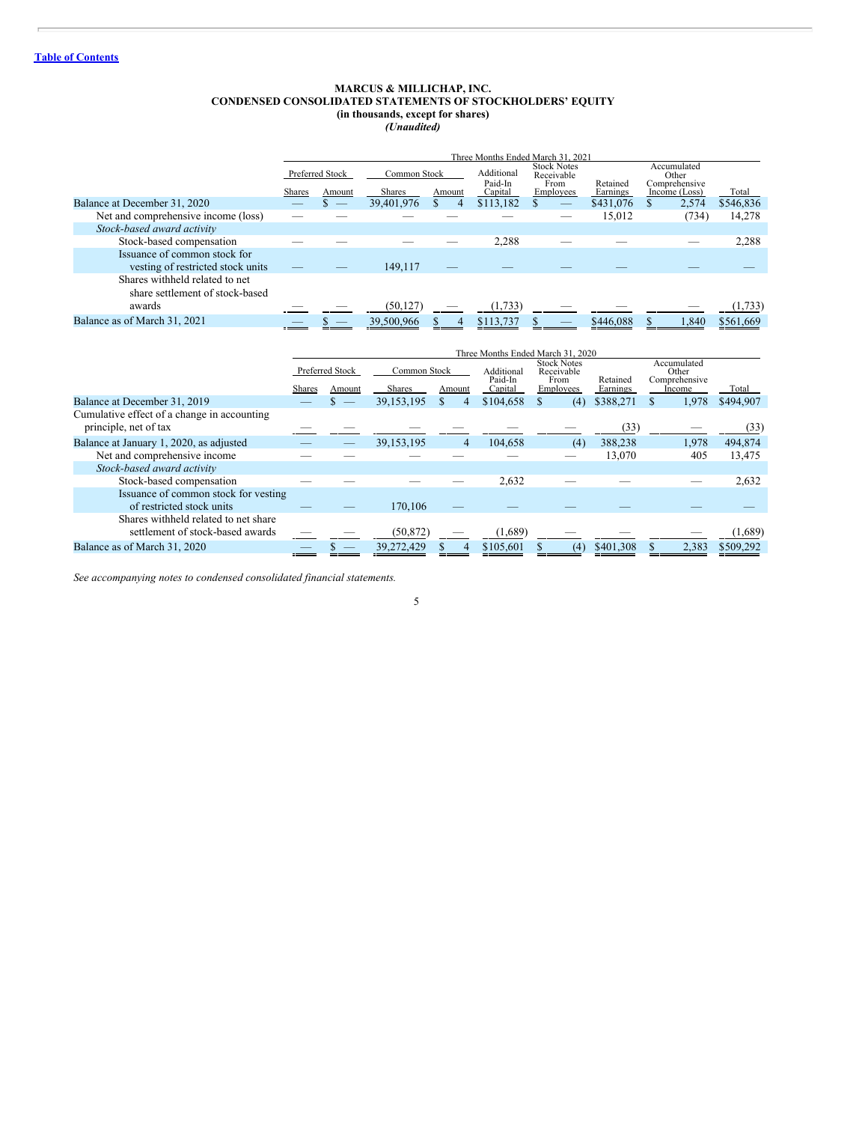#### **MARCUS & MILLICHAP, INC. CONDENSED CONSOLIDATED STATEMENTS OF STOCKHOLDERS' EQUITY (in thousands, except for shares)** *(Unaudited)*

<span id="page-4-0"></span>

|                                                                   |        |                 |               |        |                       | Three Months Ended March 31, 2021        |           |                                       |           |
|-------------------------------------------------------------------|--------|-----------------|---------------|--------|-----------------------|------------------------------------------|-----------|---------------------------------------|-----------|
|                                                                   |        | Preferred Stock | Common Stock  |        | Additional<br>Paid-In | <b>Stock Notes</b><br>Receivable<br>From | Retained  | Accumulated<br>Other<br>Comprehensive |           |
|                                                                   | Shares | Amount          | <b>Shares</b> | Amount | Capital               | Employees                                | Earnings  | Income (Loss)                         | Total     |
| Balance at December 31, 2020                                      |        |                 | 39,401,976    | 4      | \$113,182             |                                          | \$431,076 | 2,574                                 | \$546,836 |
| Net and comprehensive income (loss)                               |        |                 |               |        |                       |                                          | 15,012    | (734)                                 | 14,278    |
| Stock-based award activity                                        |        |                 |               |        |                       |                                          |           |                                       |           |
| Stock-based compensation                                          |        |                 |               |        | 2,288                 |                                          |           |                                       | 2,288     |
| Issuance of common stock for                                      |        |                 |               |        |                       |                                          |           |                                       |           |
| vesting of restricted stock units                                 |        |                 | 149.117       |        |                       |                                          |           |                                       |           |
| Shares withheld related to net<br>share settlement of stock-based |        |                 |               |        |                       |                                          |           |                                       |           |
| awards                                                            |        |                 | (50, 127)     |        | (1,733)               |                                          |           |                                       | (1,733)   |
| Balance as of March 31, 2021                                      |        |                 | 39,500,966    | 4      | \$113,737             |                                          | \$446,088 | 1.840                                 | \$561,669 |

|                                                                          |        | Three Months Ended March 31, 2020 |                               |                     |                                  |                                                       |                      |                                                 |           |
|--------------------------------------------------------------------------|--------|-----------------------------------|-------------------------------|---------------------|----------------------------------|-------------------------------------------------------|----------------------|-------------------------------------------------|-----------|
|                                                                          | Shares | Preferred Stock<br>Amount         | Common Stock<br><b>Shares</b> | Amount              | Additional<br>Paid-In<br>Capital | <b>Stock Notes</b><br>Receivable<br>From<br>Employees | Retained<br>Earnings | Accumulated<br>Other<br>Comprehensive<br>Income | Total     |
| Balance at December 31, 2019                                             |        |                                   | 39.153.195                    | S<br>$\overline{4}$ | \$104,658                        | (4)                                                   | \$388,271            | 1.978                                           | \$494.907 |
| Cumulative effect of a change in accounting<br>principle, net of tax     |        |                                   |                               |                     |                                  |                                                       | (33)                 |                                                 | (33)      |
| Balance at January 1, 2020, as adjusted                                  |        |                                   | 39, 153, 195                  | 4                   | 104,658                          | (4)                                                   | 388,238              | 1,978                                           | 494,874   |
| Net and comprehensive income                                             |        |                                   |                               |                     |                                  |                                                       | 13,070               | 405                                             | 13,475    |
| Stock-based award activity                                               |        |                                   |                               |                     |                                  |                                                       |                      |                                                 |           |
| Stock-based compensation                                                 |        |                                   |                               |                     | 2,632                            |                                                       |                      |                                                 | 2,632     |
| Issuance of common stock for vesting<br>of restricted stock units        |        |                                   | 170,106                       |                     |                                  |                                                       |                      |                                                 |           |
| Shares withheld related to net share<br>settlement of stock-based awards |        |                                   | (50, 872)                     |                     | (1,689)                          |                                                       |                      |                                                 | (1,689)   |
| Balance as of March 31, 2020                                             |        |                                   | 39,272,429                    | 4                   | \$105,601                        | (4)                                                   | \$401,308            | 2,383                                           | \$509,292 |

*See accompanying notes to condensed consolidated financial statements.*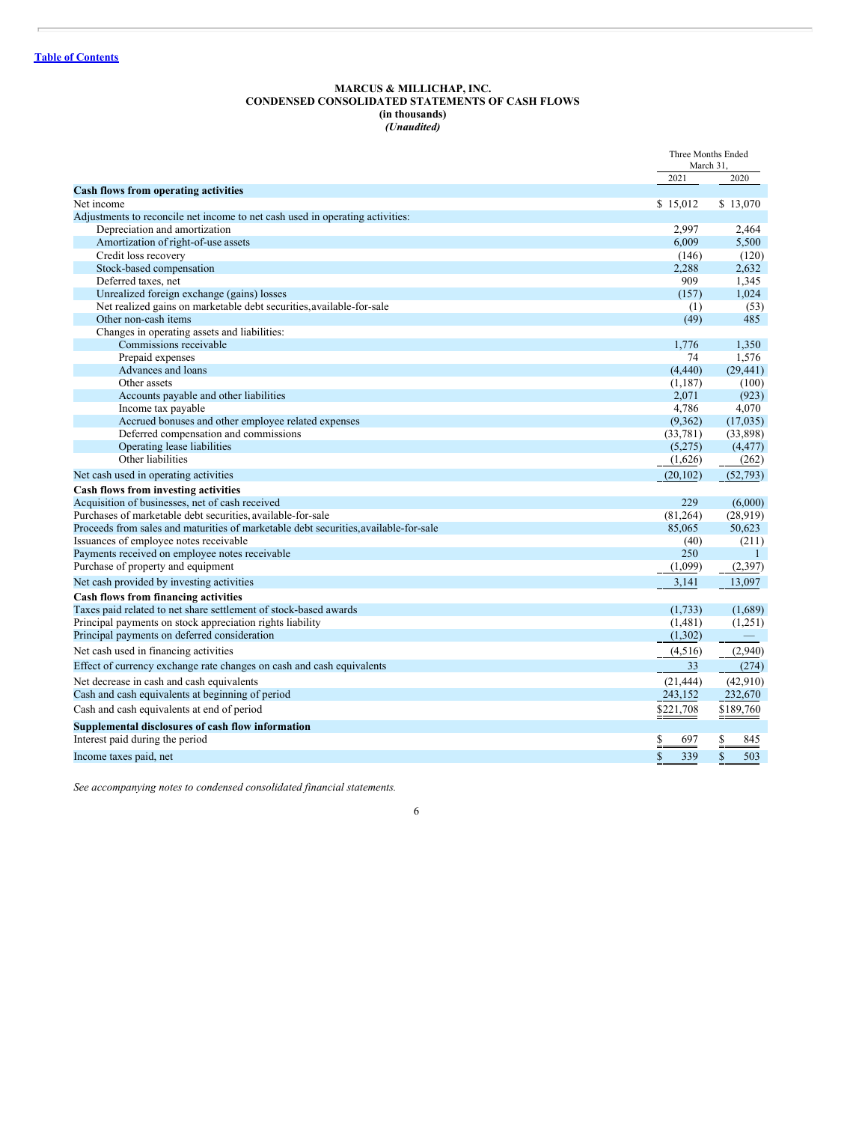#### **MARCUS & MILLICHAP, INC. CONDENSED CONSOLIDATED STATEMENTS OF CASH FLOWS (in thousands)** *(Unaudited)*

<span id="page-5-0"></span>

|                                                                                      | Three Months Ended<br>March 31, |                     |
|--------------------------------------------------------------------------------------|---------------------------------|---------------------|
|                                                                                      | 2021                            | 2020                |
| <b>Cash flows from operating activities</b>                                          |                                 |                     |
| Net income                                                                           | \$15,012                        | \$13,070            |
| Adjustments to reconcile net income to net cash used in operating activities:        |                                 |                     |
| Depreciation and amortization                                                        | 2.997                           | 2.464               |
| Amortization of right-of-use assets<br>Credit loss recovery                          | 6,009                           | 5,500               |
| Stock-based compensation                                                             | (146)                           | (120)               |
| Deferred taxes, net                                                                  | 2,288<br>909                    | 2,632<br>1,345      |
| Unrealized foreign exchange (gains) losses                                           | (157)                           | 1,024               |
| Net realized gains on marketable debt securities, available-for-sale                 | (1)                             | (53)                |
| Other non-cash items                                                                 | (49)                            | 485                 |
| Changes in operating assets and liabilities:                                         |                                 |                     |
| Commissions receivable                                                               | 1.776                           | 1,350               |
| Prepaid expenses                                                                     | 74                              | 1,576               |
| Advances and loans                                                                   | (4, 440)                        | (29, 441)           |
| Other assets                                                                         | (1,187)                         | (100)               |
| Accounts payable and other liabilities                                               | 2,071                           | (923)               |
| Income tax payable                                                                   | 4,786                           | 4,070               |
| Accrued bonuses and other employee related expenses                                  | (9.362)                         | (17,035)            |
| Deferred compensation and commissions                                                | (33, 781)                       | (33,898)            |
| Operating lease liabilities                                                          | (5,275)                         | (4, 477)            |
| Other liabilities                                                                    | (1,626)                         | (262)               |
| Net cash used in operating activities                                                | (20, 102)                       | (52, 793)           |
| Cash flows from investing activities                                                 |                                 |                     |
| Acquisition of businesses, net of cash received                                      | 229                             | (6,000)             |
| Purchases of marketable debt securities, available-for-sale                          | (81, 264)                       | (28.919)            |
| Proceeds from sales and maturities of marketable debt securities, available-for-sale | 85,065                          | 50,623              |
| Issuances of employee notes receivable                                               | (40)                            | (211)               |
| Payments received on employee notes receivable                                       | 250                             | -1                  |
| Purchase of property and equipment                                                   | (1,099)                         | (2,397)             |
| Net cash provided by investing activities                                            | 3,141                           | 13,097              |
| Cash flows from financing activities                                                 |                                 |                     |
| Taxes paid related to net share settlement of stock-based awards                     | (1,733)                         | (1,689)             |
| Principal payments on stock appreciation rights liability                            | (1,481)                         | (1,251)             |
| Principal payments on deferred consideration                                         | (1,302)                         |                     |
| Net cash used in financing activities                                                | (4,516)                         | (2,940)             |
| Effect of currency exchange rate changes on cash and cash equivalents                | 33                              | (274)               |
| Net decrease in cash and cash equivalents                                            | (21, 444)                       | (42,910)            |
| Cash and cash equivalents at beginning of period                                     | 243,152                         | 232,670             |
| Cash and cash equivalents at end of period                                           | \$221,708                       | \$189,760           |
| Supplemental disclosures of cash flow information                                    |                                 |                     |
| Interest paid during the period                                                      | $\frac{1}{2}$<br>697            | 845                 |
| Income taxes paid, net                                                               | $\mathbb{S}$<br>339             | $\mathbb{S}$<br>503 |

*See accompanying notes to condensed consolidated financial statements.*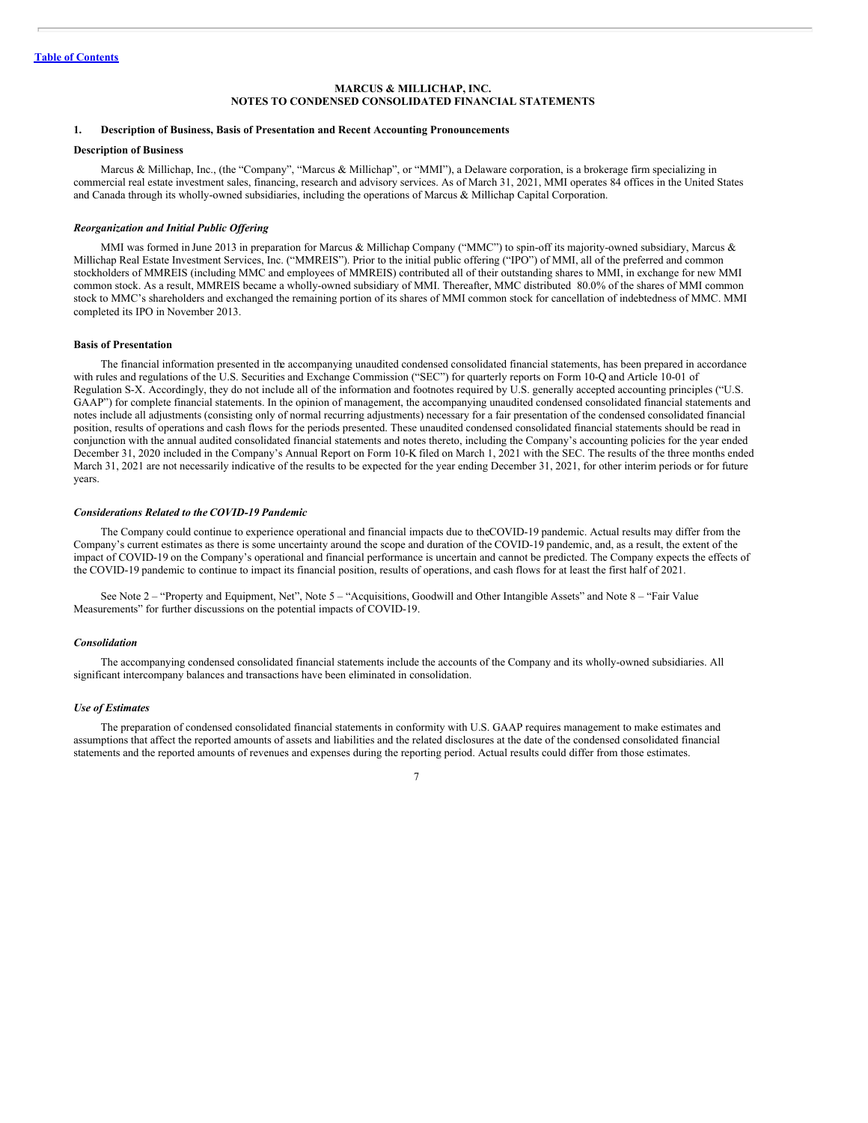## <span id="page-6-0"></span>**1. Description of Business, Basis of Presentation and Recent Accounting Pronouncements**

#### **Description of Business**

Marcus & Millichap, Inc., (the "Company", "Marcus & Millichap", or "MMI"), a Delaware corporation, is a brokerage firm specializing in commercial real estate investment sales, financing, research and advisory services. As of March 31, 2021, MMI operates 84 offices in the United States and Canada through its wholly-owned subsidiaries, including the operations of Marcus & Millichap Capital Corporation.

#### *Reorganization and Initial Public Of ering*

MMI was formed in June 2013 in preparation for Marcus & Millichap Company ("MMC") to spin-off its majority-owned subsidiary, Marcus & Millichap Real Estate Investment Services, Inc. ("MMREIS"). Prior to the initial public offering ("IPO") of MMI, all of the preferred and common stockholders of MMREIS (including MMC and employees of MMREIS) contributed all of their outstanding shares to MMI, in exchange for new MMI common stock. As a result, MMREIS became a wholly-owned subsidiary of MMI. Thereafter, MMC distributed 80.0% of the shares of MMI common stock to MMC's shareholders and exchanged the remaining portion of its shares of MMI common stock for cancellation of indebtedness of MMC. MMI completed its IPO in November 2013.

#### **Basis of Presentation**

The financial information presented in the accompanying unaudited condensed consolidated financial statements, has been prepared in accordance with rules and regulations of the U.S. Securities and Exchange Commission ("SEC") for quarterly reports on Form 10-Q and Article 10-01 of Regulation S-X. Accordingly, they do not include all of the information and footnotes required by U.S. generally accepted accounting principles ("U.S. GAAP") for complete financial statements. In the opinion of management, the accompanying unaudited condensed consolidated financial statements and notes include all adjustments (consisting only of normal recurring adjustments) necessary for a fair presentation of the condensed consolidated financial position, results of operations and cash flows for the periods presented. These unaudited condensed consolidated financial statements should be read in conjunction with the annual audited consolidated financial statements and notes thereto, including the Company's accounting policies for the year ended December 31, 2020 included in the Company's Annual Report on Form 10-K filed on March 1, 2021 with the SEC. The results of the three months ended March 31, 2021 are not necessarily indicative of the results to be expected for the year ending December 31, 2021, for other interim periods or for future years.

## *Considerations Related to the COVID-19 Pandemic*

The Company could continue to experience operational and financial impacts due to theCOVID-19 pandemic. Actual results may differ from the Company's current estimates as there is some uncertainty around the scope and duration of the COVID-19 pandemic, and, as a result, the extent of the impact of COVID-19 on the Company's operational and financial performance is uncertain and cannot be predicted. The Company expects the effects of the COVID-19 pandemic to continue to impact its financial position, results of operations, and cash flows for at least the first half of 2021.

See Note 2 – "Property and Equipment, Net", Note 5 – "Acquisitions, Goodwill and Other Intangible Assets" and Note 8 – "Fair Value Measurements" for further discussions on the potential impacts of COVID-19.

#### *Consolidation*

The accompanying condensed consolidated financial statements include the accounts of the Company and its wholly-owned subsidiaries. All significant intercompany balances and transactions have been eliminated in consolidation.

## *Use of Estimates*

The preparation of condensed consolidated financial statements in conformity with U.S. GAAP requires management to make estimates and assumptions that affect the reported amounts of assets and liabilities and the related disclosures at the date of the condensed consolidated financial statements and the reported amounts of revenues and expenses during the reporting period. Actual results could differ from those estimates.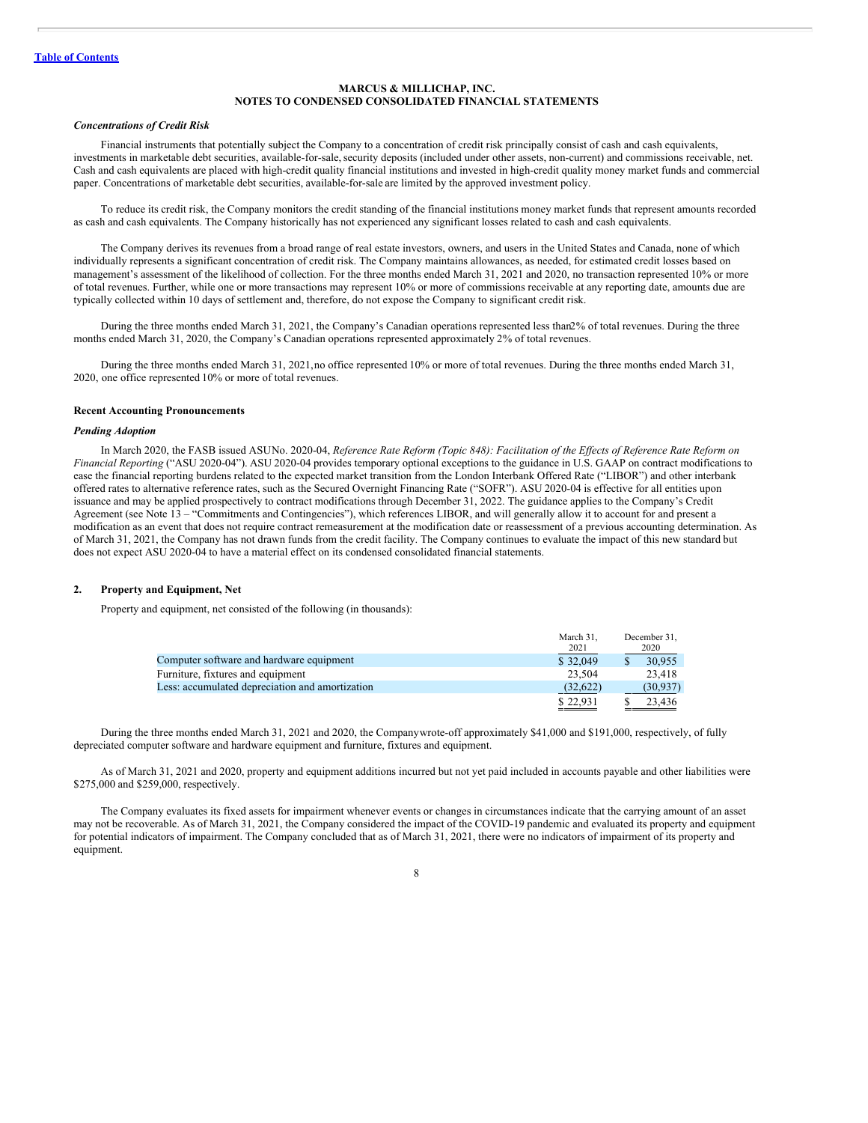#### *Concentrations of Credit Risk*

Financial instruments that potentially subject the Company to a concentration of credit risk principally consist of cash and cash equivalents, investments in marketable debt securities, available-for-sale,security deposits (included under other assets, non-current) and commissions receivable, net. Cash and cash equivalents are placed with high-credit quality financial institutions and invested in high-credit quality money market funds and commercial paper. Concentrations of marketable debt securities, available-for-sale are limited by the approved investment policy.

To reduce its credit risk, the Company monitors the credit standing of the financial institutions money market funds that represent amounts recorded as cash and cash equivalents. The Company historically has not experienced any significant losses related to cash and cash equivalents.

The Company derives its revenues from a broad range of real estate investors, owners, and users in the United States and Canada, none of which individually represents a significant concentration of credit risk. The Company maintains allowances, as needed, for estimated credit losses based on management's assessment of the likelihood of collection. For the three months ended March 31, 2021 and 2020, no transaction represented 10% or more of total revenues. Further, while one or more transactions may represent 10% or more of commissions receivable at any reporting date, amounts due are typically collected within 10 days of settlement and, therefore, do not expose the Company to significant credit risk.

During the three months ended March 31, 2021, the Company's Canadian operations represented less than2% of total revenues. During the three months ended March 31, 2020, the Company's Canadian operations represented approximately 2% of total revenues.

During the three months ended March 31, 2021,no office represented 10% or more of total revenues. During the three months ended March 31, 2020, one office represented 10% or more of total revenues.

## **Recent Accounting Pronouncements**

## *Pending Adoption*

In March 2020, the FASB issued ASUNo. 2020-04, Reference Rate Reform (Topic 848): Facilitation of the Effects of Reference Rate Reform on *Financial Reporting* ("ASU 2020-04"). ASU 2020-04 provides temporary optional exceptions to the guidance in U.S. GAAP on contract modifications to ease the financial reporting burdens related to the expected market transition from the London Interbank Offered Rate ("LIBOR") and other interbank offered rates to alternative reference rates, such as the Secured Overnight Financing Rate ("SOFR"). ASU 2020-04 is effective for all entities upon issuance and may be applied prospectively to contract modifications through December 31, 2022. The guidance applies to the Company's Credit Agreement (see Note 13 – "Commitments and Contingencies"), which references LIBOR, and will generally allow it to account for and present a modification as an event that does not require contract remeasurement at the modification date or reassessment of a previous accounting determination. As of March 31, 2021, the Company has not drawn funds from the credit facility. The Company continues to evaluate the impact of this new standard but does not expect ASU 2020-04 to have a material effect on its condensed consolidated financial statements.

#### **2. Property and Equipment, Net**

Property and equipment, net consisted of the following (in thousands):

|                                                 | March 31.<br>2021 | December 31.<br>2020 |
|-------------------------------------------------|-------------------|----------------------|
| Computer software and hardware equipment        | \$32,049          | 30.955               |
| Furniture, fixtures and equipment               | 23.504            | 23.418               |
| Less: accumulated depreciation and amortization | (32, 622)         | (30, 937)            |
|                                                 | \$22.931          | 23.436               |

During the three months ended March 31, 2021 and 2020, the Companywrote-off approximately \$41,000 and \$191,000, respectively, of fully depreciated computer software and hardware equipment and furniture, fixtures and equipment.

As of March 31, 2021 and 2020, property and equipment additions incurred but not yet paid included in accounts payable and other liabilities were \$275,000 and \$259,000, respectively.

The Company evaluates its fixed assets for impairment whenever events or changes in circumstances indicate that the carrying amount of an asset may not be recoverable. As of March 31, 2021, the Company considered the impact of the COVID-19 pandemic and evaluated its property and equipment for potential indicators of impairment. The Company concluded that as of March 31, 2021, there were no indicators of impairment of its property and equipment.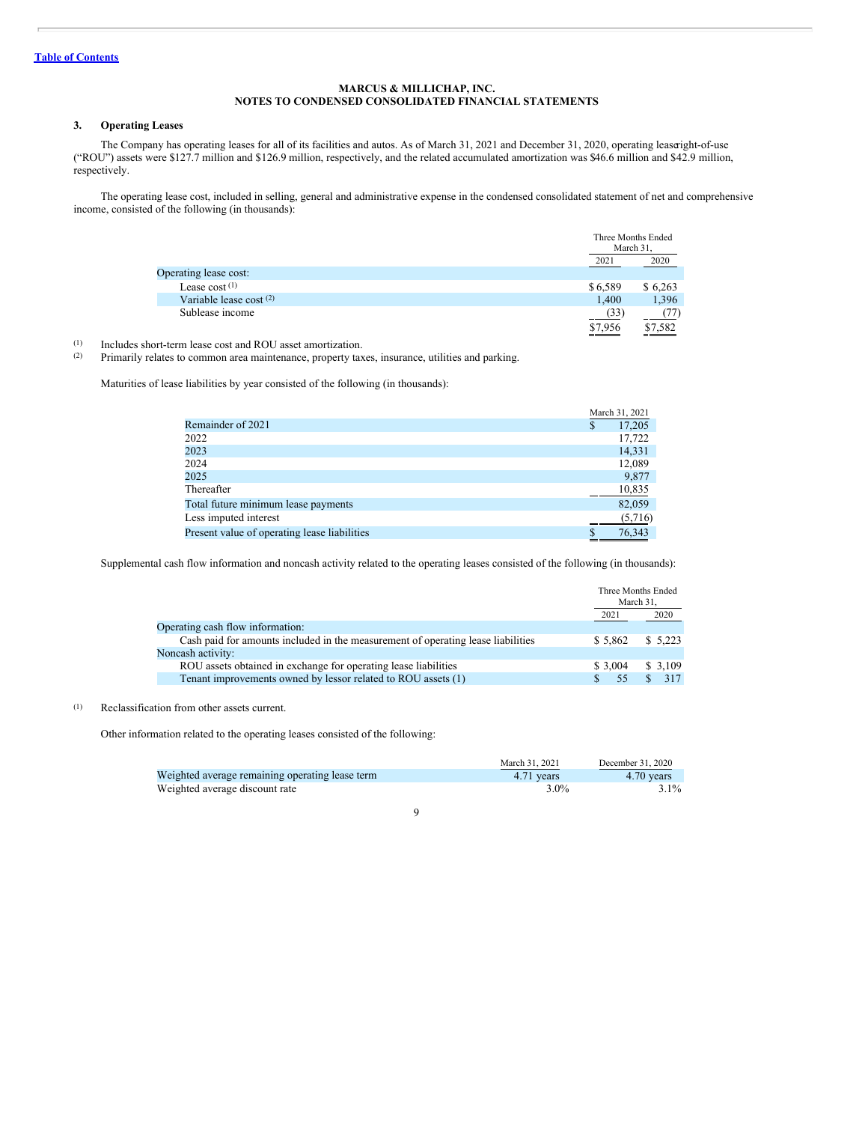## **3. Operating Leases**

The Company has operating leases for all of its facilities and autos. As of March 31, 2021 and December 31, 2020, operating leaseright-of-use ("ROU") assets were \$127.7 million and \$126.9 million, respectively, and the related accumulated amortization was \$46.6 million and \$42.9 million, respectively.

The operating lease cost, included in selling, general and administrative expense in the condensed consolidated statement of net and comprehensive income, consisted of the following (in thousands):

|                         | Three Months Ended<br>March 31, |         |
|-------------------------|---------------------------------|---------|
|                         | 2021                            | 2020    |
| Operating lease cost:   |                                 |         |
| Lease $cost(1)$         | \$6,589                         | \$6,263 |
| Variable lease cost (2) | 1.400                           | 1,396   |
| Sublease income         | (33)                            |         |
|                         | \$7,956                         | \$7,582 |

(1) Includes short-term lease cost and ROU asset amortization.<br>(2) Primarily relates to common area maintenance, property tax

Primarily relates to common area maintenance, property taxes, insurance, utilities and parking.

Maturities of lease liabilities by year consisted of the following (in thousands):

|                                              | March 31, 2021 |
|----------------------------------------------|----------------|
| Remainder of 2021                            | \$<br>17,205   |
| 2022                                         | 17,722         |
| 2023                                         | 14,331         |
| 2024                                         | 12,089         |
| 2025                                         | 9,877          |
| Thereafter                                   | 10,835         |
| Total future minimum lease payments          | 82,059         |
| Less imputed interest                        | (5,716)        |
| Present value of operating lease liabilities | 76,343         |

Supplemental cash flow information and noncash activity related to the operating leases consisted of the following (in thousands):

|                                                                                  |         | Three Months Ended<br>March 31, |
|----------------------------------------------------------------------------------|---------|---------------------------------|
|                                                                                  | 2021    | 2020                            |
| Operating cash flow information:                                                 |         |                                 |
| Cash paid for amounts included in the measurement of operating lease liabilities | \$5.862 | \$5,223                         |
| Noncash activity:                                                                |         |                                 |
| ROU assets obtained in exchange for operating lease liabilities                  | \$3.004 | \$3,109                         |
| Tenant improvements owned by lessor related to ROU assets (1)                    | 55      | 317                             |

## (1) Reclassification from other assets current.

Other information related to the operating leases consisted of the following:

|                                                 | March 31, 2021 | December 31, 2020 |
|-------------------------------------------------|----------------|-------------------|
| Weighted average remaining operating lease term | 4.71 years     | $4.70$ vears      |
| Weighted average discount rate                  | $3.0\%$        | $3.1\%$           |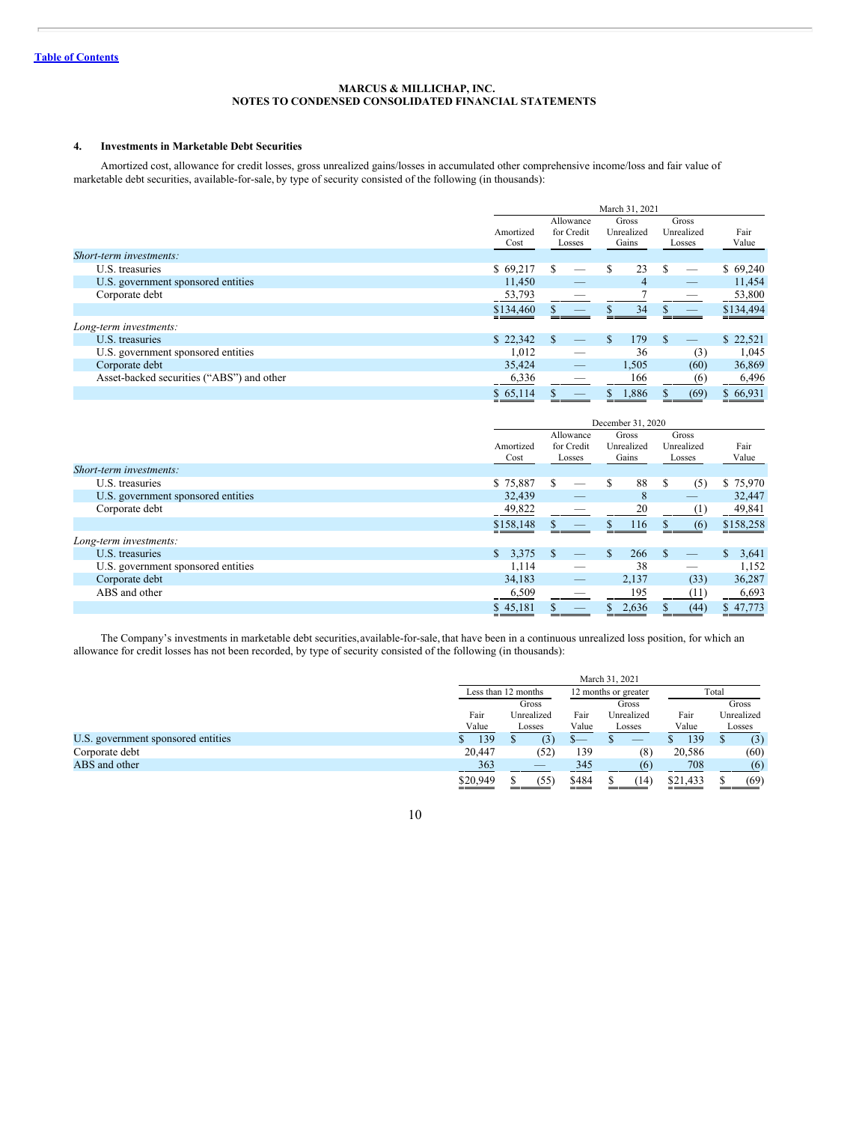## **4. Investments in Marketable Debt Securities**

Amortized cost, allowance for credit losses, gross unrealized gains/losses in accumulated other comprehensive income/loss and fair value of marketable debt securities, available-for-sale, by type of security consisted of the following (in thousands):

|                                           | March 31, 2021    |                                   |                              |                               |               |
|-------------------------------------------|-------------------|-----------------------------------|------------------------------|-------------------------------|---------------|
|                                           | Amortized<br>Cost | Allowance<br>for Credit<br>Losses | Gross<br>Unrealized<br>Gains | Gross<br>Unrealized<br>Losses | Fair<br>Value |
| Short-term investments:                   |                   |                                   |                              |                               |               |
| U.S. treasuries                           | \$69.217          |                                   | 23<br>S                      | -S                            | \$69,240      |
| U.S. government sponsored entities        | 11,450            |                                   | 4                            |                               | 11,454        |
| Corporate debt                            | 53,793            |                                   |                              |                               | 53,800        |
|                                           | \$134,460         |                                   | 34                           |                               | \$134,494     |
| Long-term investments:                    |                   |                                   |                              |                               |               |
| U.S. treasuries                           | \$22,342          | -S                                | 179                          | -S                            | \$22,521      |
| U.S. government sponsored entities        | 1,012             |                                   | 36                           | (3)                           | 1,045         |
| Corporate debt                            | 35,424            |                                   | 1,505                        | (60)                          | 36,869        |
| Asset-backed securities ("ABS") and other | 6,336             |                                   | 166                          | (6)                           | 6,496         |
|                                           | \$65,114          |                                   | 1,886                        | (69)                          | \$66,931      |

|                                    | December 31, 2020 |                                   |                              |                               |                       |
|------------------------------------|-------------------|-----------------------------------|------------------------------|-------------------------------|-----------------------|
|                                    | Amortized<br>Cost | Allowance<br>for Credit<br>Losses | Gross<br>Unrealized<br>Gains | Gross<br>Unrealized<br>Losses | Fair<br>Value         |
| Short-term investments:            |                   |                                   |                              |                               |                       |
| U.S. treasuries                    | \$75,887          | £.                                | 88<br>\$.                    | S<br>(5)                      | \$75,970              |
| U.S. government sponsored entities | 32,439            | _                                 | 8                            | _                             | 32,447                |
| Corporate debt                     | 49,822            |                                   | 20                           | (1)                           | 49,841                |
|                                    | \$158,148         |                                   | 116                          | (6)                           | \$158,258             |
| Long-term investments:             |                   |                                   |                              |                               |                       |
| U.S. treasuries                    | \$<br>3,375       |                                   | \$.<br>266                   |                               | 3,641<br>$\mathbb{S}$ |
| U.S. government sponsored entities | 1.114             | _                                 | 38                           | _                             | 1,152                 |
| Corporate debt                     | 34.183            |                                   | 2,137                        | (33)                          | 36,287                |
| ABS and other                      | 6,509             | _                                 | 195                          | (11)                          | 6,693                 |
|                                    | \$45,181          |                                   | 2,636                        | (44)                          | \$47,773              |

The Company's investments in marketable debt securities,available-for-sale, that have been in a continuous unrealized loss position, for which an allowance for credit losses has not been recorded, by type of security consisted of the following (in thousands):

|                                    | March 31, 2021 |                     |       |                      |                   |            |  |       |  |       |
|------------------------------------|----------------|---------------------|-------|----------------------|-------------------|------------|--|-------|--|-------|
|                                    |                | Less than 12 months |       | 12 months or greater |                   | Total      |  |       |  |       |
|                                    |                | Gross               |       |                      |                   |            |  | Gross |  | Gross |
|                                    | Fair           | Unrealized          | Fair  | Unrealized           | Fair              | Unrealized |  |       |  |       |
|                                    | Value          | Losses              | Value | Losses               | Value             | Losses     |  |       |  |       |
| U.S. government sponsored entities | 139            |                     |       | _                    | 139               | (3)        |  |       |  |       |
| Corporate debt                     | 20,447         | (52)                | 139   | (8)                  | 20,586            | (60)       |  |       |  |       |
| ABS and other                      | 363            |                     | 345   |                      | 708               | (6)        |  |       |  |       |
|                                    | \$20,949       | (55)                | \$484 | (14                  | \$21,433<br>_____ | (69)       |  |       |  |       |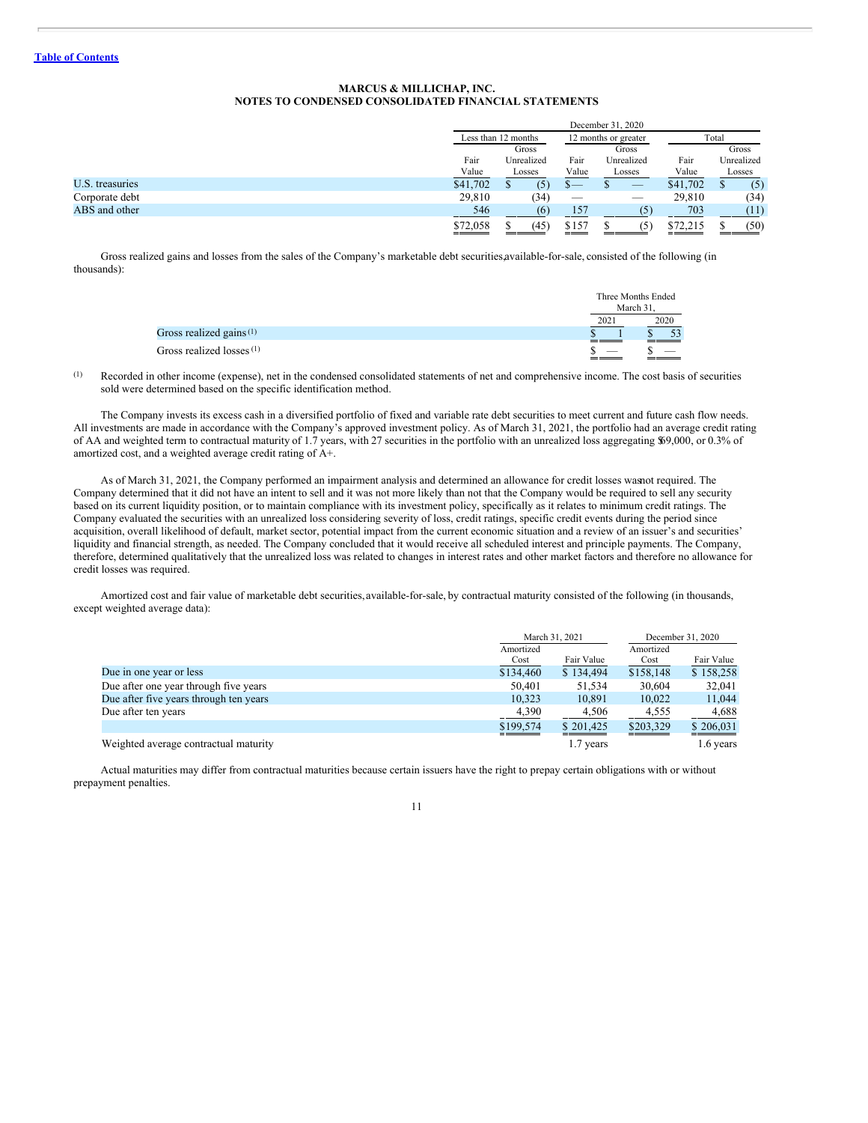|                 |                   |                     |                          | December 31, 2020        |          |            |  |       |
|-----------------|-------------------|---------------------|--------------------------|--------------------------|----------|------------|--|-------|
|                 |                   | Less than 12 months |                          | 12 months or greater     |          | Total      |  |       |
|                 |                   | Gross               |                          |                          |          | Gross      |  | Gross |
|                 | Fair              | Unrealized          | Fair                     | Unrealized               | Fair     | Unrealized |  |       |
|                 | Value             | Losses              | Value                    | Losses                   | Value    | Losses     |  |       |
| U.S. treasuries | \$41,702          | (5)                 | .ъ—                      | $\overline{\phantom{a}}$ | \$41,702 | (5)        |  |       |
| Corporate debt  | 29,810            | (34)                | $\overline{\phantom{a}}$ |                          | 29,810   | (34)       |  |       |
| ABS and other   | 546               | (6)                 | 157                      |                          | 703      | (11)       |  |       |
|                 | \$72,058<br>_____ | (45)                | \$157                    |                          | \$72,215 | (50)       |  |       |

Gross realized gains and losses from the sales of the Company's marketable debt securities,available-for-sale, consisted of the following (in thousands):

|                                      |                                      | Three Months Ended<br>March 31. |
|--------------------------------------|--------------------------------------|---------------------------------|
|                                      | 2021                                 | 2020                            |
| Gross realized gains $(1)$           |                                      |                                 |
| Gross realized losses <sup>(1)</sup> | ________<br>$\overline{\phantom{a}}$ |                                 |

(1) Recorded in other income (expense), net in the condensed consolidated statements of net and comprehensive income. The cost basis of securities sold were determined based on the specific identification method.

The Company invests its excess cash in a diversified portfolio of fixed and variable rate debt securities to meet current and future cash flow needs. All investments are made in accordance with the Company's approved investment policy. As of March 31, 2021, the portfolio had an average credit rating of AA and weighted term to contractual maturity of 1.7 years, with 27 securities in the portfolio with an unrealized loss aggregating \$69,000, or 0.3% of amortized cost, and a weighted average credit rating of A+.

As of March 31, 2021, the Company performed an impairment analysis and determined an allowance for credit losses wasnot required. The Company determined that it did not have an intent to sell and it was not more likely than not that the Company would be required to sell any security based on its current liquidity position, or to maintain compliance with its investment policy, specifically as it relates to minimum credit ratings. The Company evaluated the securities with an unrealized loss considering severity of loss, credit ratings, specific credit events during the period since acquisition, overall likelihood of default, market sector, potential impact from the current economic situation and a review of an issuer's and securities' liquidity and financial strength, as needed. The Company concluded that it would receive all scheduled interest and principle payments. The Company, therefore, determined qualitatively that the unrealized loss was related to changes in interest rates and other market factors and therefore no allowance for credit losses was required.

Amortized cost and fair value of marketable debt securities,available-for-sale, by contractual maturity consisted of the following (in thousands, except weighted average data):

|                                        |           | March 31, 2021 | December 31, 2020 |            |  |
|----------------------------------------|-----------|----------------|-------------------|------------|--|
|                                        | Amortized |                | Amortized         |            |  |
|                                        | Cost      | Fair Value     | Cost              | Fair Value |  |
| Due in one year or less                | \$134,460 | \$134,494      | \$158,148         | \$158,258  |  |
| Due after one year through five years  | 50,401    | 51.534         | 30,604            | 32,041     |  |
| Due after five years through ten years | 10,323    | 10.891         | 10,022            | 11,044     |  |
| Due after ten years                    | 4,390     | 4,506          | 4,555             | 4,688      |  |
|                                        | \$199,574 | \$201,425      | \$203,329         | \$206,031  |  |
| Weighted average contractual maturity  |           | 1.7 years      |                   | 1.6 years  |  |

Actual maturities may differ from contractual maturities because certain issuers have the right to prepay certain obligations with or without prepayment penalties.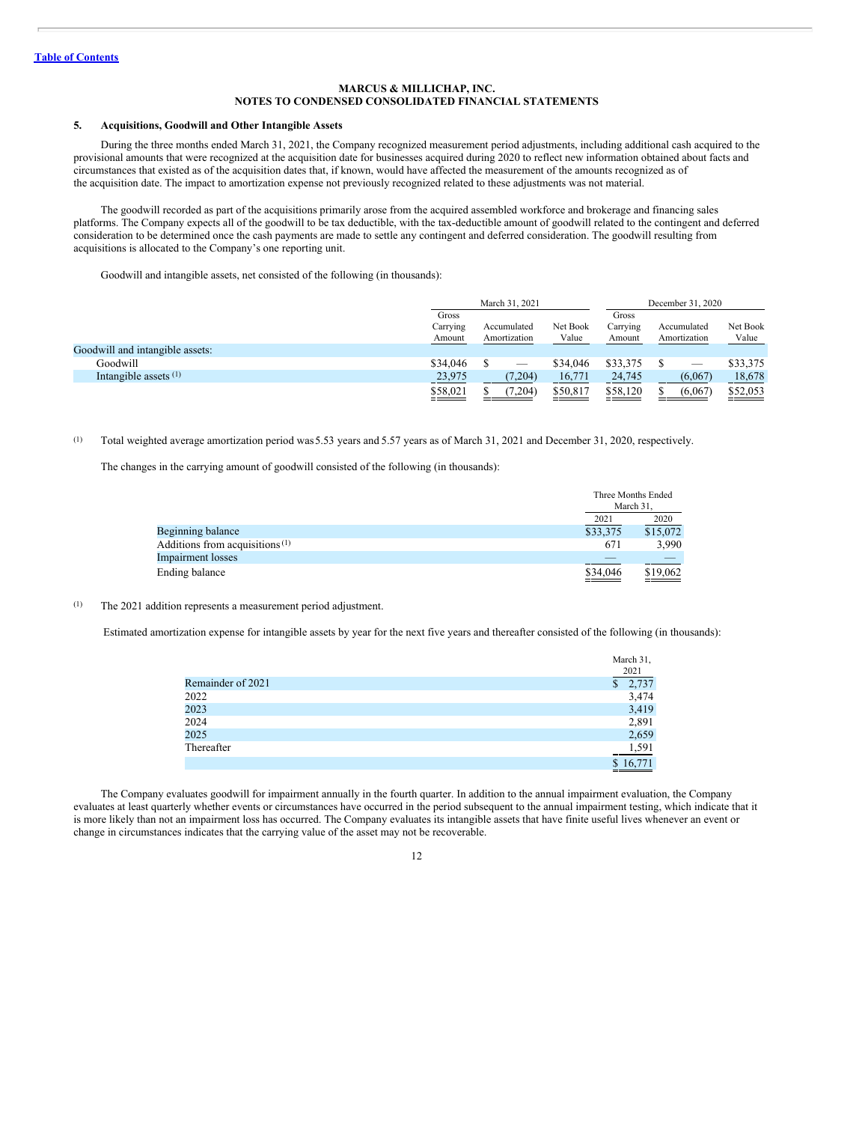## **5. Acquisitions, Goodwill and Other Intangible Assets**

During the three months ended March 31, 2021, the Company recognized measurement period adjustments, including additional cash acquired to the provisional amounts that were recognized at the acquisition date for businesses acquired during 2020 to reflect new information obtained about facts and circumstances that existed as of the acquisition dates that, if known, would have affected the measurement of the amounts recognized as of the acquisition date. The impact to amortization expense not previously recognized related to these adjustments was not material.

The goodwill recorded as part of the acquisitions primarily arose from the acquired assembled workforce and brokerage and financing sales platforms. The Company expects all of the goodwill to be tax deductible, with the tax-deductible amount of goodwill related to the contingent and deferred consideration to be determined once the cash payments are made to settle any contingent and deferred consideration. The goodwill resulting from acquisitions is allocated to the Company's one reporting unit.

Goodwill and intangible assets, net consisted of the following (in thousands):

|                                 |                             | March 31, 2021 |                             |                   | December 31, 2020           |  |                             |                   |
|---------------------------------|-----------------------------|----------------|-----------------------------|-------------------|-----------------------------|--|-----------------------------|-------------------|
|                                 | Gross<br>Carrying<br>Amount |                | Accumulated<br>Amortization | Net Book<br>Value | Gross<br>Carrying<br>Amount |  | Accumulated<br>Amortization | Net Book<br>Value |
| Goodwill and intangible assets: |                             |                |                             |                   |                             |  |                             |                   |
| Goodwill                        | \$34,046                    |                |                             | \$34,046          | \$33,375                    |  |                             | \$33,375          |
| Intangible assets $(1)$         | 23,975                      |                | (7,204)                     | 16,771            | 24,745                      |  | (6,067)                     | 18,678            |
|                                 | \$58,021                    |                | (7,204)                     | \$50,817          | \$58,120                    |  | (6,067)                     | \$52,053          |

#### (1) Total weighted average amortization period was5.53 years and 5.57 years as of March 31, 2021 and December 31, 2020, respectively.

The changes in the carrying amount of goodwill consisted of the following (in thousands):

|                                   |          | Three Months Ended<br>March 31, |
|-----------------------------------|----------|---------------------------------|
|                                   | 2021     | 2020                            |
| Beginning balance                 | \$33,375 | \$15,072                        |
| Additions from acquisitions $(1)$ | 671      | 3.990                           |
| <b>Impairment</b> losses          |          |                                 |
| Ending balance                    | \$34,046 | \$19,062                        |

## (1) The 2021 addition represents a measurement period adjustment.

Estimated amortization expense for intangible assets by year for the next five years and thereafter consisted of the following (in thousands):

|                   | March 31,             |
|-------------------|-----------------------|
|                   | 2021                  |
| Remainder of 2021 | 2,737<br>$\mathbb{S}$ |
| 2022              | 3,474                 |
| 2023              | 3,419                 |
| 2024              | 2,891                 |
| 2025              | 2,659                 |
| Thereafter        | 1,591                 |
|                   | \$16,771              |

The Company evaluates goodwill for impairment annually in the fourth quarter. In addition to the annual impairment evaluation, the Company evaluates at least quarterly whether events or circumstances have occurred in the period subsequent to the annual impairment testing, which indicate that it is more likely than not an impairment loss has occurred. The Company evaluates its intangible assets that have finite useful lives whenever an event or change in circumstances indicates that the carrying value of the asset may not be recoverable.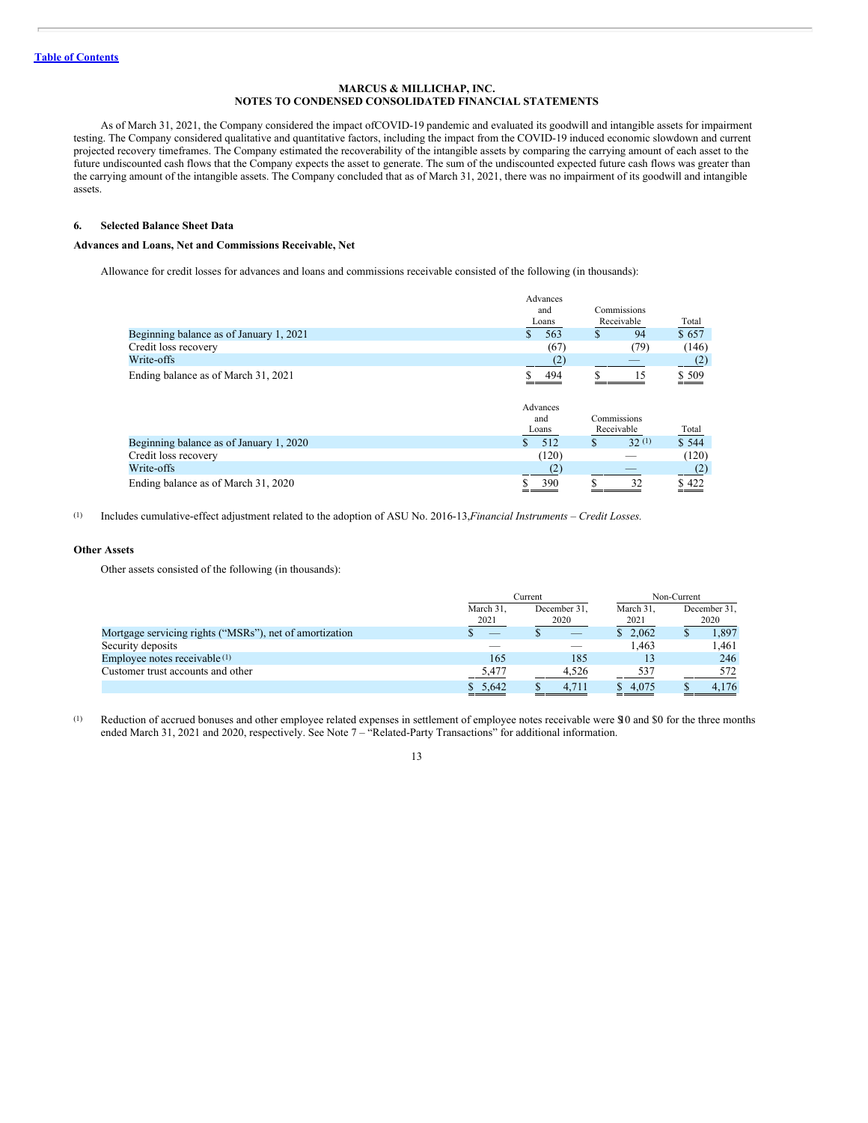As of March 31, 2021, the Company considered the impact ofCOVID-19 pandemic and evaluated its goodwill and intangible assets for impairment testing. The Company considered qualitative and quantitative factors, including the impact from the COVID-19 induced economic slowdown and current projected recovery timeframes. The Company estimated the recoverability of the intangible assets by comparing the carrying amount of each asset to the future undiscounted cash flows that the Company expects the asset to generate. The sum of the undiscounted expected future cash flows was greater than the carrying amount of the intangible assets. The Company concluded that as of March 31, 2021, there was no impairment of its goodwill and intangible assets.

## **6. Selected Balance Sheet Data**

## **Advances and Loans, Net and Commissions Receivable, Net**

Allowance for credit losses for advances and loans and commissions receivable consisted of the following (in thousands):

|                                         | Advances  |                       |       |  |
|-----------------------------------------|-----------|-----------------------|-------|--|
|                                         | and       | Commissions           |       |  |
|                                         | Loans     | Receivable            | Total |  |
| Beginning balance as of January 1, 2021 | 563<br>\$ | 94<br>\$              | \$657 |  |
| Credit loss recovery                    | (67)      | (79)                  | (146) |  |
| Write-offs                              | (2)       |                       | (2)   |  |
| Ending balance as of March 31, 2021     | 494       | 15                    | \$509 |  |
|                                         | Advances  |                       |       |  |
|                                         | and       | Commissions           |       |  |
|                                         | Loans     | Receivable            | Total |  |
| Beginning balance as of January 1, 2020 | 512       | 32(1)<br>$\mathbf{s}$ | \$544 |  |
| Credit loss recovery                    | (120)     |                       | (120) |  |
| Write-offs                              | (2)       |                       | (2)   |  |
| Ending balance as of March 31, 2020     | 390       | 32                    | \$422 |  |

(1) Includes cumulative-effect adjustment related to the adoption of ASU No. 2016-13,*Financial Instruments – Credit Losses.*

#### **Other Assets**

Other assets consisted of the following (in thousands):

|                                                         |                   | Current              | Non-Current       |                      |  |  |
|---------------------------------------------------------|-------------------|----------------------|-------------------|----------------------|--|--|
|                                                         | March 31.<br>2021 | December 31,<br>2020 | March 31,<br>2021 | December 31,<br>2020 |  |  |
| Mortgage servicing rights ("MSRs"), net of amortization | __                |                      | \$2.062           | 1,897                |  |  |
| Security deposits                                       |                   |                      | 1.463             | 1.461                |  |  |
| Employee notes receivable $(1)$                         | 165               | 185                  | 13                | 246                  |  |  |
| Customer trust accounts and other                       | 5,477             | 4.526                | 537               | 572                  |  |  |
|                                                         | \$5.642           | 4.711                | \$ 4,075          | 4.176                |  |  |

(1) Reduction of accrued bonuses and other employee related expenses in settlement of employee notes receivable were \$10 and \$0 for the three months ended March 31, 2021 and 2020, respectively. See Note 7 – "Related-Party Transactions" for additional information.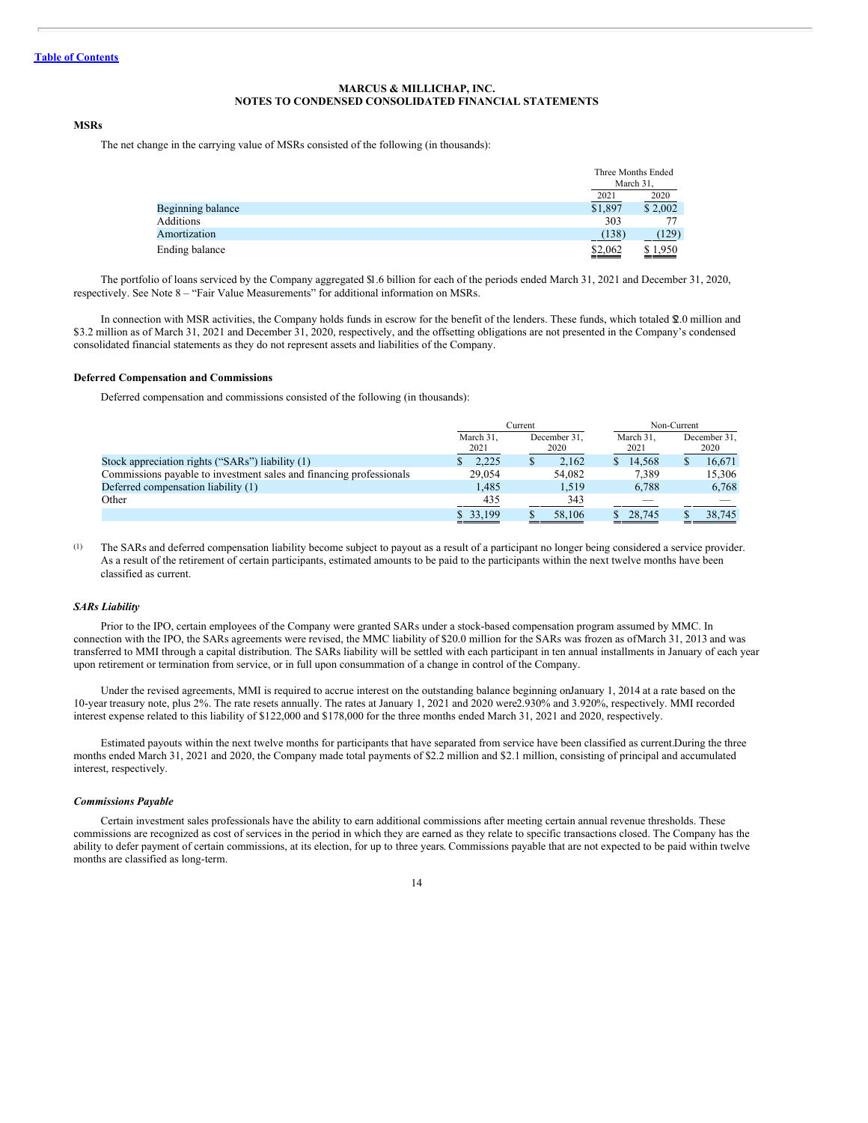## **MSRs**

The net change in the carrying value of MSRs consisted of the following (in thousands):

|                   | Three Months Ended<br>March 31. |                 |
|-------------------|---------------------------------|-----------------|
|                   | 2021                            | 2020            |
| Beginning balance | \$1,897                         | \$2,002         |
| Additions         | 303                             |                 |
| Amortization      | (138)                           | (129)           |
| Ending balance    | \$2,062<br>______               | \$1,950<br>____ |

The portfolio of loans serviced by the Company aggregated \$1.6 billion for each of the periods ended March 31, 2021 and December 31, 2020, respectively. See Note 8 – "Fair Value Measurements" for additional information on MSRs.

In connection with MSR activities, the Company holds funds in escrow for the benefit of the lenders. These funds, which totaled \$2.0 million and \$3.2 million as of March 31, 2021 and December 31, 2020, respectively, and the offsetting obligations are not presented in the Company's condensed consolidated financial statements as they do not represent assets and liabilities of the Company.

#### **Deferred Compensation and Commissions**

Deferred compensation and commissions consisted of the following (in thousands):

|                                                                     |                   | Current              | Non-Current             |                      |  |  |
|---------------------------------------------------------------------|-------------------|----------------------|-------------------------|----------------------|--|--|
|                                                                     | March 31,<br>2021 | December 31.<br>2020 | March 31.<br>2021       | December 31,<br>2020 |  |  |
| Stock appreciation rights ("SARs") liability (1)                    | 2.225             | 2.162                | 14.568<br><sup>\$</sup> | 16.671               |  |  |
| Commissions payable to investment sales and financing professionals | 29,054            | 54,082               | 7,389                   | 15.306               |  |  |
| Deferred compensation liability (1)                                 | 1.485             | 1.519                | 6.788                   | 6,768                |  |  |
| Other                                                               | 435               | 343                  |                         |                      |  |  |
|                                                                     | \$ 33,199         | 58,106               | 28,745                  | 38,745               |  |  |

(1) The SARs and deferred compensation liability become subject to payout as a result of a participant no longer being considered a service provider. As a result of the retirement of certain participants, estimated amounts to be paid to the participants within the next twelve months have been classified as current.

## *SARs Liability*

Prior to the IPO, certain employees of the Company were granted SARs under a stock-based compensation program assumed by MMC. In connection with the IPO, the SARs agreements were revised, the MMC liability of \$20.0 million for the SARs was frozen as ofMarch 31, 2013 and was transferred to MMI through a capital distribution. The SARs liability will be settled with each participant in ten annual installments in January of each year upon retirement or termination from service, or in full upon consummation of a change in control of the Company.

Under the revised agreements, MMI is required to accrue interest on the outstanding balance beginning onJanuary 1, 2014 at a rate based on the 10-year treasury note, plus 2%. The rate resets annually. The rates at January 1, 2021 and 2020 were2.930% and 3.920%, respectively. MMI recorded interest expense related to this liability of \$122,000 and \$178,000 for the three months ended March 31, 2021 and 2020, respectively.

Estimated payouts within the next twelve months for participants that have separated from service have been classified as current.During the three months ended March 31, 2021 and 2020, the Company made total payments of \$2.2 million and \$2.1 million, consisting of principal and accumulated interest, respectively.

#### *Commissions Payable*

Certain investment sales professionals have the ability to earn additional commissions after meeting certain annual revenue thresholds. These commissions are recognized as cost of services in the period in which they are earned as they relate to specific transactions closed. The Company has the ability to defer payment of certain commissions, at its election, for up to three years. Commissions payable that are not expected to be paid within twelve months are classified as long-term.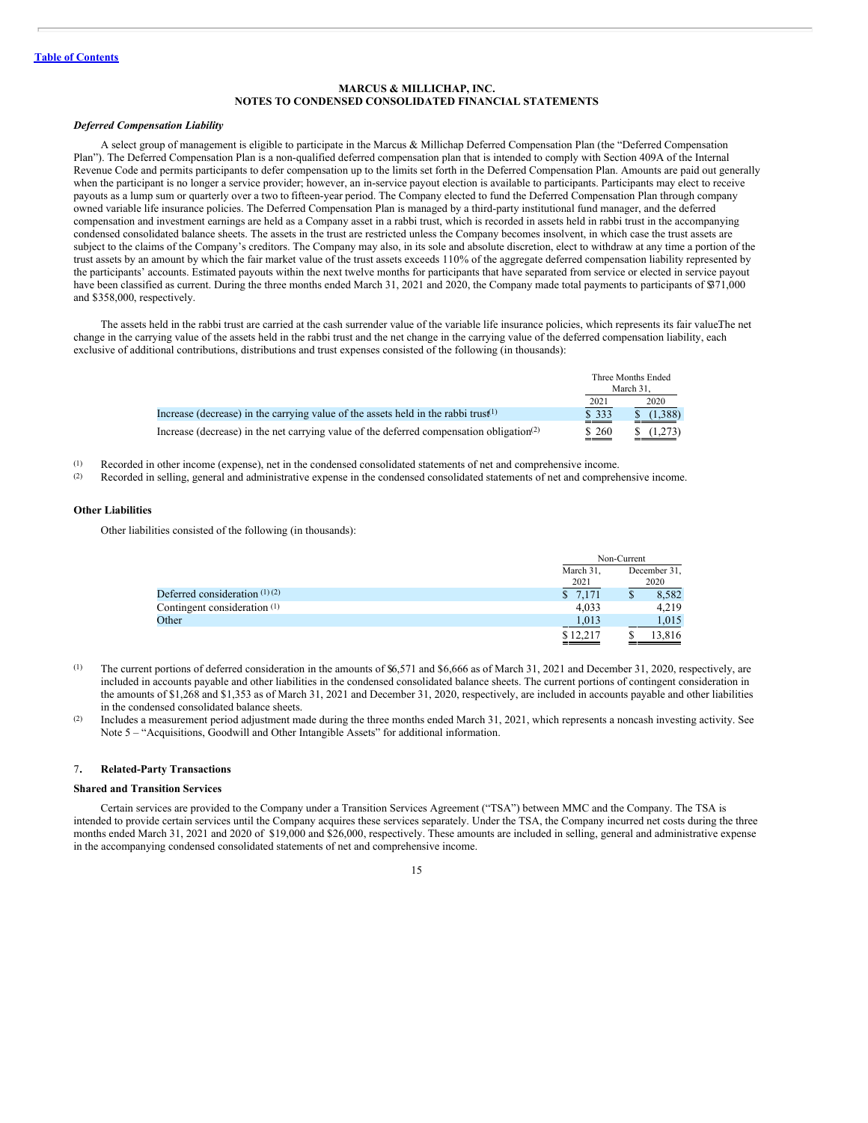## *Deferred Compensation Liability*

A select group of management is eligible to participate in the Marcus & Millichap Deferred Compensation Plan (the "Deferred Compensation Plan"). The Deferred Compensation Plan is a non-qualified deferred compensation plan that is intended to comply with Section 409A of the Internal Revenue Code and permits participants to defer compensation up to the limits set forth in the Deferred Compensation Plan. Amounts are paid out generally when the participant is no longer a service provider; however, an in-service payout election is available to participants. Participants may elect to receive payouts as a lump sum or quarterly over a two to fifteen-year period. The Company elected to fund the Deferred Compensation Plan through company owned variable life insurance policies. The Deferred Compensation Plan is managed by a third-party institutional fund manager, and the deferred compensation and investment earnings are held as a Company asset in a rabbi trust, which is recorded in assets held in rabbi trust in the accompanying condensed consolidated balance sheets. The assets in the trust are restricted unless the Company becomes insolvent, in which case the trust assets are subject to the claims of the Company's creditors. The Company may also, in its sole and absolute discretion, elect to withdraw at any time a portion of the trust assets by an amount by which the fair market value of the trust assets exceeds 110% of the aggregate deferred compensation liability represented by the participants' accounts. Estimated payouts within the next twelve months for participants that have separated from service or elected in service payout have been classified as current. During the three months ended March 31, 2021 and 2020, the Company made total payments to participants of \$371,000 and \$358,000, respectively.

The assets held in the rabbi trust are carried at the cash surrender value of the variable life insurance policies, which represents its fair valueThe net change in the carrying value of the assets held in the rabbi trust and the net change in the carrying value of the deferred compensation liability, each exclusive of additional contributions, distributions and trust expenses consisted of the following (in thousands):

|                                                                                                      |               | Three Months Ended<br>March 31. |
|------------------------------------------------------------------------------------------------------|---------------|---------------------------------|
|                                                                                                      | 2021          | 2020                            |
| Increase (decrease) in the carrying value of the assets held in the rabbi trust <sup>(1)</sup>       | \$333         | (1,388)                         |
| Increase (decrease) in the net carrying value of the deferred compensation obligation <sup>(2)</sup> | ____<br>\$260 | (1,273)                         |

(1) Recorded in other income (expense), net in the condensed consolidated statements of net and comprehensive income.

(2) Recorded in selling, general and administrative expense in the condensed consolidated statements of net and comprehensive income.

#### **Other Liabilities**

Other liabilities consisted of the following (in thousands):

|                                         |           | Non-Current |              |  |
|-----------------------------------------|-----------|-------------|--------------|--|
|                                         | March 31, |             | December 31, |  |
|                                         | 2021      |             | 2020         |  |
| Deferred consideration $(1)(2)$         | \$7,171   |             | 8,582        |  |
| Contingent consideration <sup>(1)</sup> | 4.033     |             | 4,219        |  |
| Other                                   | 1,013     |             | 1.015        |  |
|                                         | \$12,217  |             | 13.816       |  |

- (1) The current portions of deferred consideration in the amounts of \$6,571 and \$6,666 as of March 31, 2021 and December 31, 2020, respectively, are included in accounts payable and other liabilities in the condensed consolidated balance sheets. The current portions of contingent consideration in the amounts of \$1,268 and \$1,353 as of March 31, 2021 and December 31, 2020, respectively, are included in accounts payable and other liabilities in the condensed consolidated balance sheets.
- (2) Includes a measurement period adjustment made during the three months ended March 31, 2021, which represents a noncash investing activity. See Note 5 – "Acquisitions, Goodwill and Other Intangible Assets" for additional information.

#### 7**. Related-Party Transactions**

#### **Shared and Transition Services**

Certain services are provided to the Company under a Transition Services Agreement ("TSA") between MMC and the Company. The TSA is intended to provide certain services until the Company acquires these services separately. Under the TSA, the Company incurred net costs during the three months ended March 31, 2021 and 2020 of \$19,000 and \$26,000, respectively. These amounts are included in selling, general and administrative expense in the accompanying condensed consolidated statements of net and comprehensive income.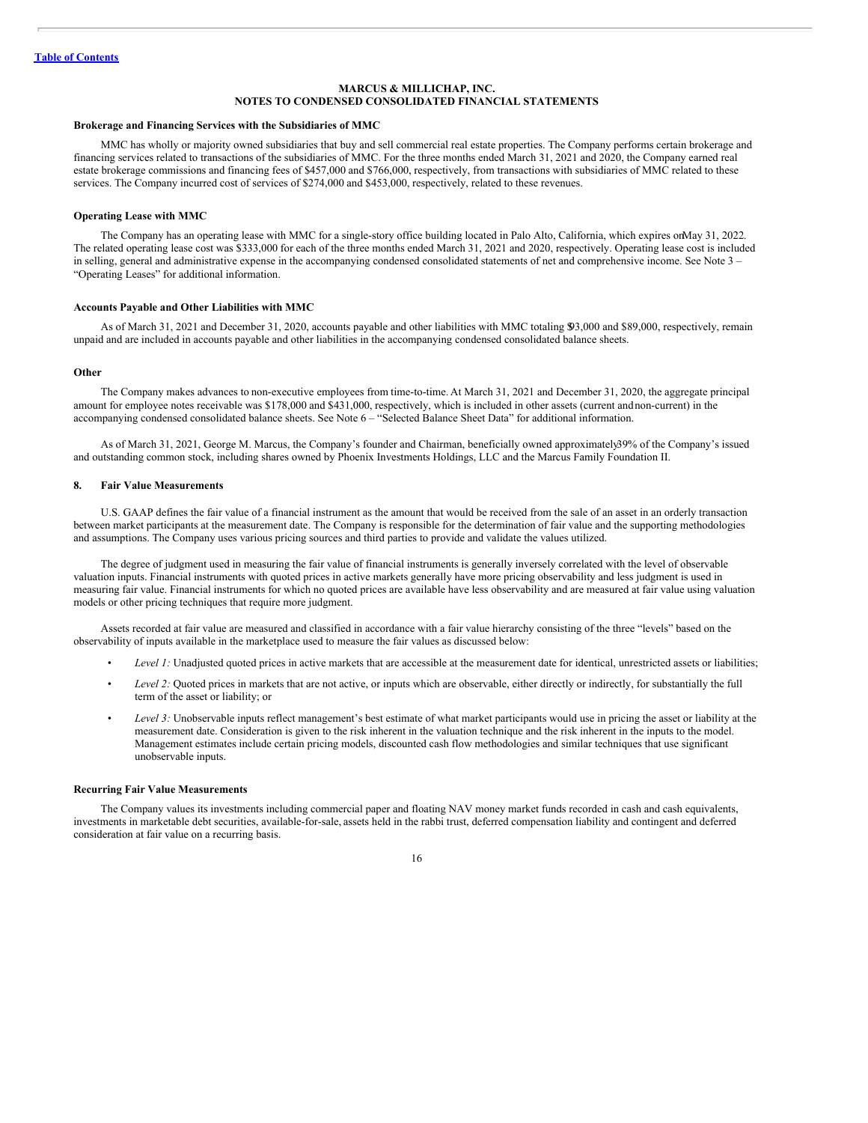#### **Brokerage and Financing Services with the Subsidiaries of MMC**

MMC has wholly or majority owned subsidiaries that buy and sell commercial real estate properties. The Company performs certain brokerage and financing services related to transactions of the subsidiaries of MMC. For the three months ended March 31, 2021 and 2020, the Company earned real estate brokerage commissions and financing fees of \$457,000 and \$766,000, respectively, from transactions with subsidiaries of MMC related to these services. The Company incurred cost of services of \$274,000 and \$453,000, respectively, related to these revenues.

## **Operating Lease with MMC**

The Company has an operating lease with MMC for a single-story office building located in Palo Alto, California, which expires onMay 31, 2022. The related operating lease cost was \$333,000 for each of the three months ended March 31, 2021 and 2020, respectively. Operating lease cost is included in selling, general and administrative expense in the accompanying condensed consolidated statements of net and comprehensive income. See Note 3 – "Operating Leases" for additional information.

#### **Accounts Payable and Other Liabilities with MMC**

As of March 31, 2021 and December 31, 2020, accounts payable and other liabilities with MMC totaling \$93,000 and \$89,000, respectively, remain unpaid and are included in accounts payable and other liabilities in the accompanying condensed consolidated balance sheets.

## **Other**

The Company makes advances to non-executive employees from time-to-time. At March 31, 2021 and December 31, 2020, the aggregate principal amount for employee notes receivable was \$178,000 and \$431,000, respectively, which is included in other assets (current andnon-current) in the accompanying condensed consolidated balance sheets. See Note 6 – "Selected Balance Sheet Data" for additional information.

As of March 31, 2021, George M. Marcus, the Company's founder and Chairman, beneficially owned approximately39% of the Company's issued and outstanding common stock, including shares owned by Phoenix Investments Holdings, LLC and the Marcus Family Foundation II.

#### **8. Fair Value Measurements**

U.S. GAAP defines the fair value of a financial instrument as the amount that would be received from the sale of an asset in an orderly transaction between market participants at the measurement date. The Company is responsible for the determination of fair value and the supporting methodologies and assumptions. The Company uses various pricing sources and third parties to provide and validate the values utilized.

The degree of judgment used in measuring the fair value of financial instruments is generally inversely correlated with the level of observable valuation inputs. Financial instruments with quoted prices in active markets generally have more pricing observability and less judgment is used in measuring fair value. Financial instruments for which no quoted prices are available have less observability and are measured at fair value using valuation models or other pricing techniques that require more judgment.

Assets recorded at fair value are measured and classified in accordance with a fair value hierarchy consisting of the three "levels" based on the observability of inputs available in the marketplace used to measure the fair values as discussed below:

- *Level 1:* Unadjusted quoted prices in active markets that are accessible at the measurement date for identical, unrestricted assets or liabilities;
- *Level 2:* Quoted prices in markets that are not active, or inputs which are observable, either directly or indirectly, for substantially the full term of the asset or liability; or
- *Level 3:* Unobservable inputs reflect management's best estimate of what market participants would use in pricing the asset or liability at the measurement date. Consideration is given to the risk inherent in the valuation technique and the risk inherent in the inputs to the model. Management estimates include certain pricing models, discounted cash flow methodologies and similar techniques that use significant unobservable inputs.

## **Recurring Fair Value Measurements**

The Company values its investments including commercial paper and floating NAV money market funds recorded in cash and cash equivalents, investments in marketable debt securities, available-for-sale, assets held in the rabbi trust, deferred compensation liability and contingent and deferred consideration at fair value on a recurring basis.

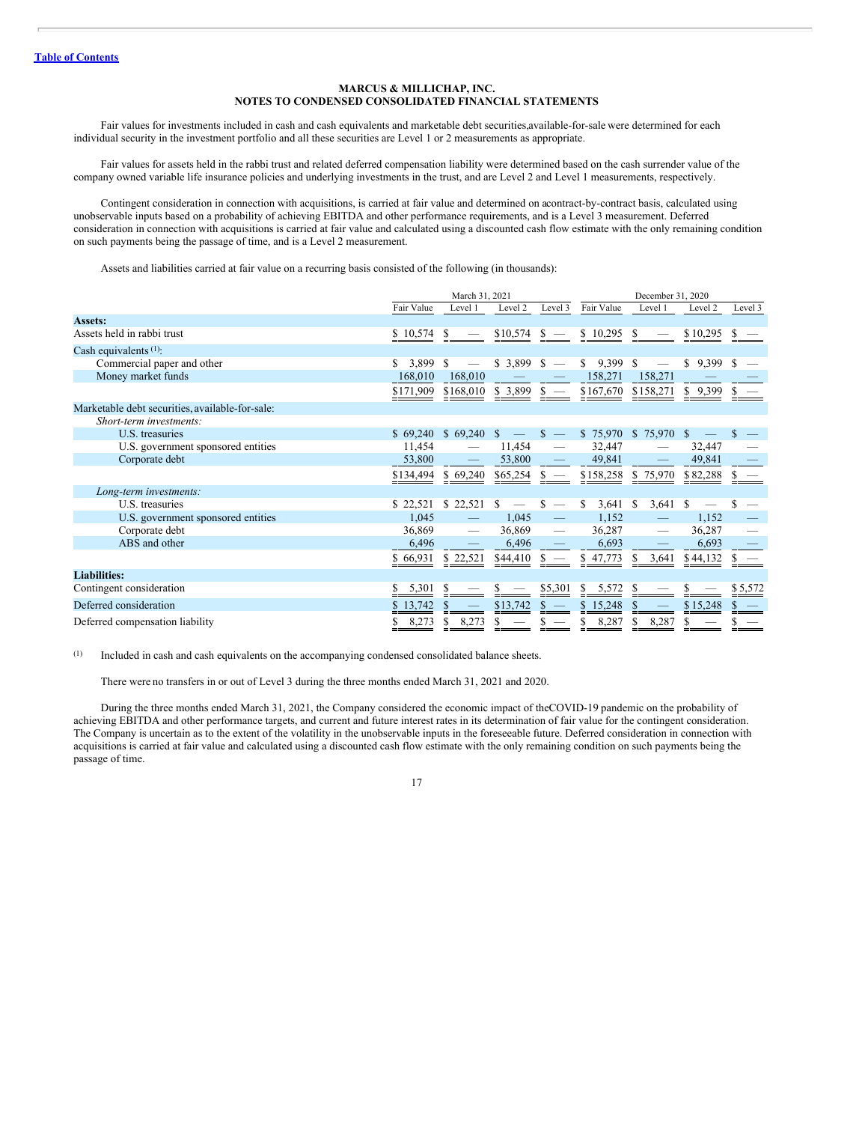Fair values for investments included in cash and cash equivalents and marketable debt securities,available-for-sale were determined for each individual security in the investment portfolio and all these securities are Level 1 or 2 measurements as appropriate.

Fair values for assets held in the rabbi trust and related deferred compensation liability were determined based on the cash surrender value of the company owned variable life insurance policies and underlying investments in the trust, and are Level 2 and Level 1 measurements, respectively.

Contingent consideration in connection with acquisitions, is carried at fair value and determined on acontract-by-contract basis, calculated using unobservable inputs based on a probability of achieving EBITDA and other performance requirements, and is a Level 3 measurement. Deferred consideration in connection with acquisitions is carried at fair value and calculated using a discounted cash flow estimate with the only remaining condition on such payments being the passage of time, and is a Level 2 measurement.

Assets and liabilities carried at fair value on a recurring basis consisted of the following (in thousands):

|                                                 | March 31, 2021 |                         |                          | December 31, 2020                |                     |                        |             |         |
|-------------------------------------------------|----------------|-------------------------|--------------------------|----------------------------------|---------------------|------------------------|-------------|---------|
|                                                 | Fair Value     | Level 1                 | Level 2                  | Level 3                          | Fair Value          | Level 1                | Level 2     | Level 3 |
| <b>Assets:</b>                                  |                |                         |                          |                                  |                     |                        |             |         |
| Assets held in rabbi trust                      | \$10,574       | -S                      | \$10,574                 | -S                               | \$10,295            | -S                     | \$10,295    |         |
| Cash equivalents (1):                           |                |                         |                          |                                  |                     |                        |             |         |
| Commercial paper and other                      | 3,899<br>S.    | -S                      | $$3,899$ $$-$            |                                  | 9,399<br>S.         | - \$                   | S.<br>9,399 | S       |
| Money market funds                              | 168,010        | 168,010                 |                          |                                  | 158,271             | 158,271                |             |         |
|                                                 | \$171,909      | $$168,010 \$3,899 \$$ - |                          |                                  | \$167,670 \$158,271 |                        | \$9,399     |         |
| Marketable debt securities, available-for-sale: |                |                         |                          |                                  |                     |                        |             |         |
| Short-term investments:                         |                |                         |                          |                                  |                     |                        |             |         |
| U.S. treasuries                                 | \$69,240       | $$69,240$ \, \$         | $\overline{\phantom{m}}$ | $\mathbb{S}$<br>$\hspace{0.1mm}$ | \$75,970            | \$75,970               | S           |         |
| U.S. government sponsored entities              | 11,454         |                         | 11,454                   | $\overline{\phantom{m}}$         | 32,447              |                        | 32,447      |         |
| Corporate debt                                  | 53,800         |                         | 53,800                   |                                  | 49,841              |                        | 49,841      |         |
|                                                 | \$134,494      | \$69,240                | \$65,254                 | $s -$                            |                     | \$158,258 \$75,970     | \$82,288    |         |
| Long-term investments:                          |                |                         |                          |                                  |                     |                        |             |         |
| U.S. treasuries                                 | \$22,521       | \$22,521                | £.                       | S                                | 3,641<br>S.         | <sup>\$</sup><br>3,641 | -S          |         |
| U.S. government sponsored entities              | 1,045          |                         | 1,045                    |                                  | 1,152               |                        | 1,152       |         |
| Corporate debt                                  | 36,869         |                         | 36,869                   | -                                | 36,287              |                        | 36,287      |         |
| ABS and other                                   | 6,496          |                         | 6,496                    |                                  | 6,693               |                        | 6,693       |         |
|                                                 | \$66,931       | \$ 22,521               | \$44,410                 |                                  | 47,773<br>S.        | \$<br>3,641            | \$44,132    |         |
| <b>Liabilities:</b>                             |                |                         |                          |                                  |                     |                        |             |         |
| Contingent consideration                        | 5,301          |                         |                          | \$5,301                          | 5,572<br>S.         |                        |             | \$5,572 |
| Deferred consideration                          | 13,742         | P.                      | \$13,742                 |                                  | \$15,248            | S                      | \$15,248    |         |
| Deferred compensation liability                 | 8,273          | 8,273<br>S              |                          |                                  | 8,287               | \$<br>8,287            |             |         |

(1) Included in cash and cash equivalents on the accompanying condensed consolidated balance sheets.

There were no transfers in or out of Level 3 during the three months ended March 31, 2021 and 2020.

During the three months ended March 31, 2021, the Company considered the economic impact of theCOVID-19 pandemic on the probability of achieving EBITDA and other performance targets, and current and future interest rates in its determination of fair value for the contingent consideration. The Company is uncertain as to the extent of the volatility in the unobservable inputs in the foreseeable future. Deferred consideration in connection with acquisitions is carried at fair value and calculated using a discounted cash flow estimate with the only remaining condition on such payments being the passage of time.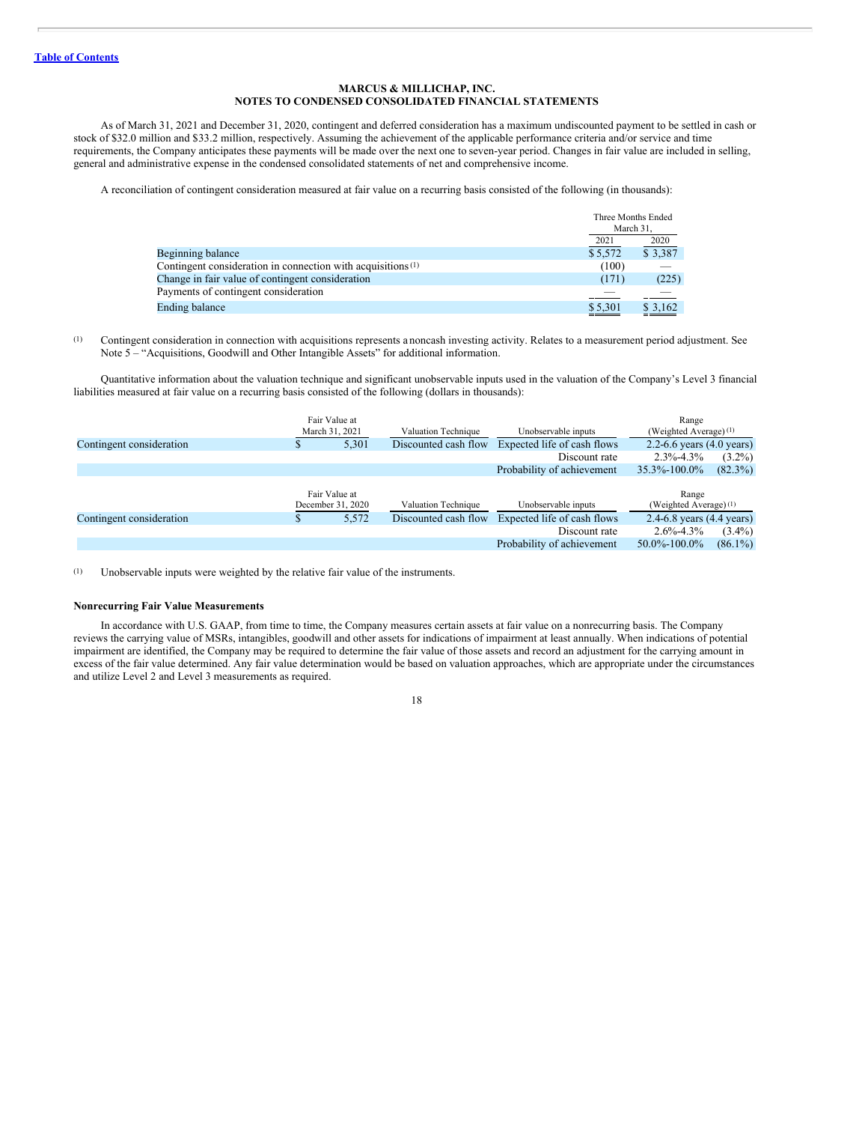As of March 31, 2021 and December 31, 2020, contingent and deferred consideration has a maximum undiscounted payment to be settled in cash or stock of \$32.0 million and \$33.2 million, respectively. Assuming the achievement of the applicable performance criteria and/or service and time requirements, the Company anticipates these payments will be made over the next one to seven-year period. Changes in fair value are included in selling, general and administrative expense in the condensed consolidated statements of net and comprehensive income.

A reconciliation of contingent consideration measured at fair value on a recurring basis consisted of the following (in thousands):

|                                                                         | Three Months Ended<br>March 31, |         |
|-------------------------------------------------------------------------|---------------------------------|---------|
|                                                                         | 2021                            | 2020    |
| Beginning balance                                                       | \$5,572                         | \$3,387 |
| Contingent consideration in connection with acquisitions <sup>(1)</sup> | (100)                           |         |
| Change in fair value of contingent consideration                        | (171)                           | (225)   |
| Payments of contingent consideration                                    |                                 |         |
| <b>Ending balance</b>                                                   | \$5,301                         | \$3,162 |

(1) Contingent consideration in connection with acquisitions represents a noncash investing activity. Relates to a measurement period adjustment. See Note 5 – "Acquisitions, Goodwill and Other Intangible Assets" for additional information.

Quantitative information about the valuation technique and significant unobservable inputs used in the valuation of the Company's Level 3 financial liabilities measured at fair value on a recurring basis consisted of the following (dollars in thousands):

|                          | Fair Value at<br>March 31, 2021 | Valuation Technique  | Unobservable inputs         | Range<br>(Weighted Average) (1)     |            |
|--------------------------|---------------------------------|----------------------|-----------------------------|-------------------------------------|------------|
| Contingent consideration | 5,301<br>Ф                      | Discounted cash flow | Expected life of cash flows | 2.2-6.6 years $(4.0 \text{ years})$ |            |
|                          |                                 |                      | Discount rate               | $2.3\% - 4.3\%$                     | $(3.2\%)$  |
|                          |                                 |                      | Probability of achievement  | 35.3%-100.0%                        | $(82.3\%)$ |
|                          | Fair Value at                   |                      |                             | Range                               |            |
|                          | December 31, 2020               | Valuation Technique  | Unobservable inputs         | (Weighted Average) (1)              |            |
| Contingent consideration | 5,572                           | Discounted cash flow | Expected life of cash flows | 2.4-6.8 years (4.4 years)           |            |
|                          |                                 |                      | Discount rate               | $2.6\% - 4.3\%$                     | $(3.4\%)$  |
|                          |                                 |                      | Probability of achievement  | $50.0\% - 100.0\%$                  | $(86.1\%)$ |

(1) Unobservable inputs were weighted by the relative fair value of the instruments.

## **Nonrecurring Fair Value Measurements**

In accordance with U.S. GAAP, from time to time, the Company measures certain assets at fair value on a nonrecurring basis. The Company reviews the carrying value of MSRs, intangibles, goodwill and other assets for indications of impairment at least annually. When indications of potential impairment are identified, the Company may be required to determine the fair value of those assets and record an adjustment for the carrying amount in excess of the fair value determined. Any fair value determination would be based on valuation approaches, which are appropriate under the circumstances and utilize Level 2 and Level 3 measurements as required.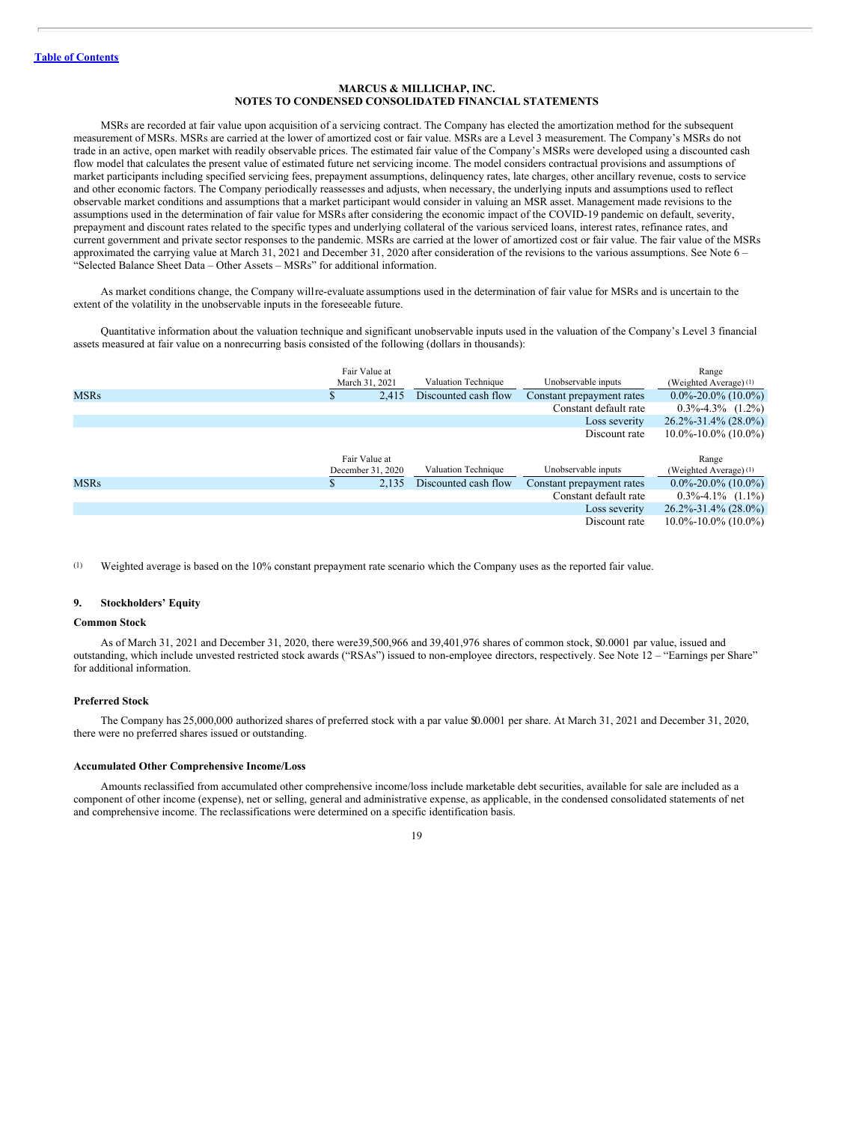MSRs are recorded at fair value upon acquisition of a servicing contract. The Company has elected the amortization method for the subsequent measurement of MSRs. MSRs are carried at the lower of amortized cost or fair value. MSRs are a Level 3 measurement. The Company's MSRs do not trade in an active, open market with readily observable prices. The estimated fair value of the Company's MSRs were developed using a discounted cash flow model that calculates the present value of estimated future net servicing income. The model considers contractual provisions and assumptions of market participants including specified servicing fees, prepayment assumptions, delinquency rates, late charges, other ancillary revenue, costs to service and other economic factors. The Company periodically reassesses and adjusts, when necessary, the underlying inputs and assumptions used to reflect observable market conditions and assumptions that a market participant would consider in valuing an MSR asset. Management made revisions to the assumptions used in the determination of fair value for MSRs after considering the economic impact of the COVID-19 pandemic on default, severity, prepayment and discount rates related to the specific types and underlying collateral of the various serviced loans, interest rates, refinance rates, and current government and private sector responses to the pandemic. MSRs are carried at the lower of amortized cost or fair value. The fair value of the MSRs approximated the carrying value at March 31, 2021 and December 31, 2020 after consideration of the revisions to the various assumptions. See Note 6 – "Selected Balance Sheet Data – Other Assets – MSRs" for additional information.

As market conditions change, the Company willre-evaluate assumptions used in the determination of fair value for MSRs and is uncertain to the extent of the volatility in the unobservable inputs in the foreseeable future.

Quantitative information about the valuation technique and significant unobservable inputs used in the valuation of the Company's Level 3 financial assets measured at fair value on a nonrecurring basis consisted of the following (dollars in thousands):

|             |     | Fair Value at<br>Valuation Technique<br>March 31, 2021 |                      | Unobservable inputs       | Range<br>(Weighted Average) $(1)$ |
|-------------|-----|--------------------------------------------------------|----------------------|---------------------------|-----------------------------------|
| <b>MSRs</b> | аħ. | 2.415                                                  | Discounted cash flow | Constant prepayment rates | $0.0\% - 20.0\%$ (10.0%)          |
|             |     |                                                        |                      | Constant default rate     | $0.3\% - 4.3\%$ $(1.2\%)$         |
|             |     |                                                        |                      | Loss severity             | $26.2\% - 31.4\% (28.0\%)$        |
|             |     |                                                        |                      | Discount rate             | $10.0\% - 10.0\%$ (10.0%)         |
|             |     |                                                        |                      |                           |                                   |
|             |     |                                                        |                      |                           |                                   |
|             |     | Fair Value at                                          |                      |                           | Range                             |
|             |     | December 31, 2020                                      | Valuation Technique  | Unobservable inputs       | (Weighted Average) (1)            |
| <b>MSRs</b> |     | 2.135                                                  | Discounted cash flow | Constant prepayment rates | $0.0\% - 20.0\%$ (10.0%)          |
|             |     |                                                        |                      | Constant default rate     | $0.3\% - 4.1\%$ (1.1%)            |
|             |     |                                                        |                      | Loss severity             | $26.2\% - 31.4\%$ (28.0%)         |
|             |     |                                                        |                      | Discount rate             | $10.0\% - 10.0\%$ (10.0%)         |

(1) Weighted average is based on the 10% constant prepayment rate scenario which the Company uses as the reported fair value.

## **9. Stockholders' Equity**

#### **Common Stock**

As of March 31, 2021 and December 31, 2020, there were39,500,966 and 39,401,976 shares of common stock, \$0.0001 par value, issued and outstanding, which include unvested restricted stock awards ("RSAs") issued to non-employee directors, respectively. See Note 12 – "Earnings per Share" for additional information.

## **Preferred Stock**

The Company has 25,000,000 authorized shares of preferred stock with a par value \$0.0001 per share. At March 31, 2021 and December 31, 2020, there were no preferred shares issued or outstanding.

#### **Accumulated Other Comprehensive Income/Loss**

Amounts reclassified from accumulated other comprehensive income/loss include marketable debt securities, available for sale are included as a component of other income (expense), net or selling, general and administrative expense, as applicable, in the condensed consolidated statements of net and comprehensive income. The reclassifications were determined on a specific identification basis.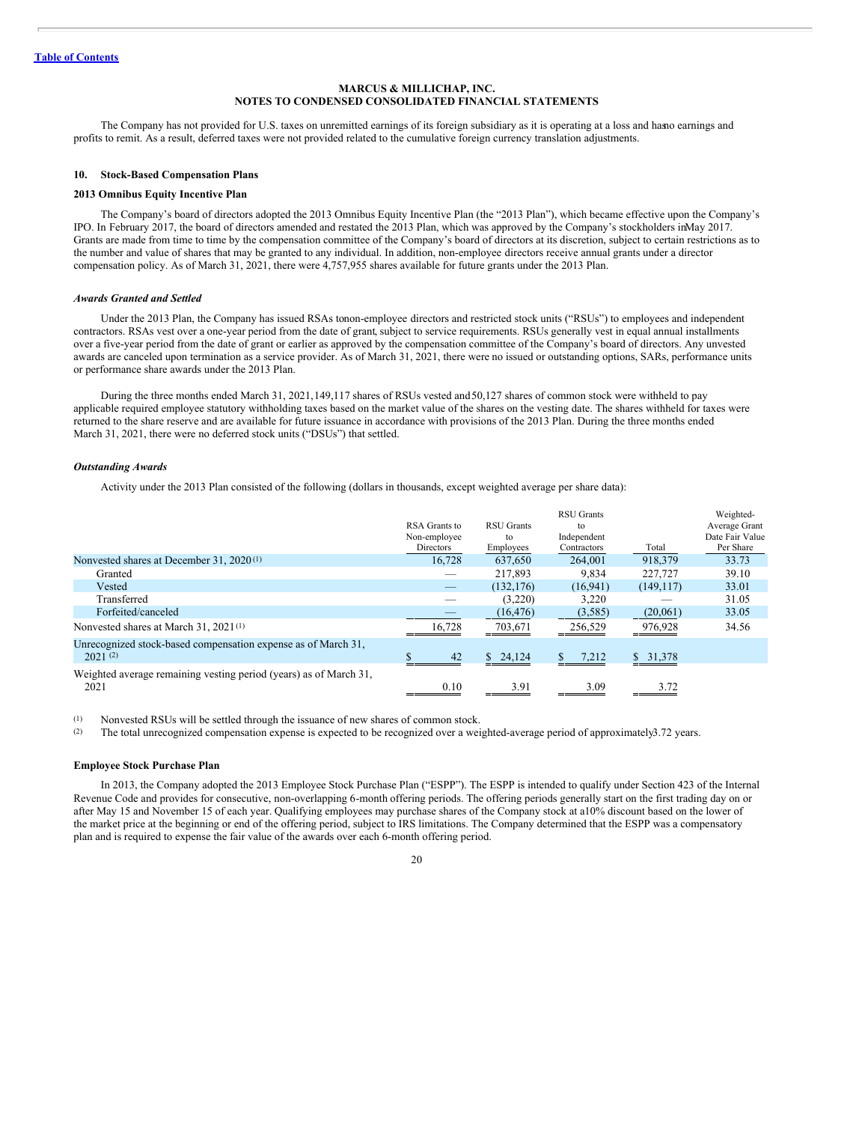The Company has not provided for U.S. taxes on unremitted earnings of its foreign subsidiary as it is operating at a loss and hasno earnings and profits to remit. As a result, deferred taxes were not provided related to the cumulative foreign currency translation adjustments.

#### **10. Stock-Based Compensation Plans**

## **2013 Omnibus Equity Incentive Plan**

The Company's board of directors adopted the 2013 Omnibus Equity Incentive Plan (the "2013 Plan"), which became effective upon the Company's IPO. In February 2017, the board of directors amended and restated the 2013 Plan, which was approved by the Company's stockholders inMay 2017. Grants are made from time to time by the compensation committee of the Company's board of directors at its discretion, subject to certain restrictions as to the number and value of shares that may be granted to any individual. In addition, non-employee directors receive annual grants under a director compensation policy. As of March 31, 2021, there were 4,757,955 shares available for future grants under the 2013 Plan.

#### *Awards Granted and Settled*

Under the 2013 Plan, the Company has issued RSAs tonon-employee directors and restricted stock units ("RSUs") to employees and independent contractors. RSAs vest over a one-year period from the date of grant, subject to service requirements. RSUs generally vest in equal annual installments over a five-year period from the date of grant or earlier as approved by the compensation committee of the Company's board of directors. Any unvested awards are canceled upon termination as a service provider. As of March 31, 2021, there were no issued or outstanding options, SARs, performance units or performance share awards under the 2013 Plan.

During the three months ended March 31, 2021,149,117 shares of RSUs vested and50,127 shares of common stock were withheld to pay applicable required employee statutory withholding taxes based on the market value of the shares on the vesting date. The shares withheld for taxes were returned to the share reserve and are available for future issuance in accordance with provisions of the 2013 Plan. During the three months ended March 31, 2021, there were no deferred stock units ("DSUs") that settled.

## *Outstanding Awards*

Activity under the 2013 Plan consisted of the following (dollars in thousands, except weighted average per share data):

|                                                                           | RSA Grants to<br>Non-employee<br>Directors | <b>RSU</b> Grants<br>to<br>Employees | <b>RSU</b> Grants<br>to<br>Independent<br>Contractors | Total      | Weighted-<br>Average Grant<br>Date Fair Value<br>Per Share |
|---------------------------------------------------------------------------|--------------------------------------------|--------------------------------------|-------------------------------------------------------|------------|------------------------------------------------------------|
| Nonvested shares at December 31, 2020 <sup>(1)</sup>                      | 16.728                                     | 637,650                              | 264,001                                               | 918,379    | 33.73                                                      |
| Granted                                                                   |                                            | 217.893                              | 9.834                                                 | 227,727    | 39.10                                                      |
| Vested                                                                    |                                            | (132, 176)                           | (16, 941)                                             | (149, 117) | 33.01                                                      |
| Transferred                                                               |                                            | (3,220)                              | 3,220                                                 |            | 31.05                                                      |
| Forfeited/canceled                                                        |                                            | (16, 476)                            | (3,585)                                               | (20,061)   | 33.05                                                      |
| Nonvested shares at March 31, 2021 <sup>(1)</sup>                         | 16.728                                     | 703,671                              | 256,529                                               | 976,928    | 34.56                                                      |
| Unrecognized stock-based compensation expense as of March 31,<br>2021(2)  | 42                                         | \$24,124                             | \$<br>7,212                                           | \$31,378   |                                                            |
| Weighted average remaining vesting period (years) as of March 31,<br>2021 | 0.10                                       | 3.91                                 | 3.09                                                  | 3.72       |                                                            |

(1) Nonvested RSUs will be settled through the issuance of new shares of common stock.

(2) The total unrecognized compensation expense is expected to be recognized over a weighted-average period of approximately3.72 years.

#### **Employee Stock Purchase Plan**

In 2013, the Company adopted the 2013 Employee Stock Purchase Plan ("ESPP"). The ESPP is intended to qualify under Section 423 of the Internal Revenue Code and provides for consecutive, non-overlapping 6-month offering periods. The offering periods generally start on the first trading day on or after May 15 and November 15 of each year. Qualifying employees may purchase shares of the Company stock at a10% discount based on the lower of the market price at the beginning or end of the offering period, subject to IRS limitations. The Company determined that the ESPP was a compensatory plan and is required to expense the fair value of the awards over each 6-month offering period.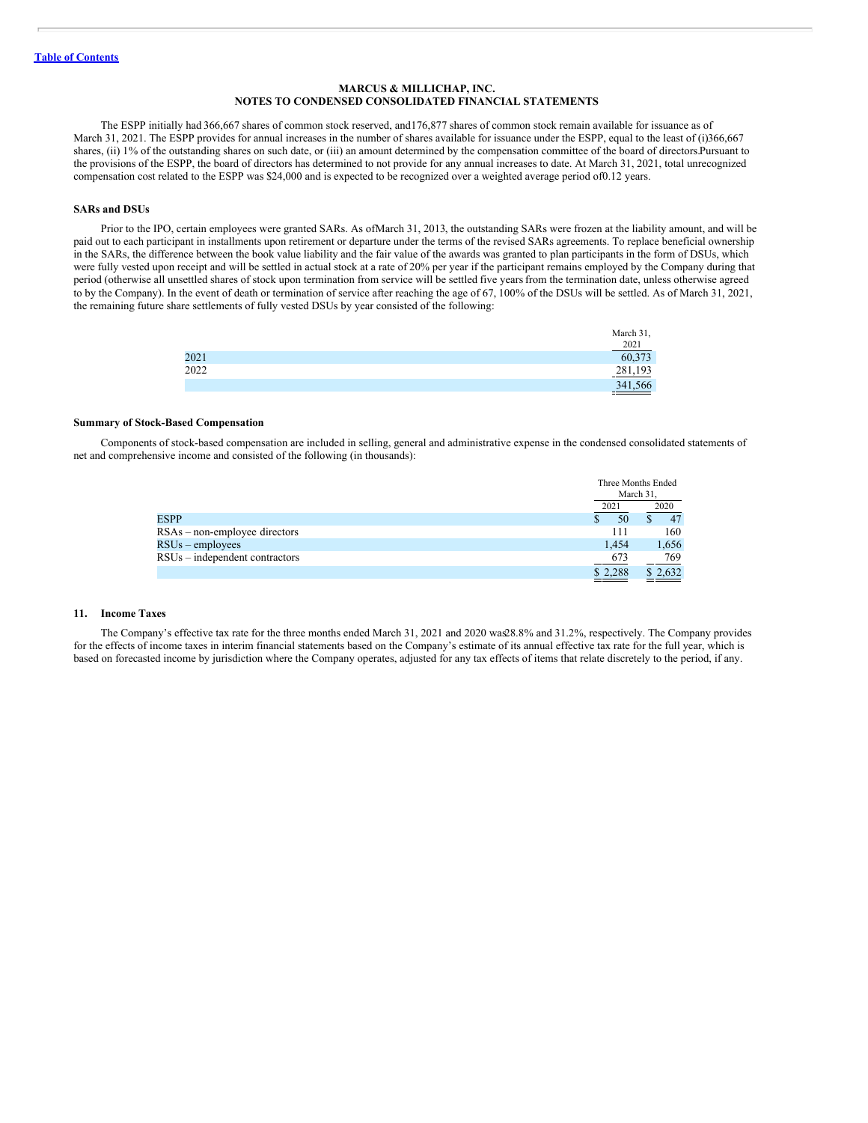The ESPP initially had 366,667 shares of common stock reserved, and176,877 shares of common stock remain available for issuance as of March 31, 2021. The ESPP provides for annual increases in the number of shares available for issuance under the ESPP, equal to the least of (i)366,667 shares, (ii) 1% of the outstanding shares on such date, or (iii) an amount determined by the compensation committee of the board of directors.Pursuant to the provisions of the ESPP, the board of directors has determined to not provide for any annual increases to date. At March 31, 2021, total unrecognized compensation cost related to the ESPP was \$24,000 and is expected to be recognized over a weighted average period of0.12 years.

## **SARs and DSUs**

Prior to the IPO, certain employees were granted SARs. As ofMarch 31, 2013, the outstanding SARs were frozen at the liability amount, and will be paid out to each participant in installments upon retirement or departure under the terms of the revised SARs agreements. To replace beneficial ownership in the SARs, the difference between the book value liability and the fair value of the awards was granted to plan participants in the form of DSUs, which were fully vested upon receipt and will be settled in actual stock at a rate of 20% per year if the participant remains employed by the Company during that period (otherwise all unsettled shares of stock upon termination from service will be settled five yearsfrom the termination date, unless otherwise agreed to by the Company). In the event of death or termination of service after reaching the age of 67, 100% of the DSUs will be settled. As of March 31, 2021, the remaining future share settlements of fully vested DSUs by year consisted of the following:

|      | March 31,             |
|------|-----------------------|
|      |                       |
| 2021 | $\frac{2021}{60,373}$ |
| 2022 | 281,193               |
|      | 341,566               |

## **Summary of Stock-Based Compensation**

Components of stock-based compensation are included in selling, general and administrative expense in the condensed consolidated statements of net and comprehensive income and consisted of the following (in thousands):

|                                 |         | Three Months Ended |
|---------------------------------|---------|--------------------|
|                                 |         | March 31.          |
|                                 | 2021    | 2020               |
| <b>ESPP</b>                     | 50      | 47                 |
| $RSAs - non-employee$ directors | 111     | 160                |
| $RSUs$ – employees              | 1.454   | 1,656              |
| RSUs – independent contractors  | 673     | 769                |
|                                 | \$2,288 | \$2,632            |

#### **11. Income Taxes**

The Company's effective tax rate for the three months ended March 31, 2021 and 2020 was28.8% and 31.2%, respectively. The Company provides for the effects of income taxes in interim financial statements based on the Company's estimate of its annual effective tax rate for the full year, which is based on forecasted income by jurisdiction where the Company operates, adjusted for any tax effects of items that relate discretely to the period, if any.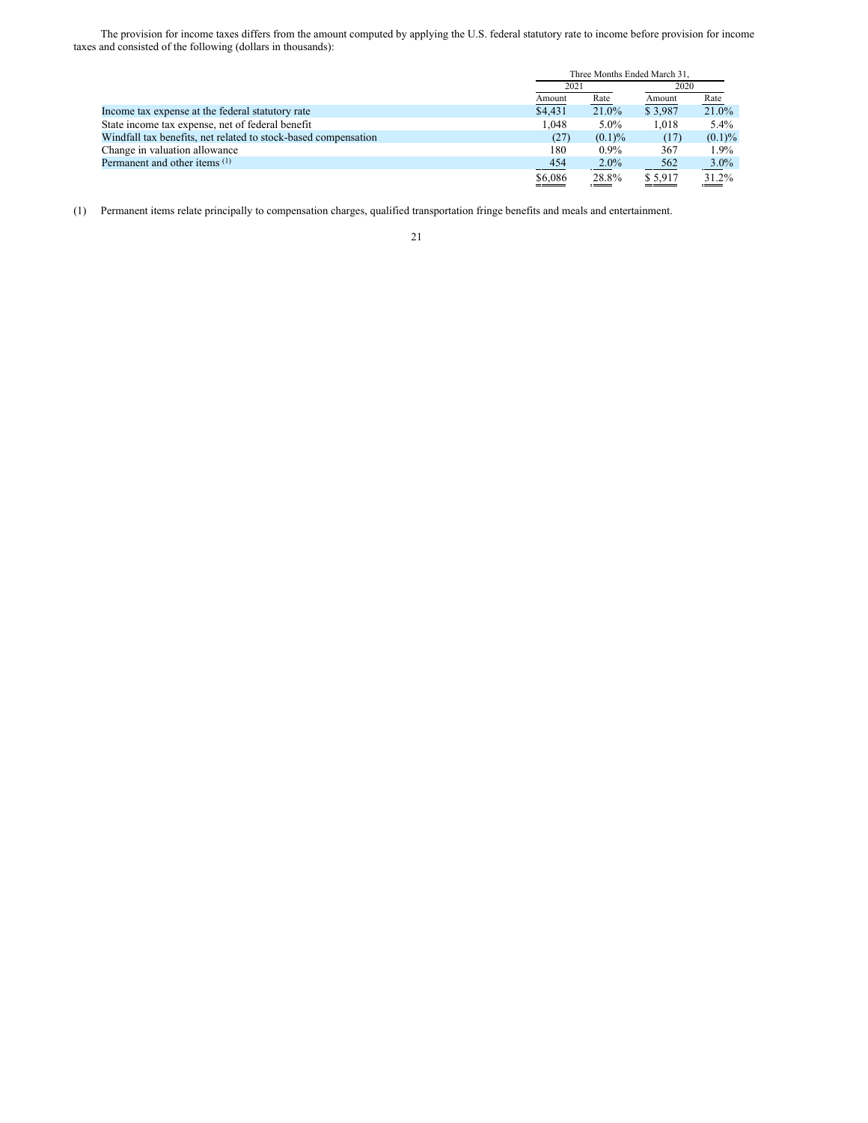The provision for income taxes differs from the amount computed by applying the U.S. federal statutory rate to income before provision for income taxes and consisted of the following (dollars in thousands):

|                                                                |            | Three Months Ended March 31. |         |           |  |
|----------------------------------------------------------------|------------|------------------------------|---------|-----------|--|
|                                                                |            | 2020<br>2021                 |         |           |  |
|                                                                | Amount     | Rate                         | Amount  | Rate      |  |
| Income tax expense at the federal statutory rate               | \$4.431    | 21.0%                        | \$3,987 | 21.0%     |  |
| State income tax expense, net of federal benefit               | 1.048      | $5.0\%$                      | 1.018   | 5.4%      |  |
| Windfall tax benefits, net related to stock-based compensation | (27)       | $(0.1)\%$                    | (17)    | $(0.1)\%$ |  |
| Change in valuation allowance                                  | 180        | $0.9\%$                      | 367     | 1.9%      |  |
| Permanent and other items (1)                                  | <u>454</u> | $2.0\%$                      | 562     | $3.0\%$   |  |
|                                                                | \$6,086    | 28.8%                        | \$5.917 | 31.2%     |  |

(1) Permanent items relate principally to compensation charges, qualified transportation fringe benefits and meals and entertainment.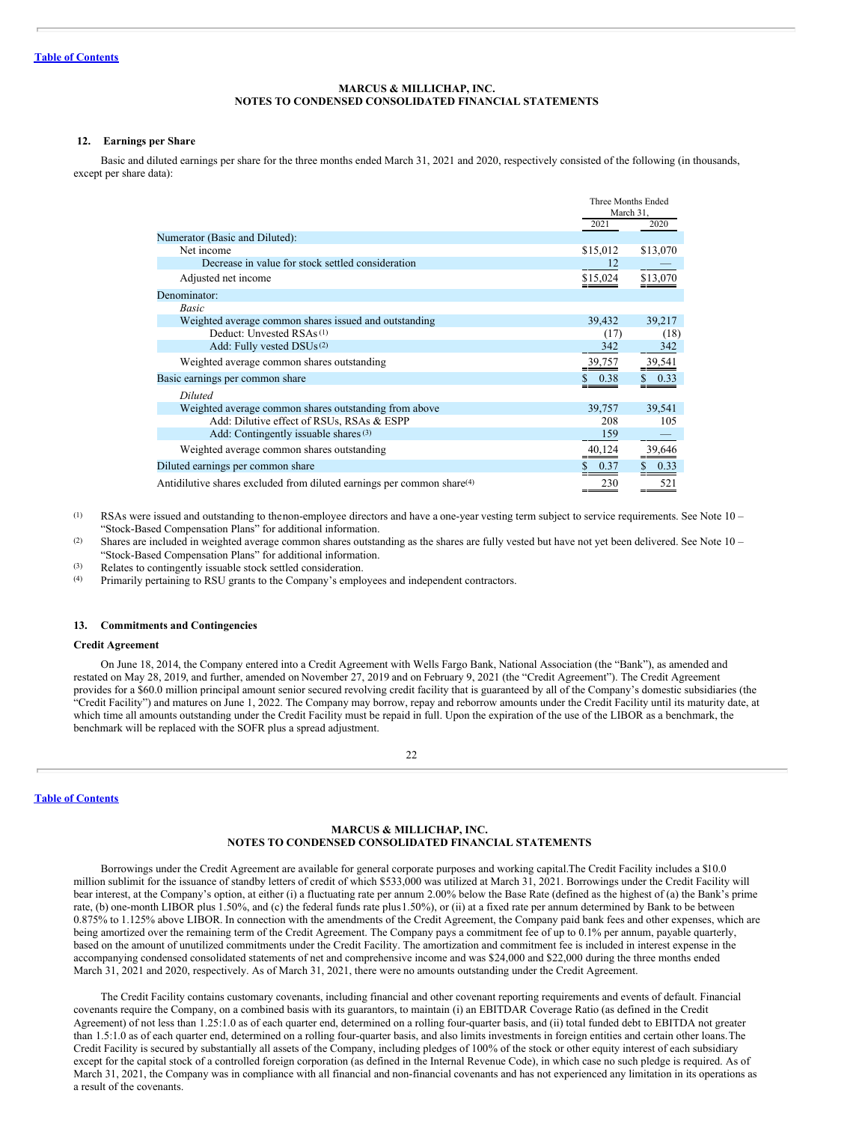## **12. Earnings per Share**

Basic and diluted earnings per share for the three months ended March 31, 2021 and 2020, respectively consisted of the following (in thousands, except per share data):

|                                                                                    |          | Three Months Ended<br>March 31, |  |
|------------------------------------------------------------------------------------|----------|---------------------------------|--|
|                                                                                    | 2021     | 2020                            |  |
| Numerator (Basic and Diluted):                                                     |          |                                 |  |
| Net income                                                                         | \$15,012 | \$13,070                        |  |
| Decrease in value for stock settled consideration                                  | 12       |                                 |  |
| Adjusted net income                                                                | \$15,024 | \$13,070                        |  |
| Denominator:                                                                       |          |                                 |  |
| Basic                                                                              |          |                                 |  |
| Weighted average common shares issued and outstanding                              | 39,432   | 39,217                          |  |
| Deduct: Unvested RSAs <sup>(1)</sup>                                               | (17)     | (18)                            |  |
| Add: Fully vested DSUs <sup>(2)</sup>                                              | 342      | 342                             |  |
| Weighted average common shares outstanding                                         | 39,757   | 39,541                          |  |
| Basic earnings per common share                                                    | 0.38     | 0.33                            |  |
| <b>Diluted</b>                                                                     |          |                                 |  |
| Weighted average common shares outstanding from above                              | 39,757   | 39,541                          |  |
| Add: Dilutive effect of RSUs, RSAs & ESPP                                          | 208      | 105                             |  |
| Add: Contingently issuable shares (3)                                              | 159      |                                 |  |
| Weighted average common shares outstanding                                         | 40,124   | 39,646                          |  |
| Diluted earnings per common share                                                  | 0.37     | 0.33                            |  |
| Antidilutive shares excluded from diluted earnings per common share <sup>(4)</sup> | 230      | 521                             |  |

(1) RSAs were issued and outstanding to thenon-employee directors and have a one-year vesting term subject to service requirements. See Note 10 – "Stock-Based Compensation Plans" for additional information.

(2) Shares are included in weighted average common shares outstanding as the shares are fully vested but have not yet been delivered. See Note 10 – "Stock-Based Compensation Plans" for additional information.

(3) Relates to contingently issuable stock settled consideration.

(4) Primarily pertaining to RSU grants to the Company's employees and independent contractors.

## **13. Commitments and Contingencies**

## **Credit Agreement**

On June 18, 2014, the Company entered into a Credit Agreement with Wells Fargo Bank, National Association (the "Bank"), as amended and restated on May 28, 2019, and further, amended on November 27, 2019 and on February 9, 2021 (the "Credit Agreement"). The Credit Agreement provides for a \$60.0 million principal amount senior secured revolving credit facility that is guaranteed by all of the Company's domestic subsidiaries (the "Credit Facility") and matures on June 1, 2022. The Company may borrow, repay and reborrow amounts under the Credit Facility until its maturity date, at which time all amounts outstanding under the Credit Facility must be repaid in full. Upon the expiration of the use of the LIBOR as a benchmark, the benchmark will be replaced with the SOFR plus a spread adjustment.

 $22$ 

**Table of [Contents](#page-1-0)**

## **MARCUS & MILLICHAP, INC. NOTES TO CONDENSED CONSOLIDATED FINANCIAL STATEMENTS**

Borrowings under the Credit Agreement are available for general corporate purposes and working capital.The Credit Facility includes a \$10.0 million sublimit for the issuance of standby letters of credit of which \$533,000 was utilized at March 31, 2021. Borrowings under the Credit Facility will bear interest, at the Company's option, at either (i) a fluctuating rate per annum 2.00% below the Base Rate (defined as the highest of (a) the Bank's prime rate, (b) one-month LIBOR plus 1.50%, and (c) the federal funds rate plus 1.50%), or (ii) at a fixed rate per annum determined by Bank to be between 0.875% to 1.125% above LIBOR. In connection with the amendments of the Credit Agreement, the Company paid bank fees and other expenses, which are being amortized over the remaining term of the Credit Agreement. The Company pays a commitment fee of up to 0.1% per annum, payable quarterly, based on the amount of unutilized commitments under the Credit Facility. The amortization and commitment fee is included in interest expense in the accompanying condensed consolidated statements of net and comprehensive income and was \$24,000 and \$22,000 during the three months ended March 31, 2021 and 2020, respectively. As of March 31, 2021, there were no amounts outstanding under the Credit Agreement.

The Credit Facility contains customary covenants, including financial and other covenant reporting requirements and events of default. Financial covenants require the Company, on a combined basis with its guarantors, to maintain (i) an EBITDAR Coverage Ratio (as defined in the Credit Agreement) of not less than 1.25:1.0 as of each quarter end, determined on a rolling four-quarter basis, and (ii) total funded debt to EBITDA not greater than 1.5:1.0 as of each quarter end, determined on a rolling four-quarter basis, and also limits investments in foreign entities and certain other loans.The Credit Facility is secured by substantially all assets of the Company, including pledges of 100% of the stock or other equity interest of each subsidiary except for the capital stock of a controlled foreign corporation (as defined in the Internal Revenue Code), in which case no such pledge is required. As of March 31, 2021, the Company was in compliance with all financial and non-financial covenants and has not experienced any limitation in its operations as a result of the covenants.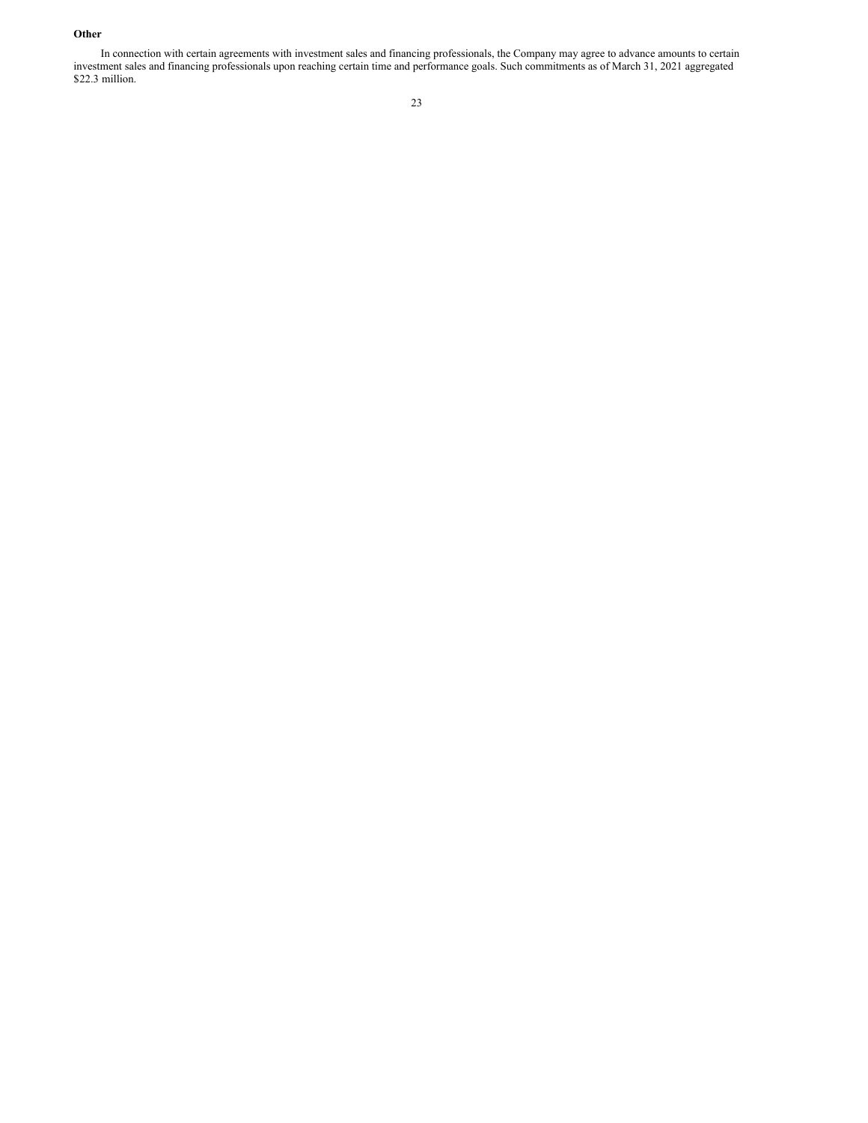## **Other**

In connection with certain agreements with investment sales and financing professionals, the Company may agree to advance amounts to certain investment sales and financing professionals upon reaching certain time and performance goals. Such commitments as of March 31, 2021 aggregated \$22.3 million.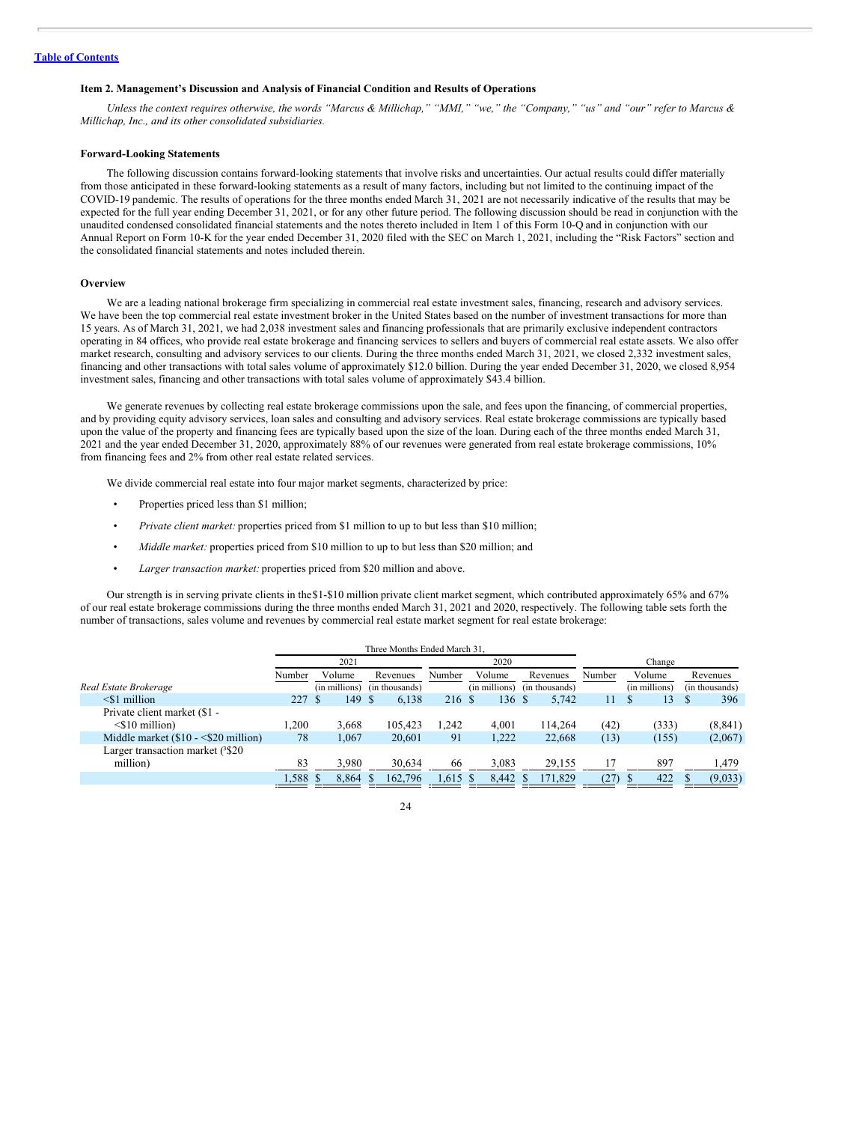#### <span id="page-24-0"></span>**Item 2. Management's Discussion and Analysis of Financial Condition and Results of Operations**

Unless the context requires otherwise, the words "Marcus & Millichap," "MMI," "we," the "Company," "us" and "our" refer to Marcus & *Millichap, Inc., and its other consolidated subsidiaries.*

## **Forward-Looking Statements**

The following discussion contains forward-looking statements that involve risks and uncertainties. Our actual results could differ materially from those anticipated in these forward-looking statements as a result of many factors, including but not limited to the continuing impact of the COVID-19 pandemic. The results of operations for the three months ended March 31, 2021 are not necessarily indicative of the results that may be expected for the full year ending December 31, 2021, or for any other future period. The following discussion should be read in conjunction with the unaudited condensed consolidated financial statements and the notes thereto included in Item 1 of this Form 10-Q and in conjunction with our Annual Report on Form 10-K for the year ended December 31, 2020 filed with the SEC on March 1, 2021, including the "Risk Factors" section and the consolidated financial statements and notes included therein.

#### **Overview**

We are a leading national brokerage firm specializing in commercial real estate investment sales, financing, research and advisory services. We have been the top commercial real estate investment broker in the United States based on the number of investment transactions for more than 15 years. As of March 31, 2021, we had 2,038 investment sales and financing professionals that are primarily exclusive independent contractors operating in 84 offices, who provide real estate brokerage and financing services to sellers and buyers of commercial real estate assets. We also offer market research, consulting and advisory services to our clients. During the three months ended March 31, 2021, we closed 2,332 investment sales, financing and other transactions with total sales volume of approximately \$12.0 billion. During the year ended December 31, 2020, we closed 8,954 investment sales, financing and other transactions with total sales volume of approximately \$43.4 billion.

We generate revenues by collecting real estate brokerage commissions upon the sale, and fees upon the financing, of commercial properties, and by providing equity advisory services, loan sales and consulting and advisory services. Real estate brokerage commissions are typically based upon the value of the property and financing fees are typically based upon the size of the loan. During each of the three months ended March 31, 2021 and the year ended December 31, 2020, approximately 88% of our revenues were generated from real estate brokerage commissions, 10% from financing fees and 2% from other real estate related services.

We divide commercial real estate into four major market segments, characterized by price:

- Properties priced less than \$1 million;
- *Private client market:* properties priced from \$1 million to up to but less than \$10 million;
- *Middle market:* properties priced from \$10 million to up to but less than \$20 million; and
- *Larger transaction market:* properties priced from \$20 million and above.

Our strength is in serving private clients in the\$1-\$10 million private client market segment, which contributed approximately 65% and 67% of our real estate brokerage commissions during the three months ended March 31, 2021 and 2020, respectively. The following table sets forth the number of transactions, sales volume and revenues by commercial real estate market segment for real estate brokerage:

|                                       |        |               | Three Months Ended March 31. |        |               |                |        |               |                |
|---------------------------------------|--------|---------------|------------------------------|--------|---------------|----------------|--------|---------------|----------------|
|                                       |        | 2021          |                              |        | 2020          |                |        | Change        |                |
|                                       | Number | Volume        | Revenues                     | Number | Volume        | Revenues       | Number | Volume        | Revenues       |
| Real Estate Brokerage                 |        | (in millions) | (in thousands)               |        | (in millions) | (in thousands) |        | (in millions) | (in thousands) |
| $\leq$ 1 million                      | 227S   | 149 \$        | 6.138                        | 216 \$ | 136 S         | 5.742          | 11     | 13<br>S       | 396            |
| Private client market (\$1 -          |        |               |                              |        |               |                |        |               |                |
| $\leq$ 10 million)                    | 1.200  | 3.668         | 105.423                      | .242   | 4.001         | 114.264        | (42)   | (333)         | (8, 841)       |
| Middle market $(\$10 - \$20$ million) | 78     | 1.067         | 20.601                       | 91     | 1.222         | 22,668         | (13)   | (155)         | (2,067)        |
| Larger transaction market (3\\$20)    |        |               |                              |        |               |                |        |               |                |
| million)                              | 83     | 3.980         | 30.634                       | 66     | 3.083         | 29,155         | 17     | 897           | 1.479          |
|                                       | 1,588  | 8.864         | 162,796                      | 1.615  | 8.442         | 171,829        | (27)   | 422           | (9,033)        |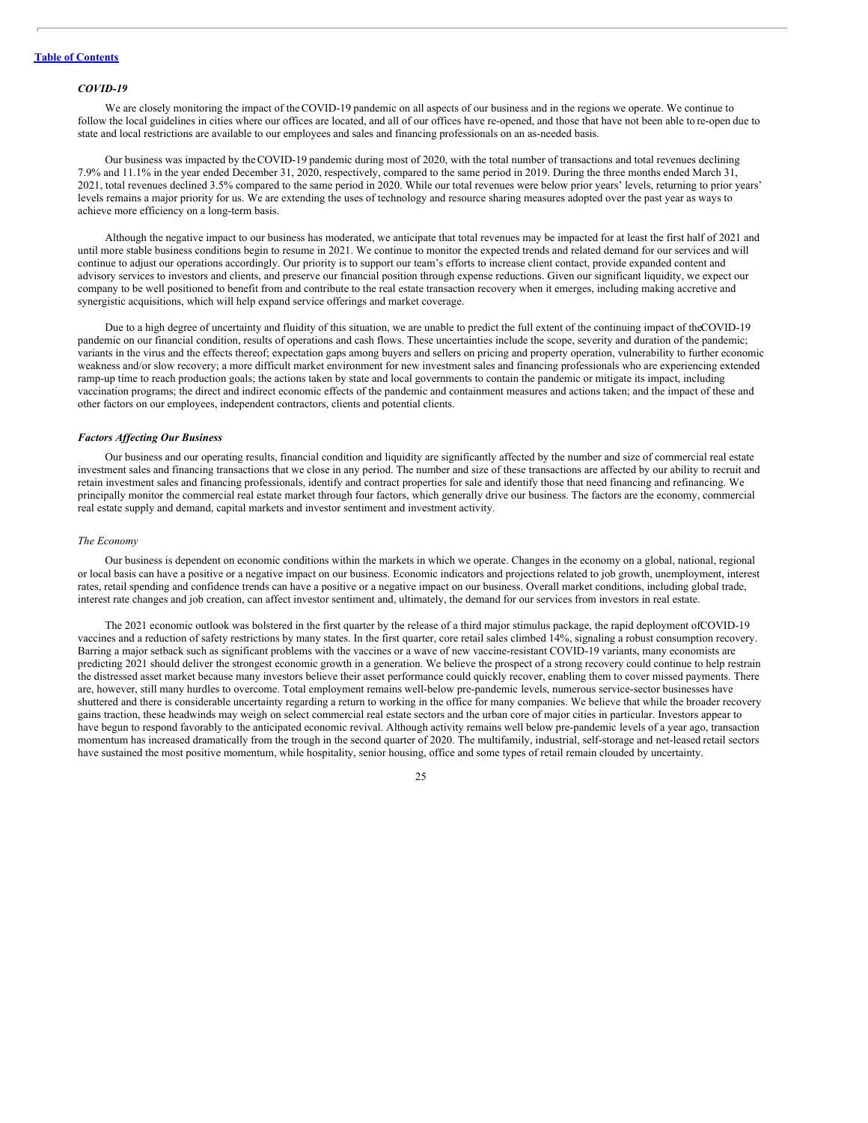#### *COVID-19*

We are closely monitoring the impact of theCOVID-19 pandemic on all aspects of our business and in the regions we operate. We continue to follow the local guidelines in cities where our offices are located, and all of our offices have re-opened, and those that have not been able to re-open due to state and local restrictions are available to our employees and sales and financing professionals on an as-needed basis.

Our business was impacted by theCOVID-19 pandemic during most of 2020, with the total number of transactions and total revenues declining 7.9% and 11.1% in the year ended December 31, 2020, respectively, compared to the same period in 2019. During the three months ended March 31, 2021, total revenues declined 3.5% compared to the same period in 2020. While our total revenues were below prior years' levels, returning to prior years' levels remains a major priority for us. We are extending the uses of technology and resource sharing measures adopted over the past year as ways to achieve more efficiency on a long-term basis.

Although the negative impact to our business has moderated, we anticipate that total revenues may be impacted for at least the first half of 2021 and until more stable business conditions begin to resume in 2021. We continue to monitor the expected trends and related demand for our services and will continue to adjust our operations accordingly. Our priority is to support our team's efforts to increase client contact, provide expanded content and advisory services to investors and clients, and preserve our financial position through expense reductions. Given our significant liquidity, we expect our company to be well positioned to benefit from and contribute to the real estate transaction recovery when it emerges, including making accretive and synergistic acquisitions, which will help expand service offerings and market coverage.

Due to a high degree of uncertainty and fluidity of this situation, we are unable to predict the full extent of the continuing impact of theCOVID-19 pandemic on our financial condition, results of operations and cash flows. These uncertainties include the scope, severity and duration of the pandemic; variants in the virus and the effects thereof; expectation gaps among buyers and sellers on pricing and property operation, vulnerability to further economic weakness and/or slow recovery; a more difficult market environment for new investment sales and financing professionals who are experiencing extended ramp-up time to reach production goals; the actions taken by state and local governments to contain the pandemic or mitigate its impact, including vaccination programs; the direct and indirect economic effects of the pandemic and containment measures and actions taken; and the impact of these and other factors on our employees, independent contractors, clients and potential clients.

## *Factors Af ecting Our Business*

Our business and our operating results, financial condition and liquidity are significantly affected by the number and size of commercial real estate investment sales and financing transactions that we close in any period. The number and size of these transactions are affected by our ability to recruit and retain investment sales and financing professionals, identify and contract properties for sale and identify those that need financing and refinancing. We principally monitor the commercial real estate market through four factors, which generally drive our business. The factors are the economy, commercial real estate supply and demand, capital markets and investor sentiment and investment activity.

#### *The Economy*

Our business is dependent on economic conditions within the markets in which we operate. Changes in the economy on a global, national, regional or local basis can have a positive or a negative impact on our business. Economic indicators and projections related to job growth, unemployment, interest rates, retail spending and confidence trends can have a positive or a negative impact on our business. Overall market conditions, including global trade, interest rate changes and job creation, can affect investor sentiment and, ultimately, the demand for our services from investors in real estate.

The 2021 economic outlook was bolstered in the first quarter by the release of a third major stimulus package, the rapid deployment ofCOVID-19 vaccines and a reduction of safety restrictions by many states. In the first quarter, core retail sales climbed 14%, signaling a robust consumption recovery. Barring a major setback such as significant problems with the vaccines or a wave of new vaccine-resistant COVID-19 variants, many economists are predicting 2021 should deliver the strongest economic growth in a generation. We believe the prospect of a strong recovery could continue to help restrain the distressed asset market because many investors believe their asset performance could quickly recover, enabling them to cover missed payments. There are, however, still many hurdles to overcome. Total employment remains well-below pre-pandemic levels, numerous service-sector businesses have shuttered and there is considerable uncertainty regarding a return to working in the office for many companies. We believe that while the broader recovery gains traction, these headwinds may weigh on select commercial real estate sectors and the urban core of major cities in particular. Investors appear to have begun to respond favorably to the anticipated economic revival. Although activity remains well below pre-pandemic levels of a year ago, transaction momentum has increased dramatically from the trough in the second quarter of 2020. The multifamily, industrial, self-storage and net-leased retail sectors have sustained the most positive momentum, while hospitality, senior housing, office and some types of retail remain clouded by uncertainty.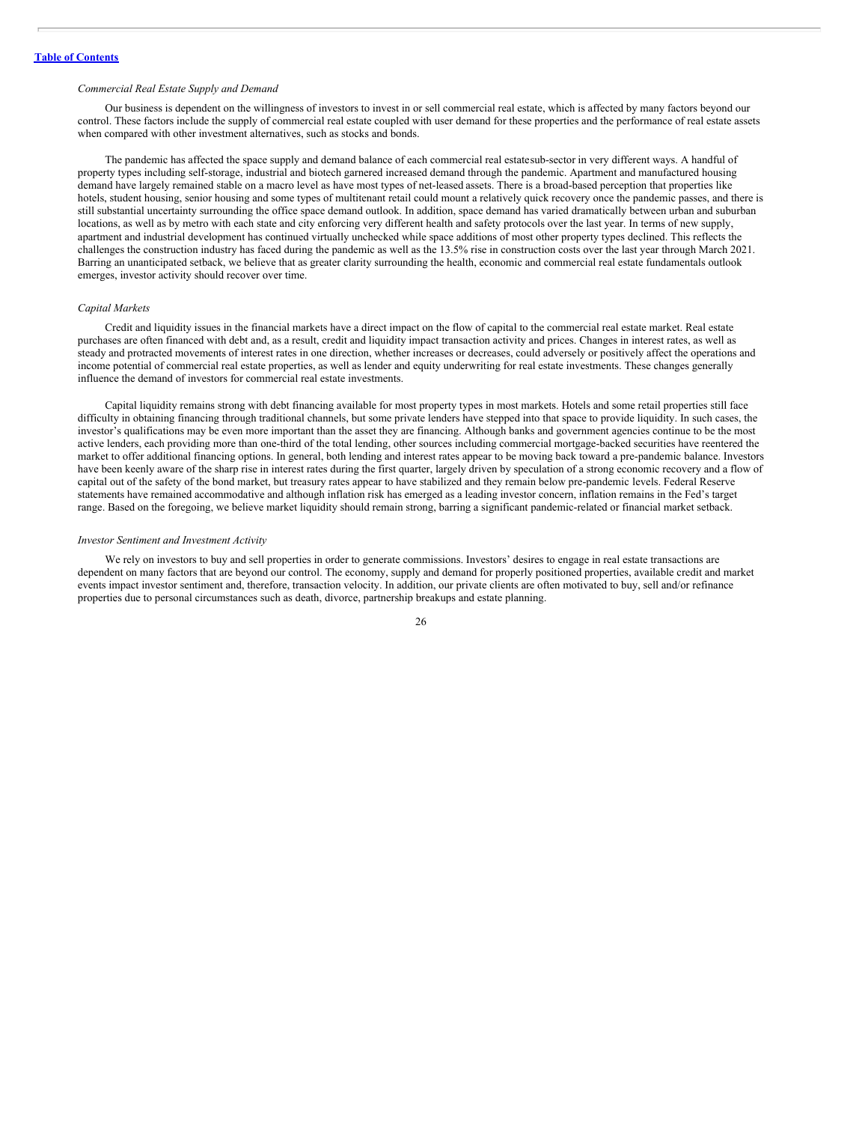#### *Commercial Real Estate Supply and Demand*

Our business is dependent on the willingness of investors to invest in or sell commercial real estate, which is affected by many factors beyond our control. These factors include the supply of commercial real estate coupled with user demand for these properties and the performance of real estate assets when compared with other investment alternatives, such as stocks and bonds.

The pandemic has affected the space supply and demand balance of each commercial real estatesub-sector in very different ways. A handful of property types including self-storage, industrial and biotech garnered increased demand through the pandemic. Apartment and manufactured housing demand have largely remained stable on a macro level as have most types of net-leased assets. There is a broad-based perception that properties like hotels, student housing, senior housing and some types of multitenant retail could mount a relatively quick recovery once the pandemic passes, and there is still substantial uncertainty surrounding the office space demand outlook. In addition, space demand has varied dramatically between urban and suburban locations, as well as by metro with each state and city enforcing very different health and safety protocols over the last year. In terms of new supply, apartment and industrial development has continued virtually unchecked while space additions of most other property types declined. This reflects the challenges the construction industry has faced during the pandemic as well as the 13.5% rise in construction costs over the last year through March 2021. Barring an unanticipated setback, we believe that as greater clarity surrounding the health, economic and commercial real estate fundamentals outlook emerges, investor activity should recover over time.

## *Capital Markets*

Credit and liquidity issues in the financial markets have a direct impact on the flow of capital to the commercial real estate market. Real estate purchases are often financed with debt and, as a result, credit and liquidity impact transaction activity and prices. Changes in interest rates, as well as steady and protracted movements of interest rates in one direction, whether increases or decreases, could adversely or positively affect the operations and income potential of commercial real estate properties, as well as lender and equity underwriting for real estate investments. These changes generally influence the demand of investors for commercial real estate investments.

Capital liquidity remains strong with debt financing available for most property types in most markets. Hotels and some retail properties still face difficulty in obtaining financing through traditional channels, but some private lenders have stepped into that space to provide liquidity. In such cases, the investor's qualifications may be even more important than the asset they are financing. Although banks and government agencies continue to be the most active lenders, each providing more than one-third of the total lending, other sources including commercial mortgage-backed securities have reentered the market to offer additional financing options. In general, both lending and interest rates appear to be moving back toward a pre-pandemic balance. Investors have been keenly aware of the sharp rise in interest rates during the first quarter, largely driven by speculation of a strong economic recovery and a flow of capital out of the safety of the bond market, but treasury rates appear to have stabilized and they remain below pre-pandemic levels. Federal Reserve statements have remained accommodative and although inflation risk has emerged as a leading investor concern, inflation remains in the Fed's target range. Based on the foregoing, we believe market liquidity should remain strong, barring a significant pandemic-related or financial market setback.

#### *Investor Sentiment and Investment Activity*

We rely on investors to buy and sell properties in order to generate commissions. Investors' desires to engage in real estate transactions are dependent on many factors that are beyond our control. The economy, supply and demand for properly positioned properties, available credit and market events impact investor sentiment and, therefore, transaction velocity. In addition, our private clients are often motivated to buy, sell and/or refinance properties due to personal circumstances such as death, divorce, partnership breakups and estate planning.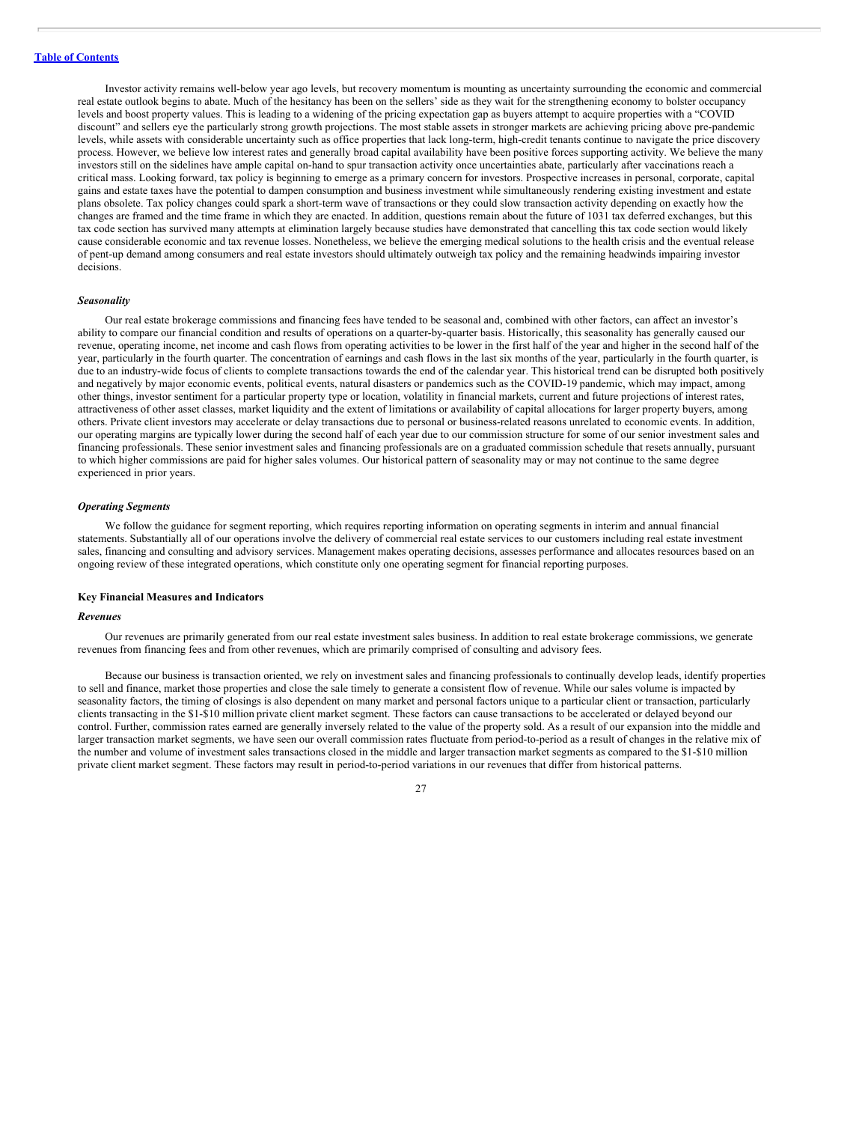Investor activity remains well-below year ago levels, but recovery momentum is mounting as uncertainty surrounding the economic and commercial real estate outlook begins to abate. Much of the hesitancy has been on the sellers' side as they wait for the strengthening economy to bolster occupancy levels and boost property values. This is leading to a widening of the pricing expectation gap as buyers attempt to acquire properties with a "COVID discount" and sellers eye the particularly strong growth projections. The most stable assets in stronger markets are achieving pricing above pre-pandemic levels, while assets with considerable uncertainty such as office properties that lack long-term, high-credit tenants continue to navigate the price discovery process. However, we believe low interest rates and generally broad capital availability have been positive forces supporting activity. We believe the many investors still on the sidelines have ample capital on-hand to spur transaction activity once uncertainties abate, particularly after vaccinations reach a critical mass. Looking forward, tax policy is beginning to emerge as a primary concern for investors. Prospective increases in personal, corporate, capital gains and estate taxes have the potential to dampen consumption and business investment while simultaneously rendering existing investment and estate plans obsolete. Tax policy changes could spark a short-term wave of transactions or they could slow transaction activity depending on exactly how the changes are framed and the time frame in which they are enacted. In addition, questions remain about the future of 1031 tax deferred exchanges, but this tax code section has survived many attempts at elimination largely because studies have demonstrated that cancelling this tax code section would likely cause considerable economic and tax revenue losses. Nonetheless, we believe the emerging medical solutions to the health crisis and the eventual release of pent-up demand among consumers and real estate investors should ultimately outweigh tax policy and the remaining headwinds impairing investor decisions.

#### *Seasonality*

Our real estate brokerage commissions and financing fees have tended to be seasonal and, combined with other factors, can affect an investor's ability to compare our financial condition and results of operations on a quarter-by-quarter basis. Historically, this seasonality has generally caused our revenue, operating income, net income and cash flows from operating activities to be lower in the first half of the year and higher in the second half of the year, particularly in the fourth quarter. The concentration of earnings and cash flows in the last six months of the year, particularly in the fourth quarter, is due to an industry-wide focus of clients to complete transactions towards the end of the calendar year. This historical trend can be disrupted both positively and negatively by major economic events, political events, natural disasters or pandemics such as the COVID-19 pandemic, which may impact, among other things, investor sentiment for a particular property type or location, volatility in financial markets, current and future projections of interest rates, attractiveness of other asset classes, market liquidity and the extent of limitations or availability of capital allocations for larger property buyers, among others. Private client investors may accelerate or delay transactions due to personal or business-related reasons unrelated to economic events. In addition, our operating margins are typically lower during the second half of each year due to our commission structure for some of our senior investment sales and financing professionals. These senior investment sales and financing professionals are on a graduated commission schedule that resets annually, pursuant to which higher commissions are paid for higher sales volumes. Our historical pattern of seasonality may or may not continue to the same degree experienced in prior years.

#### *Operating Segments*

We follow the guidance for segment reporting, which requires reporting information on operating segments in interim and annual financial statements. Substantially all of our operations involve the delivery of commercial real estate services to our customers including real estate investment sales, financing and consulting and advisory services. Management makes operating decisions, assesses performance and allocates resources based on an ongoing review of these integrated operations, which constitute only one operating segment for financial reporting purposes.

#### **Key Financial Measures and Indicators**

#### *Revenues*

Our revenues are primarily generated from our real estate investment sales business. In addition to real estate brokerage commissions, we generate revenues from financing fees and from other revenues, which are primarily comprised of consulting and advisory fees.

Because our business is transaction oriented, we rely on investment sales and financing professionals to continually develop leads, identify properties to sell and finance, market those properties and close the sale timely to generate a consistent flow of revenue. While our sales volume is impacted by seasonality factors, the timing of closings is also dependent on many market and personal factors unique to a particular client or transaction, particularly clients transacting in the \$1-\$10 million private client market segment. These factors can cause transactions to be accelerated or delayed beyond our control. Further, commission rates earned are generally inversely related to the value of the property sold. As a result of our expansion into the middle and larger transaction market segments, we have seen our overall commission rates fluctuate from period-to-period as a result of changes in the relative mix of the number and volume of investment sales transactions closed in the middle and larger transaction market segments as compared to the \$1-\$10 million private client market segment. These factors may result in period-to-period variations in our revenues that differ from historical patterns.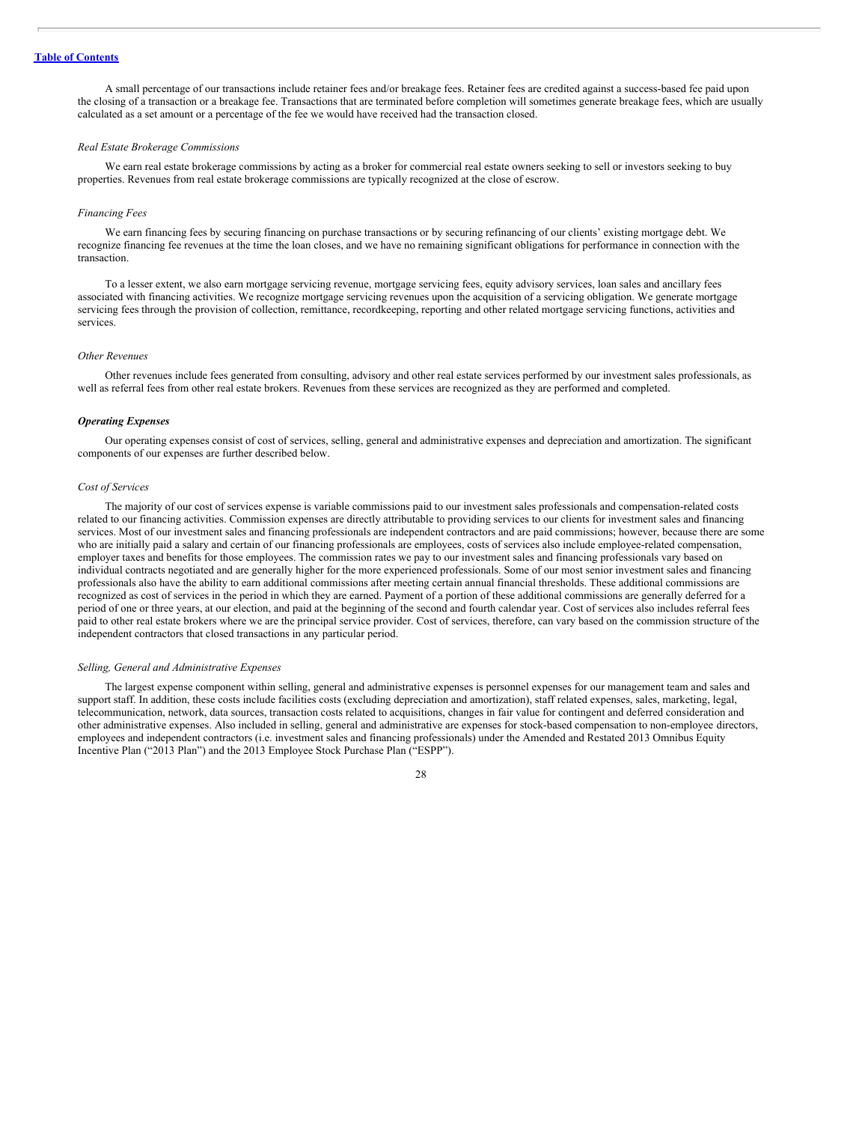A small percentage of our transactions include retainer fees and/or breakage fees. Retainer fees are credited against a success-based fee paid upon the closing of a transaction or a breakage fee. Transactions that are terminated before completion will sometimes generate breakage fees, which are usually calculated as a set amount or a percentage of the fee we would have received had the transaction closed.

#### *Real Estate Brokerage Commissions*

We earn real estate brokerage commissions by acting as a broker for commercial real estate owners seeking to sell or investors seeking to buy properties. Revenues from real estate brokerage commissions are typically recognized at the close of escrow.

#### *Financing Fees*

We earn financing fees by securing financing on purchase transactions or by securing refinancing of our clients' existing mortgage debt. We recognize financing fee revenues at the time the loan closes, and we have no remaining significant obligations for performance in connection with the transaction.

To a lesser extent, we also earn mortgage servicing revenue, mortgage servicing fees, equity advisory services, loan sales and ancillary fees associated with financing activities. We recognize mortgage servicing revenues upon the acquisition of a servicing obligation. We generate mortgage servicing fees through the provision of collection, remittance, recordkeeping, reporting and other related mortgage servicing functions, activities and services.

#### *Other Revenues*

Other revenues include fees generated from consulting, advisory and other real estate services performed by our investment sales professionals, as well as referral fees from other real estate brokers. Revenues from these services are recognized as they are performed and completed.

## *Operating Expenses*

Our operating expenses consist of cost of services, selling, general and administrative expenses and depreciation and amortization. The significant components of our expenses are further described below.

#### *Cost of Services*

The majority of our cost of services expense is variable commissions paid to our investment sales professionals and compensation-related costs related to our financing activities. Commission expenses are directly attributable to providing services to our clients for investment sales and financing services. Most of our investment sales and financing professionals are independent contractors and are paid commissions; however, because there are some who are initially paid a salary and certain of our financing professionals are employees, costs of services also include employee-related compensation, employer taxes and benefits for those employees. The commission rates we pay to our investment sales and financing professionals vary based on individual contracts negotiated and are generally higher for the more experienced professionals. Some of our most senior investment sales and financing professionals also have the ability to earn additional commissions after meeting certain annual financial thresholds. These additional commissions are recognized as cost of services in the period in which they are earned. Payment of a portion of these additional commissions are generally deferred for a period of one or three years, at our election, and paid at the beginning of the second and fourth calendar year. Cost of services also includes referral fees paid to other real estate brokers where we are the principal service provider. Cost of services, therefore, can vary based on the commission structure of the independent contractors that closed transactions in any particular period.

#### *Selling, General and Administrative Expenses*

The largest expense component within selling, general and administrative expenses is personnel expenses for our management team and sales and support staff. In addition, these costs include facilities costs (excluding depreciation and amortization), staff related expenses, sales, marketing, legal, telecommunication, network, data sources, transaction costs related to acquisitions, changes in fair value for contingent and deferred consideration and other administrative expenses. Also included in selling, general and administrative are expenses for stock-based compensation to non-employee directors, employees and independent contractors (i.e. investment sales and financing professionals) under the Amended and Restated 2013 Omnibus Equity Incentive Plan ("2013 Plan") and the 2013 Employee Stock Purchase Plan ("ESPP").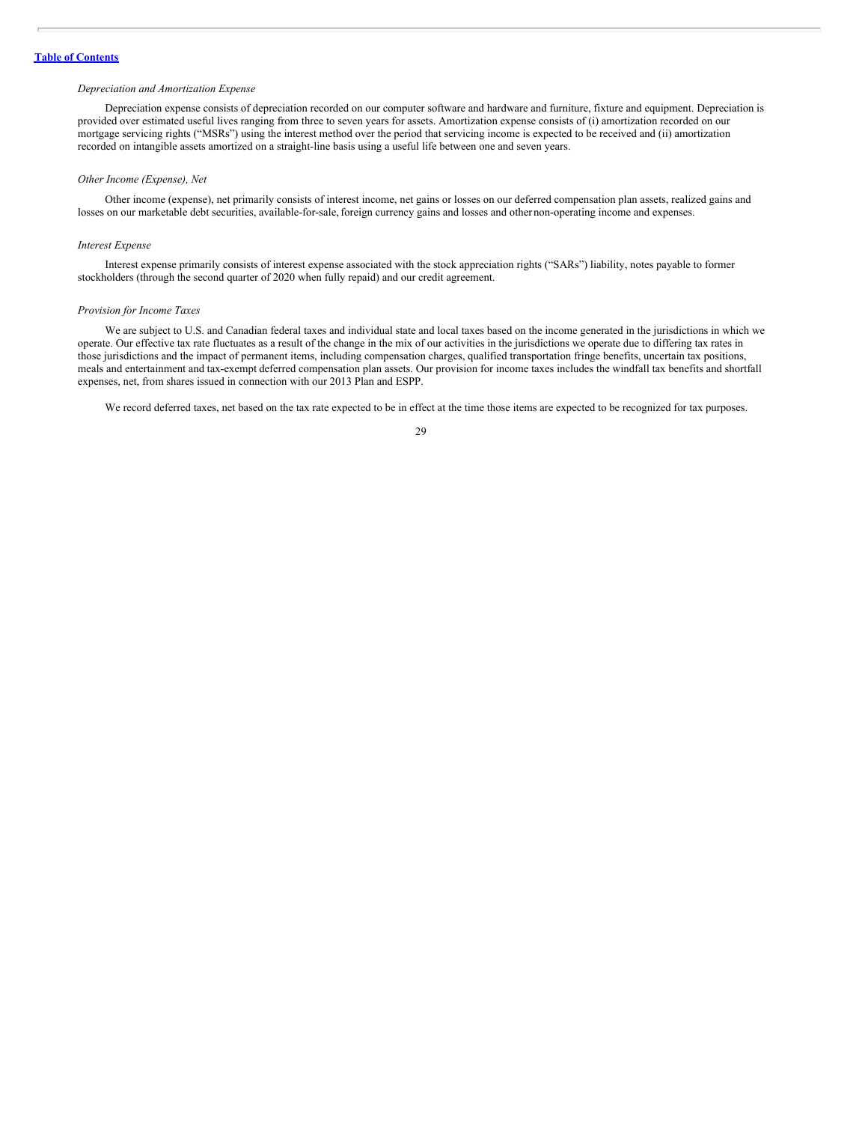#### *Depreciation and Amortization Expense*

Depreciation expense consists of depreciation recorded on our computer software and hardware and furniture, fixture and equipment. Depreciation is provided over estimated useful lives ranging from three to seven years for assets. Amortization expense consists of (i) amortization recorded on our mortgage servicing rights ("MSRs") using the interest method over the period that servicing income is expected to be received and (ii) amortization recorded on intangible assets amortized on a straight-line basis using a useful life between one and seven years.

## *Other Income (Expense), Net*

Other income (expense), net primarily consists of interest income, net gains or losses on our deferred compensation plan assets, realized gains and losses on our marketable debt securities, available-for-sale,foreign currency gains and losses and other non-operating income and expenses.

#### *Interest Expense*

Interest expense primarily consists of interest expense associated with the stock appreciation rights ("SARs") liability, notes payable to former stockholders (through the second quarter of 2020 when fully repaid) and our credit agreement.

#### *Provision for Income Taxes*

We are subject to U.S. and Canadian federal taxes and individual state and local taxes based on the income generated in the jurisdictions in which we operate. Our effective tax rate fluctuates as a result of the change in the mix of our activities in the jurisdictions we operate due to differing tax rates in those jurisdictions and the impact of permanent items, including compensation charges, qualified transportation fringe benefits, uncertain tax positions, meals and entertainment and tax-exempt deferred compensation plan assets. Our provision for income taxes includes the windfall tax benefits and shortfall expenses, net, from shares issued in connection with our 2013 Plan and ESPP.

We record deferred taxes, net based on the tax rate expected to be in effect at the time those items are expected to be recognized for tax purposes.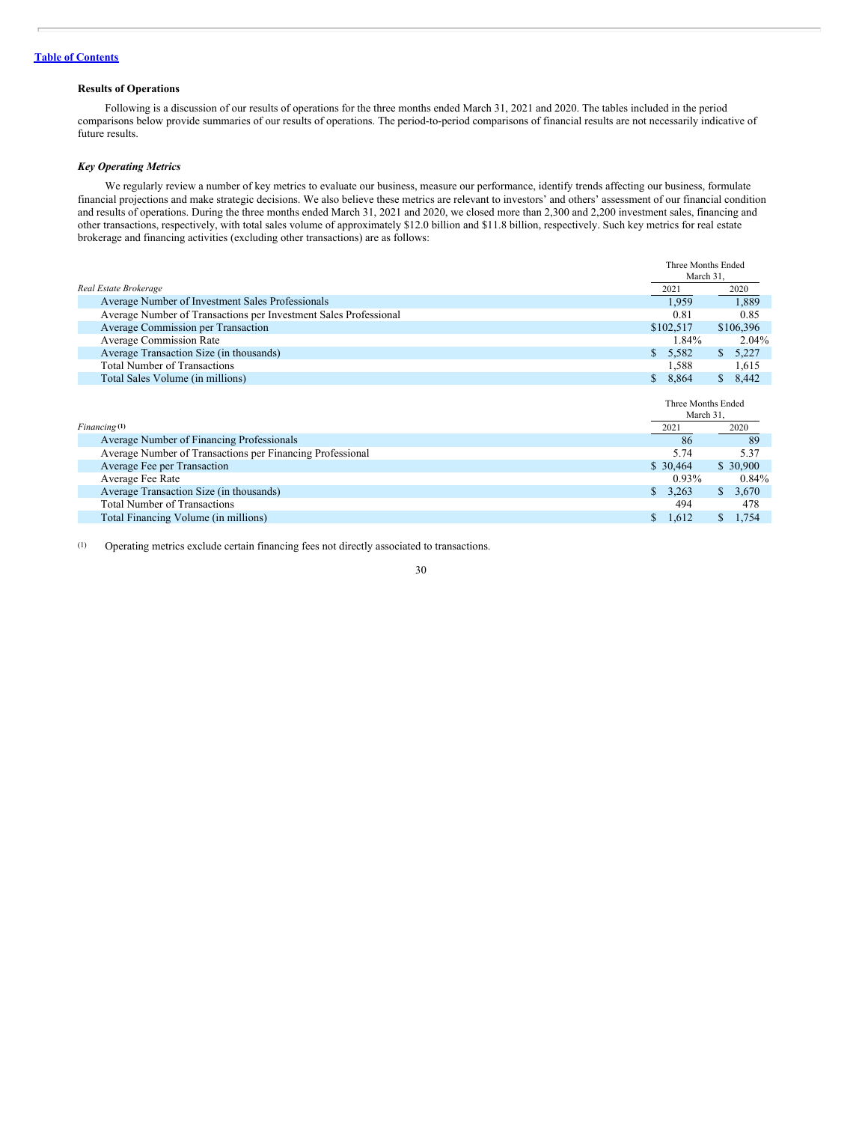## **Results of Operations**

Following is a discussion of our results of operations for the three months ended March 31, 2021 and 2020. The tables included in the period comparisons below provide summaries of our results of operations. The period-to-period comparisons of financial results are not necessarily indicative of future results.

## *Key Operating Metrics*

We regularly review a number of key metrics to evaluate our business, measure our performance, identify trends affecting our business, formulate financial projections and make strategic decisions. We also believe these metrics are relevant to investors' and others' assessment of our financial condition and results of operations. During the three months ended March 31, 2021 and 2020, we closed more than 2,300 and 2,200 investment sales, financing and other transactions, respectively, with total sales volume of approximately \$12.0 billion and \$11.8 billion, respectively. Such key metrics for real estate brokerage and financing activities (excluding other transactions) are as follows:

|                                                                  | Three Months Ended              |                         |
|------------------------------------------------------------------|---------------------------------|-------------------------|
|                                                                  | March 31,                       |                         |
| Real Estate Brokerage                                            | 2021                            | 2020                    |
| Average Number of Investment Sales Professionals                 | 1,959                           | 1,889                   |
| Average Number of Transactions per Investment Sales Professional | 0.81                            | 0.85                    |
| Average Commission per Transaction                               | \$102,517                       | \$106,396               |
| <b>Average Commission Rate</b>                                   | 1.84%                           | 2.04%                   |
| Average Transaction Size (in thousands)                          | 5,582<br>S.                     | 5,227<br>S.             |
| <b>Total Number of Transactions</b>                              | 1,588                           | 1,615                   |
| Total Sales Volume (in millions)                                 | \$8,864                         | 8,442<br>$\mathbb{S}^-$ |
|                                                                  | Three Months Ended<br>March 31, |                         |
| Financing <sup>(1)</sup>                                         | 2021                            | 2020                    |
| Average Number of Financing Professionals                        | 86                              | 89                      |
| Average Number of Transactions per Financing Professional        | 5.74                            | 5.37                    |
| Average Fee per Transaction                                      | \$30.464                        | \$ 30,900               |
| Average Fee Rate                                                 | $0.93\%$                        | $0.84\%$                |
| Average Transaction Size (in thousands)                          | 3,263<br>S.                     | \$3,670                 |
| <b>Total Number of Transactions</b>                              | 494                             | 478                     |
| Total Financing Volume (in millions)                             | 1,612<br>S                      | 1,754<br>S.             |

(1) Operating metrics exclude certain financing fees not directly associated to transactions.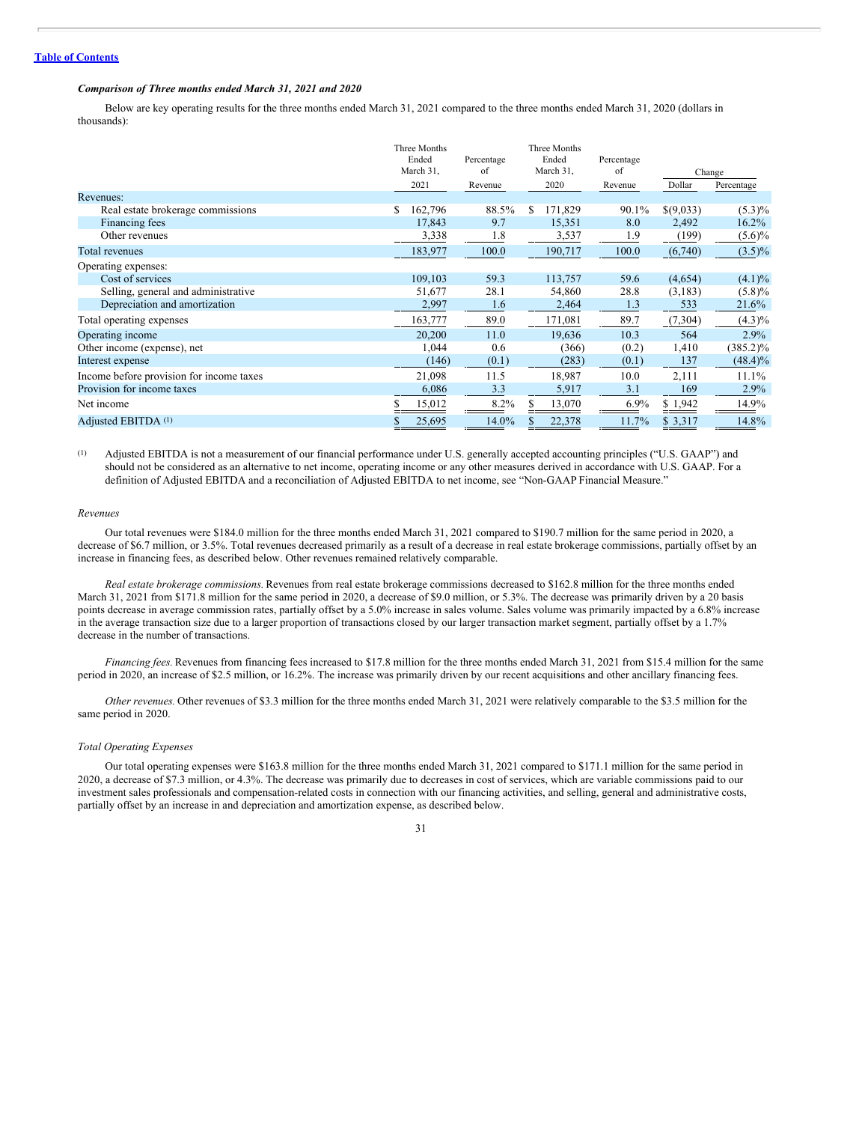#### *Comparison of Three months ended March 31, 2021 and 2020*

Below are key operating results for the three months ended March 31, 2021 compared to the three months ended March 31, 2020 (dollars in thousands):

|                                          | Three Months<br>Ended<br>March 31, | Percentage<br>of | Three Months<br>Ended<br>March 31, | Percentage<br>of |                | Change      |
|------------------------------------------|------------------------------------|------------------|------------------------------------|------------------|----------------|-------------|
|                                          | 2021                               | Revenue          | 2020                               | Revenue          | Dollar         | Percentage  |
| Revenues:                                |                                    |                  |                                    |                  |                |             |
| Real estate brokerage commissions        | 162,796<br>\$                      | 88.5%            | 171,829<br>\$.                     | 90.1%            | \$(9,033)      | $(5.3)\%$   |
| Financing fees                           | 17,843                             | 9.7              | 15,351                             | 8.0              | 2,492          | $16.2\%$    |
| Other revenues                           | 3,338                              | 1.8              | 3,537                              | 1.9              | (199)          | $(5.6)\%$   |
| Total revenues                           | 183,977                            | 100.0            | 190,717                            | 100.0            | (6,740)        | $(3.5)\%$   |
| Operating expenses:                      |                                    |                  |                                    |                  |                |             |
| Cost of services                         | 109,103                            | 59.3             | 113,757                            | 59.6             | (4,654)        | $(4.1)\%$   |
| Selling, general and administrative      | 51,677                             | 28.1             | 54,860                             | 28.8             | (3,183)        | $(5.8)\%$   |
| Depreciation and amortization            | 2,997                              | 1.6              | 2,464                              | 1.3              | 533            | 21.6%       |
| Total operating expenses                 | 163,777                            | 89.0             | 171,081                            | 89.7             | (7,304)        | $(4.3)\%$   |
| Operating income                         | 20,200                             | 11.0             | 19,636                             | 10.3             | 564            | 2.9%        |
| Other income (expense), net              | 1,044                              | 0.6              | (366)                              | (0.2)            | 1,410          | $(385.2)\%$ |
| Interest expense                         | (146)                              | (0.1)            | (283)                              | (0.1)            | 137            | $(48.4)\%$  |
| Income before provision for income taxes | 21,098                             | 11.5             | 18,987                             | 10.0             | 2,111          | 11.1%       |
| Provision for income taxes               | 6,086                              | 3.3              | 5,917                              | 3.1              | 169            | 2.9%        |
| Net income                               | 15,012                             | 8.2%             | 13,070                             | $6.9\%$          | \$1,942        | 14.9%       |
| Adjusted EBITDA (1)                      | 25,695                             | 14.0%            | 22,378                             | 11.7%            | \$ 3,317<br>-- | 14.8%       |

(1) Adjusted EBITDA is not a measurement of our financial performance under U.S. generally accepted accounting principles ("U.S. GAAP") and should not be considered as an alternative to net income, operating income or any other measures derived in accordance with U.S. GAAP. For a definition of Adjusted EBITDA and a reconciliation of Adjusted EBITDA to net income, see "Non-GAAP Financial Measure."

## *Revenues*

Our total revenues were \$184.0 million for the three months ended March 31, 2021 compared to \$190.7 million for the same period in 2020, a decrease of \$6.7 million, or 3.5%. Total revenues decreased primarily as a result of a decrease in real estate brokerage commissions, partially offset by an increase in financing fees, as described below. Other revenues remained relatively comparable.

*Real estate brokerage commissions.* Revenues from real estate brokerage commissions decreased to \$162.8 million for the three months ended March 31, 2021 from \$171.8 million for the same period in 2020, a decrease of \$9.0 million, or 5.3%. The decrease was primarily driven by a 20 basis points decrease in average commission rates, partially offset by a 5.0% increase in sales volume. Sales volume was primarily impacted by a 6.8% increase in the average transaction size due to a larger proportion of transactions closed by our larger transaction market segment, partially offset by a 1.7% decrease in the number of transactions.

*Financing fees*. Revenues from financing fees increased to \$17.8 million for the three months ended March 31, 2021 from \$15.4 million for the same period in 2020, an increase of \$2.5 million, or 16.2%. The increase was primarily driven by our recent acquisitions and other ancillary financing fees.

*Other revenues.* Other revenues of \$3.3 million for the three months ended March 31, 2021 were relatively comparable to the \$3.5 million for the same period in 2020.

#### *Total Operating Expenses*

Our total operating expenses were \$163.8 million for the three months ended March 31, 2021 compared to \$171.1 million for the same period in 2020, a decrease of \$7.3 million, or 4.3%. The decrease was primarily due to decreases in cost of services, which are variable commissions paid to our investment sales professionals and compensation-related costs in connection with our financing activities, and selling, general and administrative costs, partially offset by an increase in and depreciation and amortization expense, as described below.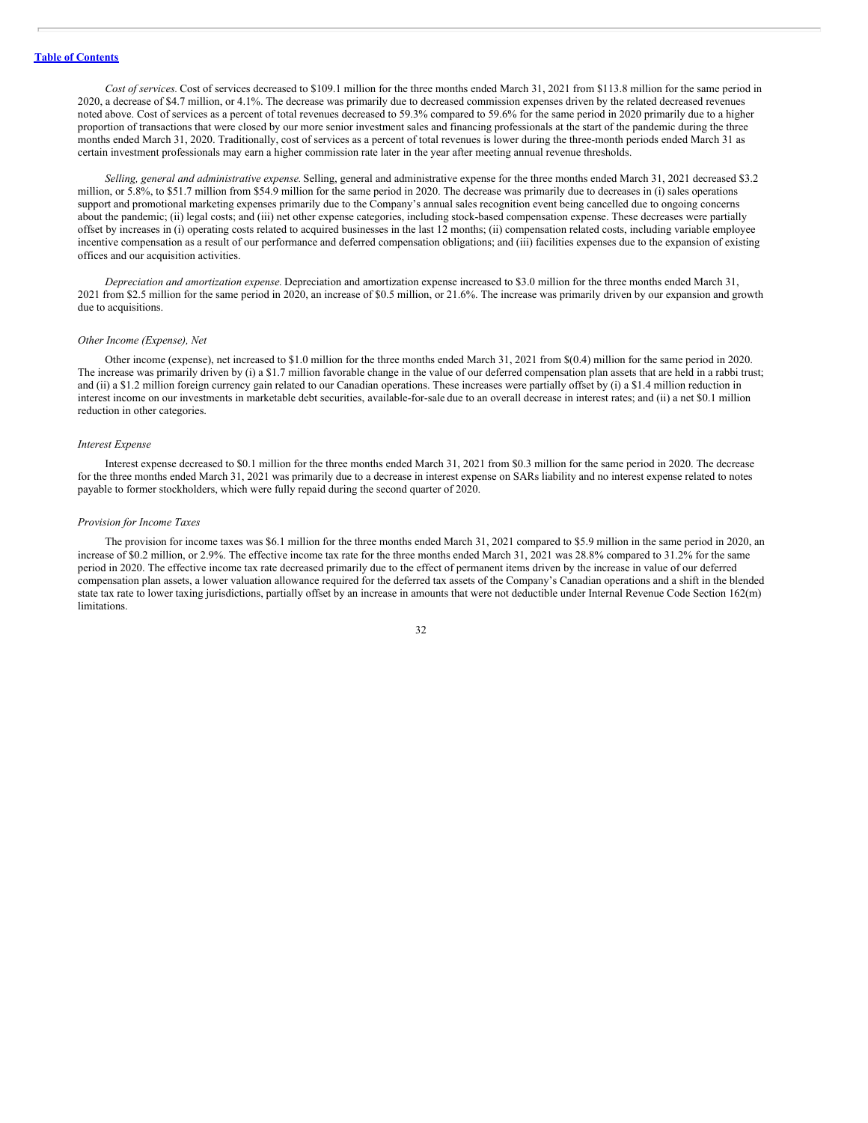*Cost of services.* Cost of services decreased to \$109.1 million for the three months ended March 31, 2021 from \$113.8 million for the same period in 2020, a decrease of \$4.7 million, or 4.1%. The decrease was primarily due to decreased commission expenses driven by the related decreased revenues noted above. Cost of services as a percent of total revenues decreased to 59.3% compared to 59.6% for the same period in 2020 primarily due to a higher proportion of transactions that were closed by our more senior investment sales and financing professionals at the start of the pandemic during the three months ended March 31, 2020. Traditionally, cost of services as a percent of total revenues is lower during the three-month periods ended March 31 as certain investment professionals may earn a higher commission rate later in the year after meeting annual revenue thresholds.

*Selling, general and administrative expense.* Selling, general and administrative expense for the three months ended March 31, 2021 decreased \$3.2 million, or 5.8%, to \$51.7 million from \$54.9 million for the same period in 2020. The decrease was primarily due to decreases in (i) sales operations support and promotional marketing expenses primarily due to the Company's annual sales recognition event being cancelled due to ongoing concerns about the pandemic; (ii) legal costs; and (iii) net other expense categories, including stock-based compensation expense. These decreases were partially offset by increases in (i) operating costs related to acquired businesses in the last 12 months; (ii) compensation related costs, including variable employee incentive compensation as a result of our performance and deferred compensation obligations; and (iii) facilities expenses due to the expansion of existing offices and our acquisition activities.

*Depreciation and amortization expense.* Depreciation and amortization expense increased to \$3.0 million for the three months ended March 31, 2021 from \$2.5 million for the same period in 2020, an increase of \$0.5 million, or 21.6%. The increase was primarily driven by our expansion and growth due to acquisitions.

## *Other Income (Expense), Net*

Other income (expense), net increased to \$1.0 million for the three months ended March 31, 2021 from \$(0.4) million for the same period in 2020. The increase was primarily driven by (i) a \$1.7 million favorable change in the value of our deferred compensation plan assets that are held in a rabbi trust; and (ii) a \$1.2 million foreign currency gain related to our Canadian operations. These increases were partially offset by (i) a \$1.4 million reduction in interest income on our investments in marketable debt securities, available-for-sale due to an overall decrease in interest rates; and (ii) a net \$0.1 million reduction in other categories.

#### *Interest Expense*

Interest expense decreased to \$0.1 million for the three months ended March 31, 2021 from \$0.3 million for the same period in 2020. The decrease for the three months ended March 31, 2021 was primarily due to a decrease in interest expense on SARs liability and no interest expense related to notes payable to former stockholders, which were fully repaid during the second quarter of 2020.

#### *Provision for Income Taxes*

The provision for income taxes was \$6.1 million for the three months ended March 31, 2021 compared to \$5.9 million in the same period in 2020, an increase of \$0.2 million, or 2.9%. The effective income tax rate for the three months ended March 31, 2021 was 28.8% compared to 31.2% for the same period in 2020. The effective income tax rate decreased primarily due to the effect of permanent items driven by the increase in value of our deferred compensation plan assets, a lower valuation allowance required for the deferred tax assets of the Company's Canadian operations and a shift in the blended state tax rate to lower taxing jurisdictions, partially offset by an increase in amounts that were not deductible under Internal Revenue Code Section 162(m) limitations.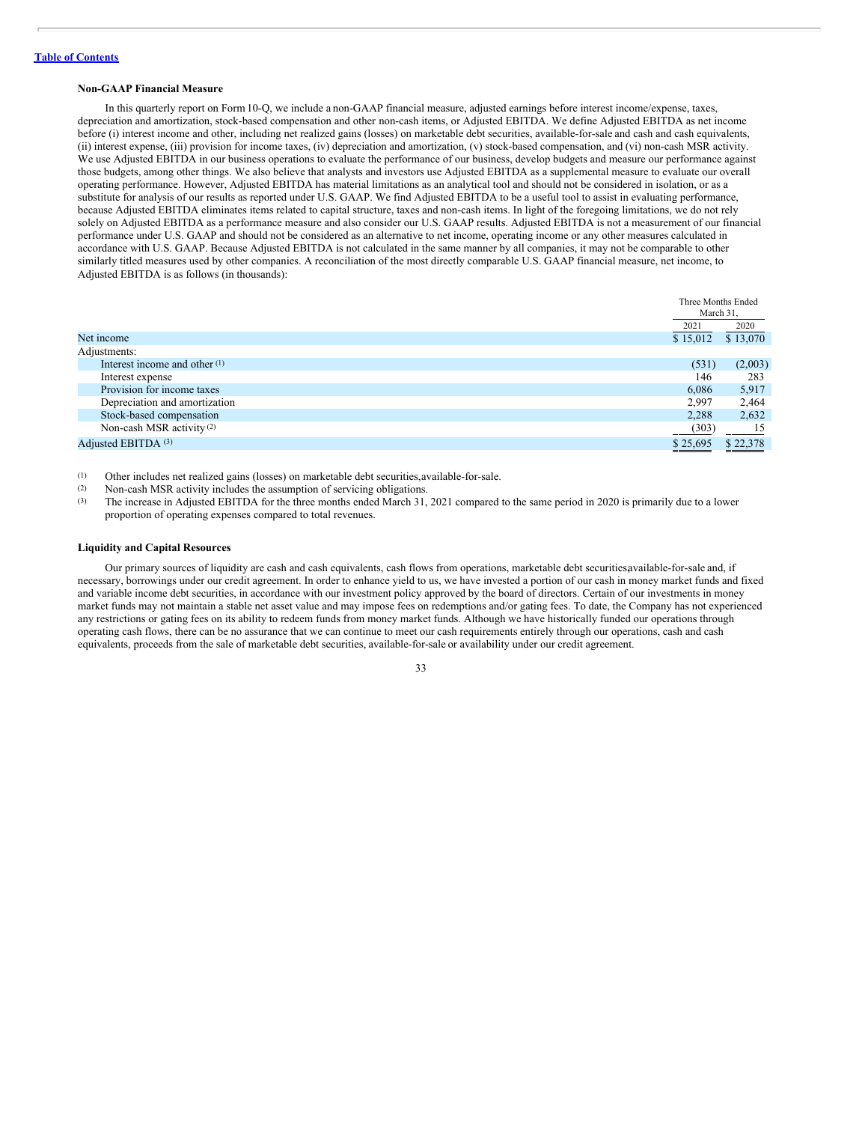#### **Non-GAAP Financial Measure**

In this quarterly report on Form 10-Q, we include a non-GAAP financial measure, adjusted earnings before interest income/expense, taxes, depreciation and amortization, stock-based compensation and other non-cash items, or Adjusted EBITDA. We define Adjusted EBITDA as net income before (i) interest income and other, including net realized gains (losses) on marketable debt securities, available-for-sale and cash and cash equivalents, (ii) interest expense, (iii) provision for income taxes, (iv) depreciation and amortization, (v) stock-based compensation, and (vi) non-cash MSR activity. We use Adjusted EBITDA in our business operations to evaluate the performance of our business, develop budgets and measure our performance against those budgets, among other things. We also believe that analysts and investors use Adjusted EBITDA as a supplemental measure to evaluate our overall operating performance. However, Adjusted EBITDA has material limitations as an analytical tool and should not be considered in isolation, or as a substitute for analysis of our results as reported under U.S. GAAP. We find Adjusted EBITDA to be a useful tool to assist in evaluating performance, because Adjusted EBITDA eliminates items related to capital structure, taxes and non-cash items. In light of the foregoing limitations, we do not rely solely on Adjusted EBITDA as a performance measure and also consider our U.S. GAAP results. Adjusted EBITDA is not a measurement of our financial performance under U.S. GAAP and should not be considered as an alternative to net income, operating income or any other measures calculated in accordance with U.S. GAAP. Because Adjusted EBITDA is not calculated in the same manner by all companies, it may not be comparable to other similarly titled measures used by other companies. A reconciliation of the most directly comparable U.S. GAAP financial measure, net income, to Adjusted EBITDA is as follows (in thousands):

|                                      | Three Months Ended<br>March 31, |                      |
|--------------------------------------|---------------------------------|----------------------|
|                                      | 2021                            | 2020                 |
| Net income                           | \$15,012                        | $\overline{$}13,070$ |
| Adjustments:                         |                                 |                      |
| Interest income and other $(1)$      | (531)                           | (2,003)              |
| Interest expense                     | 146                             | 283                  |
| Provision for income taxes           | 6,086                           | 5,917                |
| Depreciation and amortization        | 2,997                           | 2,464                |
| Stock-based compensation             | 2,288                           | 2,632                |
| Non-cash MSR activity <sup>(2)</sup> | (303)                           | 15                   |
| Adjusted EBITDA (3)                  | \$25,695                        | \$22,378             |

(1) Other includes net realized gains (losses) on marketable debt securities,available-for-sale.

- (2) Non-cash MSR activity includes the assumption of servicing obligations.
- (3) The increase in Adjusted EBITDA for the three months ended March 31, 2021 compared to the same period in 2020 is primarily due to a lower proportion of operating expenses compared to total revenues.

#### **Liquidity and Capital Resources**

Our primary sources of liquidity are cash and cash equivalents, cash flows from operations, marketable debt securities,available-for-sale and, if necessary, borrowings under our credit agreement. In order to enhance yield to us, we have invested a portion of our cash in money market funds and fixed and variable income debt securities, in accordance with our investment policy approved by the board of directors. Certain of our investments in money market funds may not maintain a stable net asset value and may impose fees on redemptions and/or gating fees. To date, the Company has not experienced any restrictions or gating fees on its ability to redeem funds from money market funds. Although we have historically funded our operations through operating cash flows, there can be no assurance that we can continue to meet our cash requirements entirely through our operations, cash and cash equivalents, proceeds from the sale of marketable debt securities, available-for-sale or availability under our credit agreement.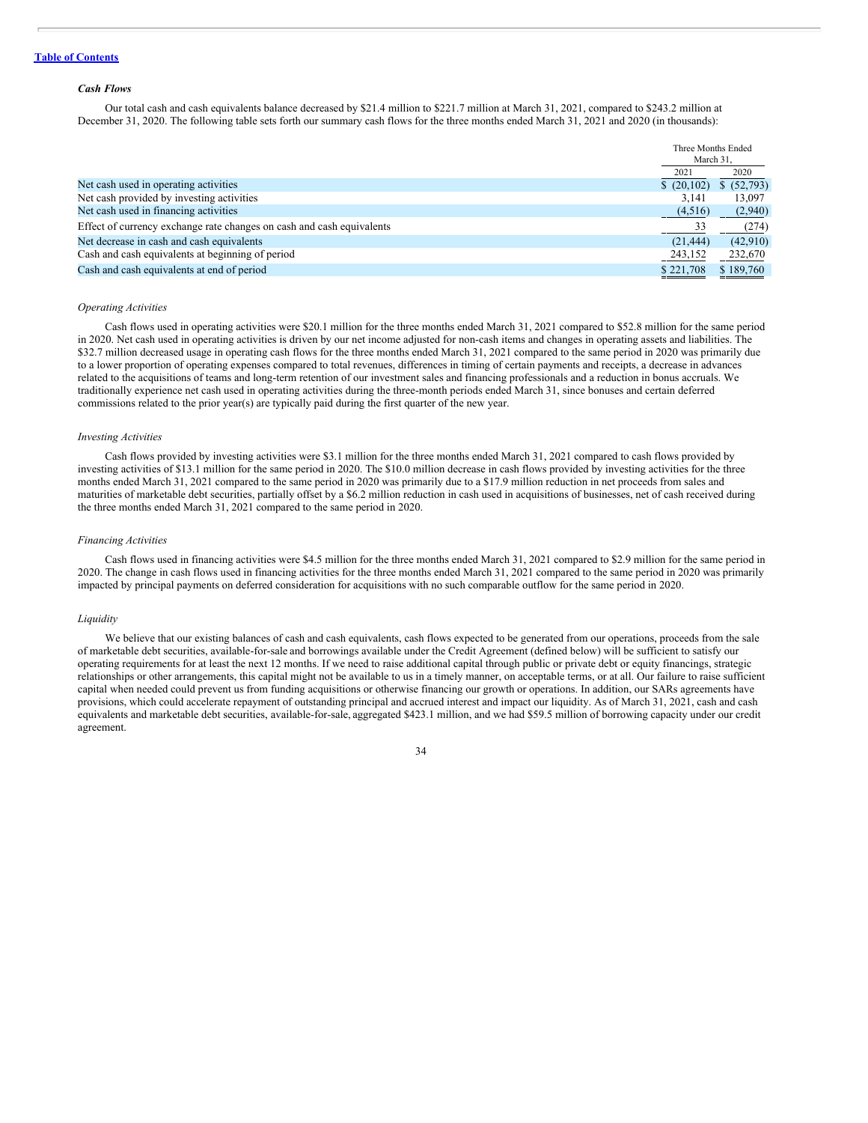#### *Cash Flows*

Our total cash and cash equivalents balance decreased by \$21.4 million to \$221.7 million at March 31, 2021, compared to \$243.2 million at December 31, 2020. The following table sets forth our summary cash flows for the three months ended March 31, 2021 and 2020 (in thousands):

|                                                                       | Three Months Ended<br>March 31, |             |
|-----------------------------------------------------------------------|---------------------------------|-------------|
|                                                                       | 2021                            | 2020        |
| Net cash used in operating activities                                 | \$(20,102)                      | \$ (52,793) |
| Net cash provided by investing activities                             | 3.141                           | 13,097      |
| Net cash used in financing activities                                 | (4,516)                         | (2,940)     |
| Effect of currency exchange rate changes on cash and cash equivalents | 33                              | (274)       |
| Net decrease in cash and cash equivalents                             | (21, 444)                       | (42,910)    |
| Cash and cash equivalents at beginning of period                      | 243,152                         | 232,670     |
| Cash and cash equivalents at end of period                            | \$221,708                       | \$189,760   |

#### *Operating Activities*

Cash flows used in operating activities were \$20.1 million for the three months ended March 31, 2021 compared to \$52.8 million for the same period in 2020. Net cash used in operating activities is driven by our net income adjusted for non-cash items and changes in operating assets and liabilities. The \$32.7 million decreased usage in operating cash flows for the three months ended March 31, 2021 compared to the same period in 2020 was primarily due to a lower proportion of operating expenses compared to total revenues, differences in timing of certain payments and receipts, a decrease in advances related to the acquisitions of teams and long-term retention of our investment sales and financing professionals and a reduction in bonus accruals. We traditionally experience net cash used in operating activities during the three-month periods ended March 31, since bonuses and certain deferred commissions related to the prior year(s) are typically paid during the first quarter of the new year.

#### *Investing Activities*

Cash flows provided by investing activities were \$3.1 million for the three months ended March 31, 2021 compared to cash flows provided by investing activities of \$13.1 million for the same period in 2020. The \$10.0 million decrease in cash flows provided by investing activities for the three months ended March 31, 2021 compared to the same period in 2020 was primarily due to a \$17.9 million reduction in net proceeds from sales and maturities of marketable debt securities, partially offset by a \$6.2 million reduction in cash used in acquisitions of businesses, net of cash received during the three months ended March 31, 2021 compared to the same period in 2020.

#### *Financing Activities*

Cash flows used in financing activities were \$4.5 million for the three months ended March 31, 2021 compared to \$2.9 million for the same period in 2020. The change in cash flows used in financing activities for the three months ended March 31, 2021 compared to the same period in 2020 was primarily impacted by principal payments on deferred consideration for acquisitions with no such comparable outflow for the same period in 2020.

#### *Liquidity*

We believe that our existing balances of cash and cash equivalents, cash flows expected to be generated from our operations, proceeds from the sale of marketable debt securities, available-for-sale and borrowings available under the Credit Agreement (defined below) will be sufficient to satisfy our operating requirements for at least the next 12 months. If we need to raise additional capital through public or private debt or equity financings, strategic relationships or other arrangements, this capital might not be available to us in a timely manner, on acceptable terms, or at all. Our failure to raise sufficient capital when needed could prevent us from funding acquisitions or otherwise financing our growth or operations. In addition, our SARs agreements have provisions, which could accelerate repayment of outstanding principal and accrued interest and impact our liquidity. As of March 31, 2021, cash and cash equivalents and marketable debt securities, available-for-sale, aggregated \$423.1 million, and we had \$59.5 million of borrowing capacity under our credit agreement.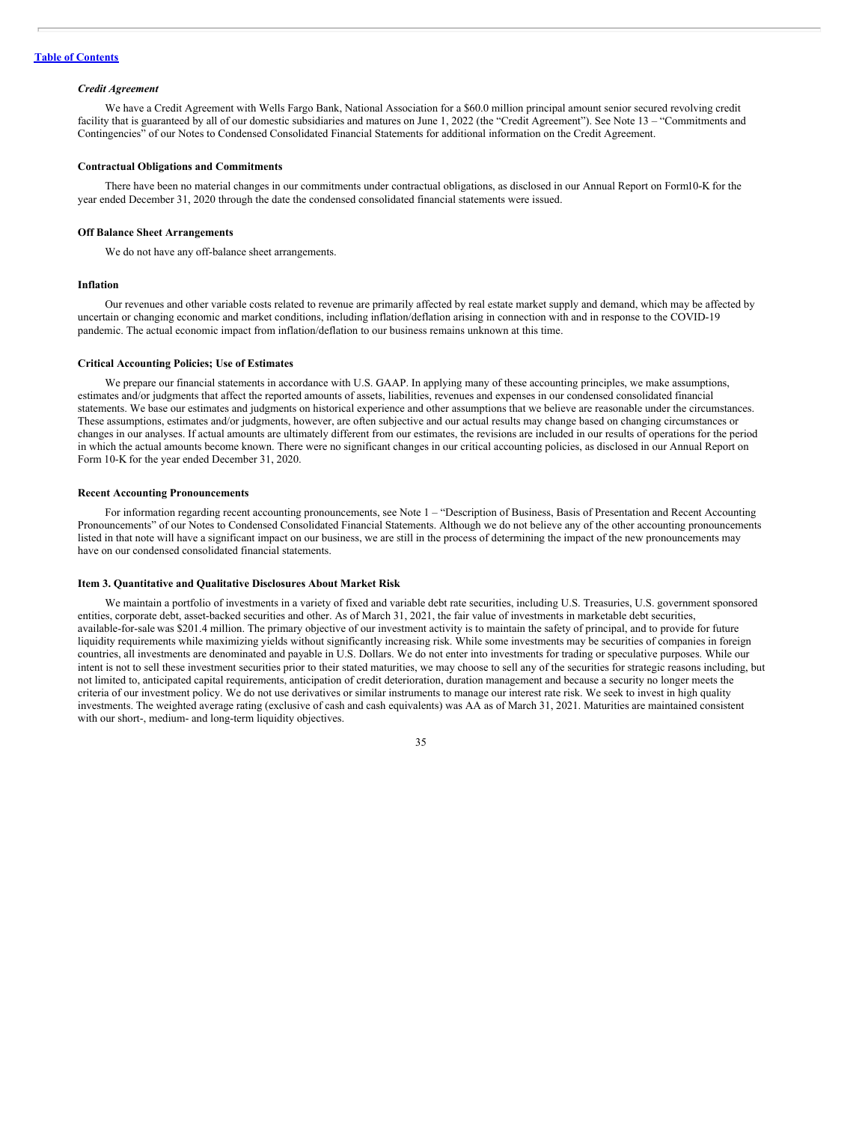#### *Credit Agreement*

We have a Credit Agreement with Wells Fargo Bank, National Association for a \$60.0 million principal amount senior secured revolving credit facility that is guaranteed by all of our domestic subsidiaries and matures on June 1, 2022 (the "Credit Agreement"). See Note 13 – "Commitments and Contingencies" of our Notes to Condensed Consolidated Financial Statements for additional information on the Credit Agreement.

#### **Contractual Obligations and Commitments**

There have been no material changes in our commitments under contractual obligations, as disclosed in our Annual Report on Form10-K for the year ended December 31, 2020 through the date the condensed consolidated financial statements were issued.

#### **Off Balance Sheet Arrangements**

We do not have any off-balance sheet arrangements.

## **Inflation**

Our revenues and other variable costs related to revenue are primarily affected by real estate market supply and demand, which may be affected by uncertain or changing economic and market conditions, including inflation/deflation arising in connection with and in response to the COVID-19 pandemic. The actual economic impact from inflation/deflation to our business remains unknown at this time.

#### **Critical Accounting Policies; Use of Estimates**

We prepare our financial statements in accordance with U.S. GAAP. In applying many of these accounting principles, we make assumptions, estimates and/or judgments that affect the reported amounts of assets, liabilities, revenues and expenses in our condensed consolidated financial statements. We base our estimates and judgments on historical experience and other assumptions that we believe are reasonable under the circumstances. These assumptions, estimates and/or judgments, however, are often subjective and our actual results may change based on changing circumstances or changes in our analyses. If actual amounts are ultimately different from our estimates, the revisions are included in our results of operations for the period in which the actual amounts become known. There were no significant changes in our critical accounting policies, as disclosed in our Annual Report on Form 10-K for the year ended December 31, 2020.

#### **Recent Accounting Pronouncements**

For information regarding recent accounting pronouncements, see Note 1 – "Description of Business, Basis of Presentation and Recent Accounting Pronouncements" of our Notes to Condensed Consolidated Financial Statements. Although we do not believe any of the other accounting pronouncements listed in that note will have a significant impact on our business, we are still in the process of determining the impact of the new pronouncements may have on our condensed consolidated financial statements.

## <span id="page-35-0"></span>**Item 3. Quantitative and Qualitative Disclosures About Market Risk**

We maintain a portfolio of investments in a variety of fixed and variable debt rate securities, including U.S. Treasuries, U.S. government sponsored entities, corporate debt, asset-backed securities and other. As of March 31, 2021, the fair value of investments in marketable debt securities, available-for-sale was \$201.4 million. The primary objective of our investment activity is to maintain the safety of principal, and to provide for future liquidity requirements while maximizing yields without significantly increasing risk. While some investments may be securities of companies in foreign countries, all investments are denominated and payable in U.S. Dollars. We do not enter into investments for trading or speculative purposes. While our intent is not to sell these investment securities prior to their stated maturities, we may choose to sell any of the securities for strategic reasons including, but not limited to, anticipated capital requirements, anticipation of credit deterioration, duration management and because a security no longer meets the criteria of our investment policy. We do not use derivatives or similar instruments to manage our interest rate risk. We seek to invest in high quality investments. The weighted average rating (exclusive of cash and cash equivalents) was AA as of March 31, 2021. Maturities are maintained consistent with our short-, medium- and long-term liquidity objectives.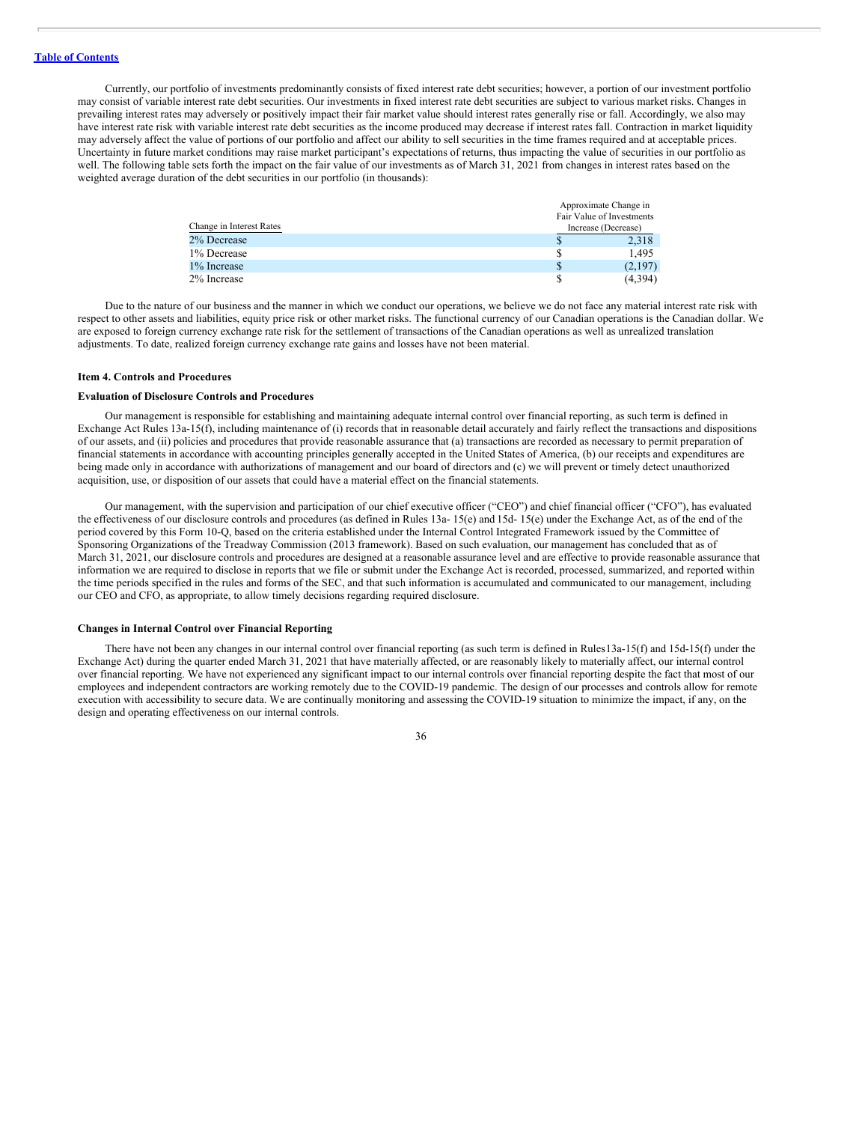Currently, our portfolio of investments predominantly consists of fixed interest rate debt securities; however, a portion of our investment portfolio may consist of variable interest rate debt securities. Our investments in fixed interest rate debt securities are subject to various market risks. Changes in prevailing interest rates may adversely or positively impact their fair market value should interest rates generally rise or fall. Accordingly, we also may have interest rate risk with variable interest rate debt securities as the income produced may decrease if interest rates fall. Contraction in market liquidity may adversely affect the value of portions of our portfolio and affect our ability to sell securities in the time frames required and at acceptable prices. Uncertainty in future market conditions may raise market participant's expectations of returns, thus impacting the value of securities in our portfolio as well. The following table sets forth the impact on the fair value of our investments as of March 31, 2021 from changes in interest rates based on the weighted average duration of the debt securities in our portfolio (in thousands):

|                          |   | Approximate Change in     |
|--------------------------|---|---------------------------|
|                          |   | Fair Value of Investments |
| Change in Interest Rates |   | Increase (Decrease)       |
| 2% Decrease              | S | 2,318                     |
| 1% Decrease              | S | 1.495                     |
| 1% Increase              | S | (2,197)                   |
| 2% Increase              |   | (4,394)                   |

Due to the nature of our business and the manner in which we conduct our operations, we believe we do not face any material interest rate risk with respect to other assets and liabilities, equity price risk or other market risks. The functional currency of our Canadian operations is the Canadian dollar. We are exposed to foreign currency exchange rate risk for the settlement of transactions of the Canadian operations as well as unrealized translation adjustments. To date, realized foreign currency exchange rate gains and losses have not been material.

#### <span id="page-36-0"></span>**Item 4. Controls and Procedures**

## **Evaluation of Disclosure Controls and Procedures**

Our management is responsible for establishing and maintaining adequate internal control over financial reporting, as such term is defined in Exchange Act Rules 13a-15(f), including maintenance of (i) records that in reasonable detail accurately and fairly reflect the transactions and dispositions of our assets, and (ii) policies and procedures that provide reasonable assurance that (a) transactions are recorded as necessary to permit preparation of financial statements in accordance with accounting principles generally accepted in the United States of America, (b) our receipts and expenditures are being made only in accordance with authorizations of management and our board of directors and (c) we will prevent or timely detect unauthorized acquisition, use, or disposition of our assets that could have a material effect on the financial statements.

Our management, with the supervision and participation of our chief executive officer ("CEO") and chief financial officer ("CFO"), has evaluated the effectiveness of our disclosure controls and procedures (as defined in Rules 13a- 15(e) and 15d- 15(e) under the Exchange Act, as of the end of the period covered by this Form 10-Q, based on the criteria established under the Internal Control Integrated Framework issued by the Committee of Sponsoring Organizations of the Treadway Commission (2013 framework). Based on such evaluation, our management has concluded that as of March 31, 2021, our disclosure controls and procedures are designed at a reasonable assurance level and are effective to provide reasonable assurance that information we are required to disclose in reports that we file or submit under the Exchange Act is recorded, processed, summarized, and reported within the time periods specified in the rules and forms of the SEC, and that such information is accumulated and communicated to our management, including our CEO and CFO, as appropriate, to allow timely decisions regarding required disclosure.

## **Changes in Internal Control over Financial Reporting**

There have not been any changes in our internal control over financial reporting (as such term is defined in Rules13a-15(f) and 15d-15(f) under the Exchange Act) during the quarter ended March 31, 2021 that have materially affected, or are reasonably likely to materially affect, our internal control over financial reporting. We have not experienced any significant impact to our internal controls over financial reporting despite the fact that most of our employees and independent contractors are working remotely due to the COVID-19 pandemic. The design of our processes and controls allow for remote execution with accessibility to secure data. We are continually monitoring and assessing the COVID-19 situation to minimize the impact, if any, on the design and operating effectiveness on our internal controls.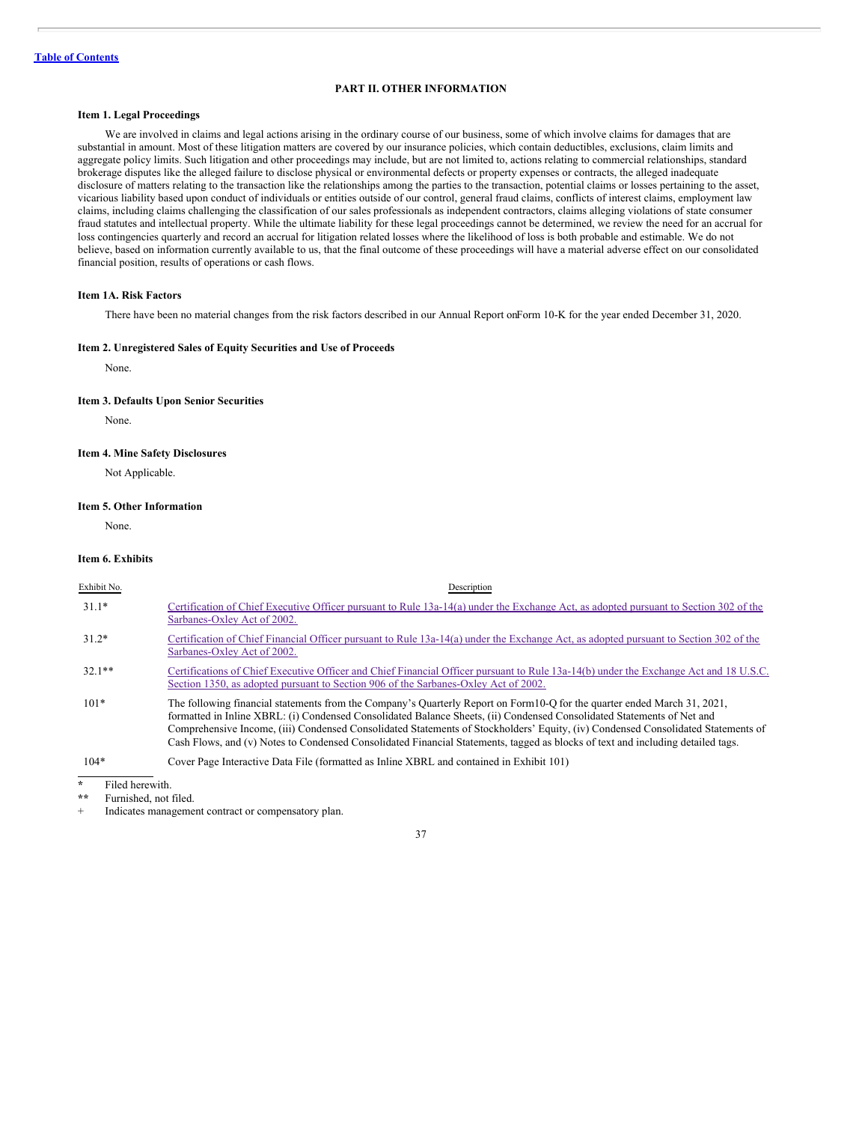## **PART II. OTHER INFORMATION**

## <span id="page-37-1"></span><span id="page-37-0"></span>**Item 1. Legal Proceedings**

We are involved in claims and legal actions arising in the ordinary course of our business, some of which involve claims for damages that are substantial in amount. Most of these litigation matters are covered by our insurance policies, which contain deductibles, exclusions, claim limits and aggregate policy limits. Such litigation and other proceedings may include, but are not limited to, actions relating to commercial relationships, standard brokerage disputes like the alleged failure to disclose physical or environmental defects or property expenses or contracts, the alleged inadequate disclosure of matters relating to the transaction like the relationships among the parties to the transaction, potential claims or losses pertaining to the asset, vicarious liability based upon conduct of individuals or entities outside of our control, general fraud claims, conflicts of interest claims, employment law claims, including claims challenging the classification of our sales professionals as independent contractors, claims alleging violations of state consumer fraud statutes and intellectual property. While the ultimate liability for these legal proceedings cannot be determined, we review the need for an accrual for loss contingencies quarterly and record an accrual for litigation related losses where the likelihood of loss is both probable and estimable. We do not believe, based on information currently available to us, that the final outcome of these proceedings will have a material adverse effect on our consolidated financial position, results of operations or cash flows.

## <span id="page-37-2"></span>**Item 1A. Risk Factors**

There have been no material changes from the risk factors described in our Annual Report onForm 10-K for the year ended December 31, 2020.

## <span id="page-37-3"></span>**Item 2. Unregistered Sales of Equity Securities and Use of Proceeds**

None.

#### <span id="page-37-4"></span>**Item 3. Defaults Upon Senior Securities**

None.

## <span id="page-37-5"></span>**Item 4. Mine Safety Disclosures**

Not Applicable.

## <span id="page-37-6"></span>**Item 5. Other Information**

None.

#### <span id="page-37-7"></span>**Item 6. Exhibits**

| Exhibit No. | Description                                                                                                                                                                                                                                                                                                                                                                                                                                                                                                                |
|-------------|----------------------------------------------------------------------------------------------------------------------------------------------------------------------------------------------------------------------------------------------------------------------------------------------------------------------------------------------------------------------------------------------------------------------------------------------------------------------------------------------------------------------------|
| $31.1*$     | Certification of Chief Executive Officer pursuant to Rule 13a-14(a) under the Exchange Act, as adopted pursuant to Section 302 of the<br>Sarbanes-Oxley Act of 2002.                                                                                                                                                                                                                                                                                                                                                       |
| $31.2*$     | Certification of Chief Financial Officer pursuant to Rule 13a-14(a) under the Exchange Act, as adopted pursuant to Section 302 of the<br>Sarbanes-Oxley Act of 2002.                                                                                                                                                                                                                                                                                                                                                       |
| $32.1**$    | Certifications of Chief Executive Officer and Chief Financial Officer pursuant to Rule 13a-14(b) under the Exchange Act and 18 U.S.C.<br>Section 1350, as adopted pursuant to Section 906 of the Sarbanes-Oxley Act of 2002.                                                                                                                                                                                                                                                                                               |
| $101*$      | The following financial statements from the Company's Quarterly Report on Form 10-Q for the quarter ended March 31, 2021,<br>formatted in Inline XBRL: (i) Condensed Consolidated Balance Sheets, (ii) Condensed Consolidated Statements of Net and<br>Comprehensive Income, (iii) Condensed Consolidated Statements of Stockholders' Equity, (iv) Condensed Consolidated Statements of<br>Cash Flows, and (v) Notes to Condensed Consolidated Financial Statements, tagged as blocks of text and including detailed tags. |
| $104*$      | Cover Page Interactive Data File (formatted as Inline XBRL and contained in Exhibit 101)                                                                                                                                                                                                                                                                                                                                                                                                                                   |

**\*** Filed herewith.

Furnished, not filed.

Indicates management contract or compensatory plan.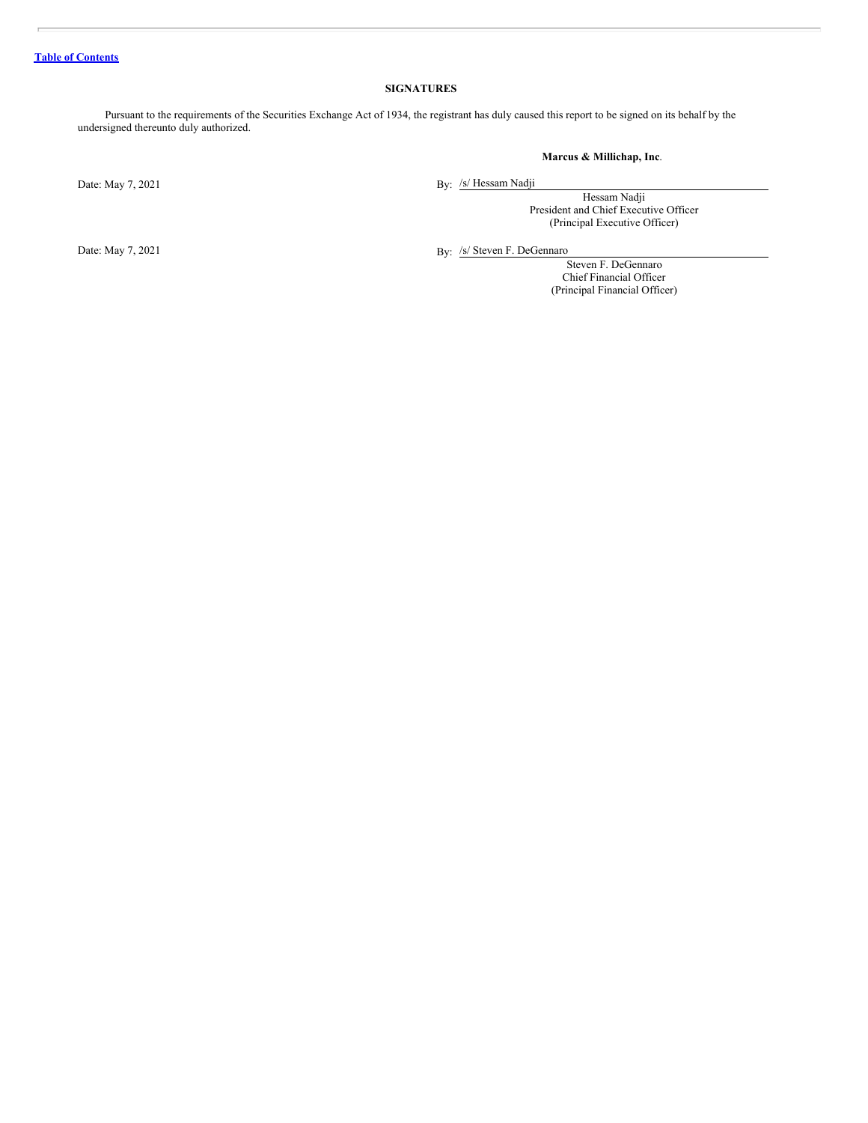## **SIGNATURES**

<span id="page-38-0"></span>Pursuant to the requirements of the Securities Exchange Act of 1934, the registrant has duly caused this report to be signed on its behalf by the undersigned thereunto duly authorized.

## **Marcus & Millichap, Inc**.

Date: May 7, 2021

By: /s/ Hessam Nadji

Hessam Nadji President and Chief Executive Officer (Principal Executive Officer)

By: /s/ Steven F. DeGennaro

Steven F. DeGennaro Chief Financial Officer (Principal Financial Officer)

Date: May 7, 2021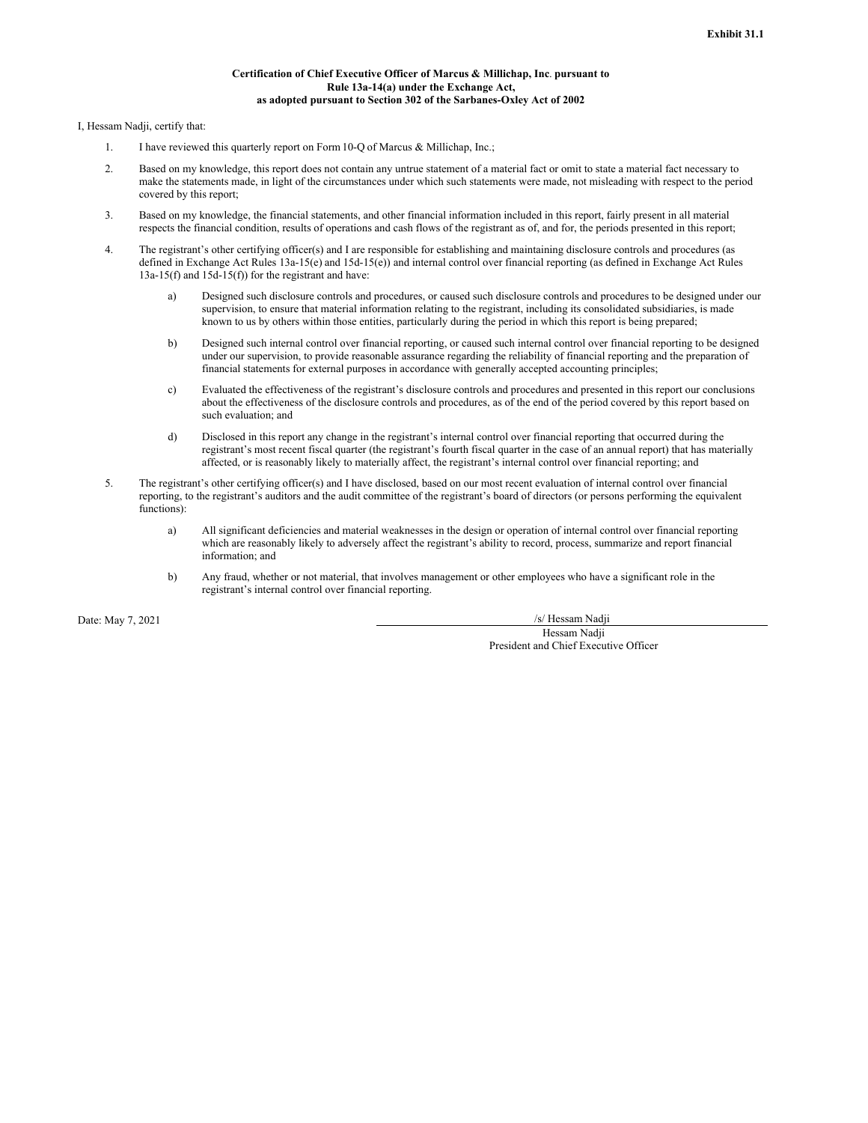#### **Certification of Chief Executive Officer of Marcus & Millichap, Inc**. **pursuant to Rule 13a-14(a) under the Exchange Act, as adopted pursuant to Section 302 of the Sarbanes-Oxley Act of 2002**

<span id="page-39-0"></span>I, Hessam Nadji, certify that:

- 1. I have reviewed this quarterly report on Form10-Q of Marcus & Millichap, Inc.;
- 2. Based on my knowledge, this report does not contain any untrue statement of a material fact or omit to state a material fact necessary to make the statements made, in light of the circumstances under which such statements were made, not misleading with respect to the period covered by this report;
- 3. Based on my knowledge, the financial statements, and other financial information included in this report, fairly present in all material respects the financial condition, results of operations and cash flows of the registrant as of, and for, the periods presented in this report;
- 4. The registrant's other certifying officer(s) and I are responsible for establishing and maintaining disclosure controls and procedures (as defined in Exchange Act Rules 13a-15(e) and 15d-15(e)) and internal control over financial reporting (as defined in Exchange Act Rules 13a-15(f) and 15d-15(f)) for the registrant and have:
	- a) Designed such disclosure controls and procedures, or caused such disclosure controls and procedures to be designed under our supervision, to ensure that material information relating to the registrant, including its consolidated subsidiaries, is made known to us by others within those entities, particularly during the period in which this report is being prepared;
	- b) Designed such internal control over financial reporting, or caused such internal control over financial reporting to be designed under our supervision, to provide reasonable assurance regarding the reliability of financial reporting and the preparation of financial statements for external purposes in accordance with generally accepted accounting principles;
	- c) Evaluated the effectiveness of the registrant's disclosure controls and procedures and presented in this report our conclusions about the effectiveness of the disclosure controls and procedures, as of the end of the period covered by this report based on such evaluation; and
	- d) Disclosed in this report any change in the registrant's internal control over financial reporting that occurred during the registrant's most recent fiscal quarter (the registrant's fourth fiscal quarter in the case of an annual report) that has materially affected, or is reasonably likely to materially affect, the registrant's internal control over financial reporting; and
- 5. The registrant's other certifying officer(s) and I have disclosed, based on our most recent evaluation of internal control over financial reporting, to the registrant's auditors and the audit committee of the registrant's board of directors (or persons performing the equivalent functions):
	- a) All significant deficiencies and material weaknesses in the design or operation of internal control over financial reporting which are reasonably likely to adversely affect the registrant's ability to record, process, summarize and report financial information; and
	- b) Any fraud, whether or not material, that involves management or other employees who have a significant role in the registrant's internal control over financial reporting.

Date: May 7, 2021 /s/ Hessam Nadji

Hessam Nadji President and Chief Executive Officer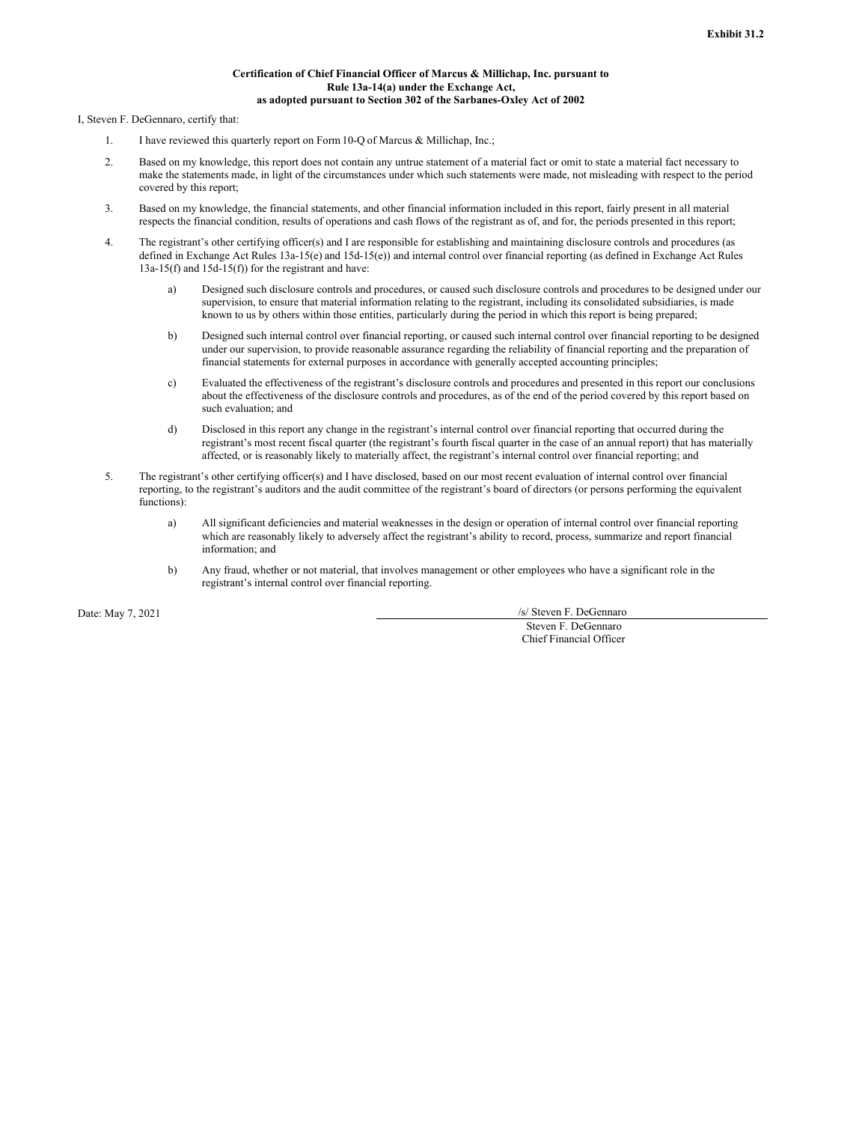#### **Certification of Chief Financial Officer of Marcus & Millichap, Inc. pursuant to Rule 13a-14(a) under the Exchange Act, as adopted pursuant to Section 302 of the Sarbanes-Oxley Act of 2002**

<span id="page-40-0"></span>I, Steven F. DeGennaro, certify that:

- 1. I have reviewed this quarterly report on Form10-Q of Marcus & Millichap, Inc.;
- 2. Based on my knowledge, this report does not contain any untrue statement of a material fact or omit to state a material fact necessary to make the statements made, in light of the circumstances under which such statements were made, not misleading with respect to the period covered by this report;
- 3. Based on my knowledge, the financial statements, and other financial information included in this report, fairly present in all material respects the financial condition, results of operations and cash flows of the registrant as of, and for, the periods presented in this report;
- 4. The registrant's other certifying officer(s) and I are responsible for establishing and maintaining disclosure controls and procedures (as defined in Exchange Act Rules 13a-15(e) and 15d-15(e)) and internal control over financial reporting (as defined in Exchange Act Rules 13a-15(f) and 15d-15(f)) for the registrant and have:
	- a) Designed such disclosure controls and procedures, or caused such disclosure controls and procedures to be designed under our supervision, to ensure that material information relating to the registrant, including its consolidated subsidiaries, is made known to us by others within those entities, particularly during the period in which this report is being prepared;
	- b) Designed such internal control over financial reporting, or caused such internal control over financial reporting to be designed under our supervision, to provide reasonable assurance regarding the reliability of financial reporting and the preparation of financial statements for external purposes in accordance with generally accepted accounting principles;
	- c) Evaluated the effectiveness of the registrant's disclosure controls and procedures and presented in this report our conclusions about the effectiveness of the disclosure controls and procedures, as of the end of the period covered by this report based on such evaluation; and
	- d) Disclosed in this report any change in the registrant's internal control over financial reporting that occurred during the registrant's most recent fiscal quarter (the registrant's fourth fiscal quarter in the case of an annual report) that has materially affected, or is reasonably likely to materially affect, the registrant's internal control over financial reporting; and
- 5. The registrant's other certifying officer(s) and I have disclosed, based on our most recent evaluation of internal control over financial reporting, to the registrant's auditors and the audit committee of the registrant's board of directors (or persons performing the equivalent functions):
	- a) All significant deficiencies and material weaknesses in the design or operation of internal control over financial reporting which are reasonably likely to adversely affect the registrant's ability to record, process, summarize and report financial information; and
	- b) Any fraud, whether or not material, that involves management or other employees who have a significant role in the registrant's internal control over financial reporting.

Date: May 7, 2021 /s/ Steven F. DeGennaro

Steven F. DeGennaro Chief Financial Officer